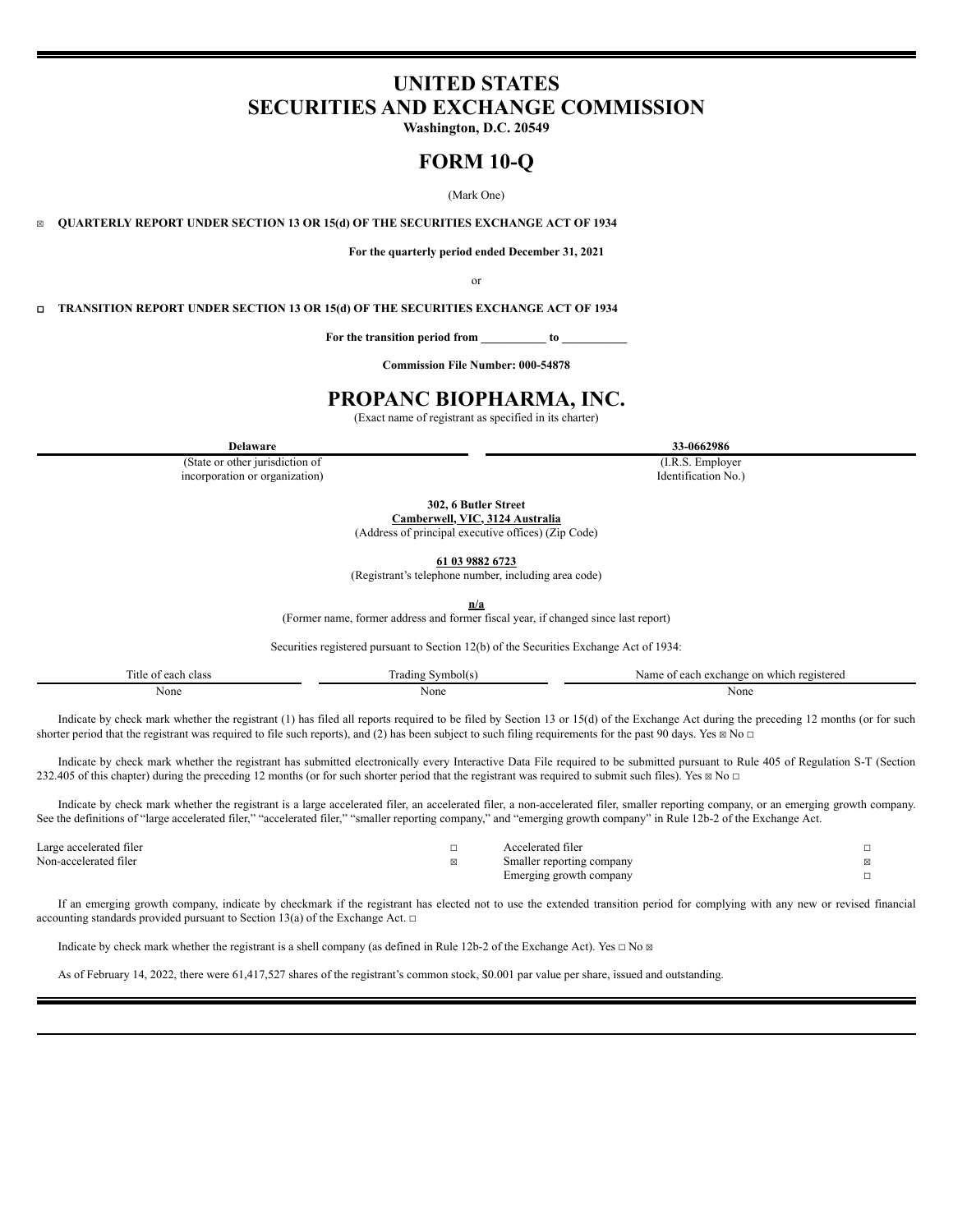# **UNITED STATES SECURITIES AND EXCHANGE COMMISSION**

**Washington, D.C. 20549**

# **FORM 10-Q**

(Mark One)

☒ **QUARTERLY REPORT UNDER SECTION 13 OR 15(d) OF THE SECURITIES EXCHANGE ACT OF 1934**

**For the quarterly period ended December 31, 2021**

or

☐ **TRANSITION REPORT UNDER SECTION 13 OR 15(d) OF THE SECURITIES EXCHANGE ACT OF 1934**

**For the transition period from \_\_\_\_\_\_\_\_\_\_\_ to \_\_\_\_\_\_\_\_\_\_\_**

**Commission File Number: 000-54878**

# **PROPANC BIOPHARMA, INC.**

(Exact name of registrant as specified in its charter)

(State or other jurisdiction of incorporation or organization)

(I.R.S. Employer Identification No.)

**302, 6 Butler Street**

**Camberwell, VIC, 3124 Australia**

(Address of principal executive offices) (Zip Code)

**61 03 9882 6723**

(Registrant's telephone number, including area code)

**n/a**

(Former name, former address and former fiscal year, if changed since last report)

Securities registered pursuant to Section 12(b) of the Securities Exchange Act of 1934:

| $\sim$<br>l'itle of<br>each class | $\sim$<br>Irading Symbol(s | f each exchange on which registered<br>Name<br>$\mathbf{A}$ |
|-----------------------------------|----------------------------|-------------------------------------------------------------|
| None                              | None                       | None                                                        |

Indicate by check mark whether the registrant (1) has filed all reports required to be filed by Section 13 or 15(d) of the Exchange Act during the preceding 12 months (or for such shorter period that the registrant was required to file such reports), and (2) has been subject to such filing requirements for the past 90 days. Yes  $\boxtimes$  No  $\Box$ 

Indicate by check mark whether the registrant has submitted electronically every Interactive Data File required to be submitted pursuant to Rule 405 of Regulation S-T (Section 232.405 of this chapter) during the preceding 12 months (or for such shorter period that the registrant was required to submit such files). Yes  $\boxtimes$  No  $\Box$ 

Indicate by check mark whether the registrant is a large accelerated filer, an accelerated filer, a non-accelerated filer, smaller reporting company, or an emerging growth company. See the definitions of "large accelerated filer," "accelerated filer," "smaller reporting company," and "emerging growth company" in Rule 12b-2 of the Exchange Act.

| Large accelerated filer | elerated filei                           |  |
|-------------------------|------------------------------------------|--|
| Non-accelerated filer   | Smaller reporting company<br>.           |  |
|                         | Emerging growth company<br>.<br>$\cdots$ |  |

If an emerging growth company, indicate by checkmark if the registrant has elected not to use the extended transition period for complying with any new or revised financial accounting standards provided pursuant to Section 13(a) of the Exchange Act.  $\Box$ 

Indicate by check mark whether the registrant is a shell company (as defined in Rule 12b-2 of the Exchange Act). Yes  $\Box$  No  $\boxtimes$ 

As of February 14, 2022, there were 61,417,527 shares of the registrant's common stock, \$0.001 par value per share, issued and outstanding.

**Delaware 33-0662986**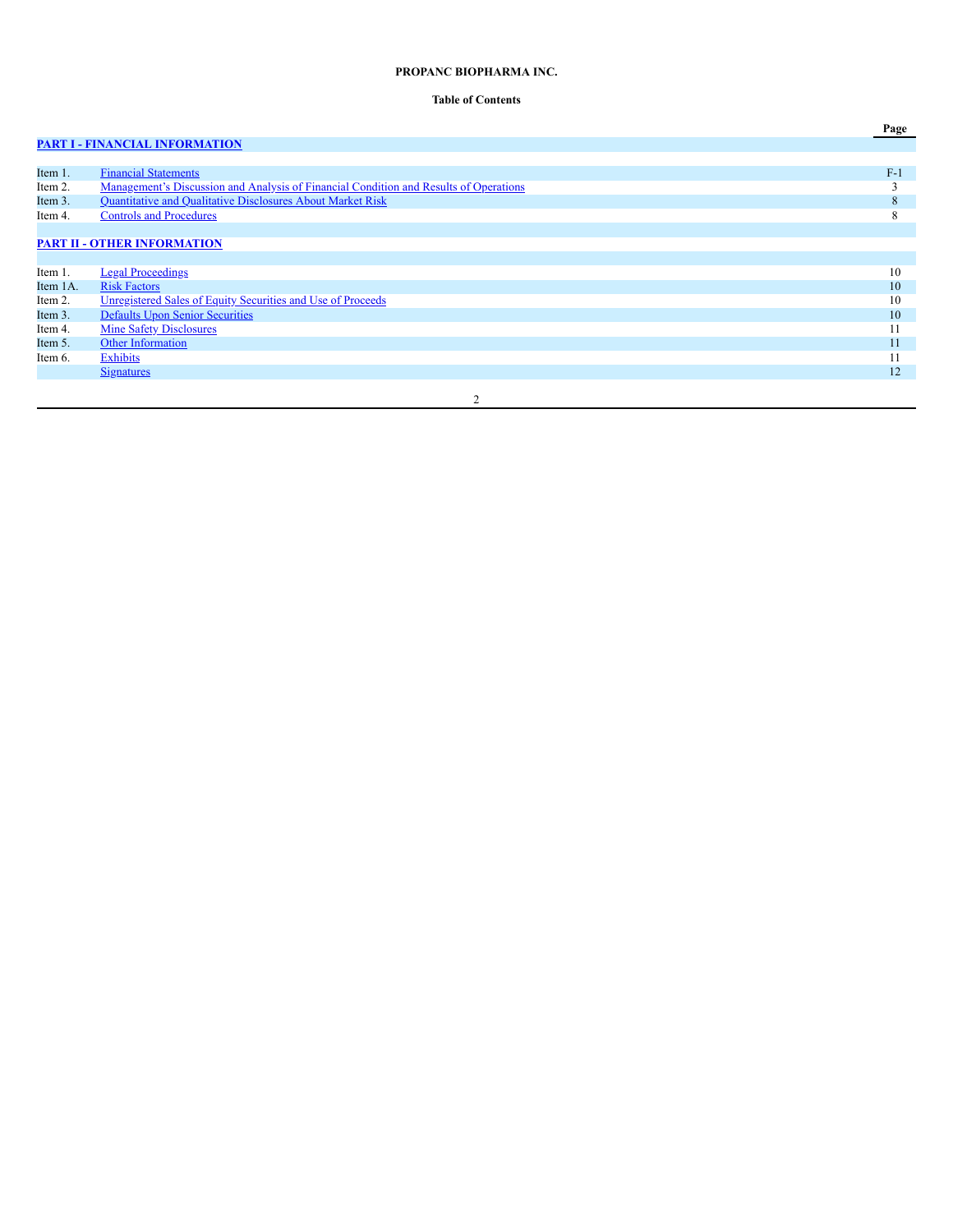# **PROPANC BIOPHARMA INC.**

# **Table of Contents**

**Page**

# **PART I - FINANCIAL [INFORMATION](#page-2-0)**

| Item 1.    | <b>Financial Statements</b>                                                                  | $F-1$    |
|------------|----------------------------------------------------------------------------------------------|----------|
| Item 2.    | <u>Management's Discussion and Analysis of Financial Condition and Results of Operations</u> |          |
| Item 3.    | Quantitative and Qualitative Disclosures About Market Risk                                   | 8        |
| Item 4.    | <b>Controls and Procedures</b>                                                               | $\Delta$ |
|            |                                                                                              |          |
|            | <b>PART II - OTHER INFORMATION</b>                                                           |          |
|            |                                                                                              |          |
| Item 1.    | <b>Legal Proceedings</b>                                                                     | 10       |
| Item 1A.   | <b>Risk Factors</b>                                                                          | 10       |
| Item 2.    | Unregistered Sales of Equity Securities and Use of Proceeds                                  | 10       |
| Item 3.    | <b>Defaults Upon Senior Securities</b>                                                       | 10       |
| Item 4.    | <b>Mine Safety Disclosures</b>                                                               | -1-1     |
| Item 5.    | Other Information                                                                            | 11       |
| Item $6$ . | Exhibits                                                                                     |          |
|            | <b>Signatures</b>                                                                            | 12       |
|            |                                                                                              |          |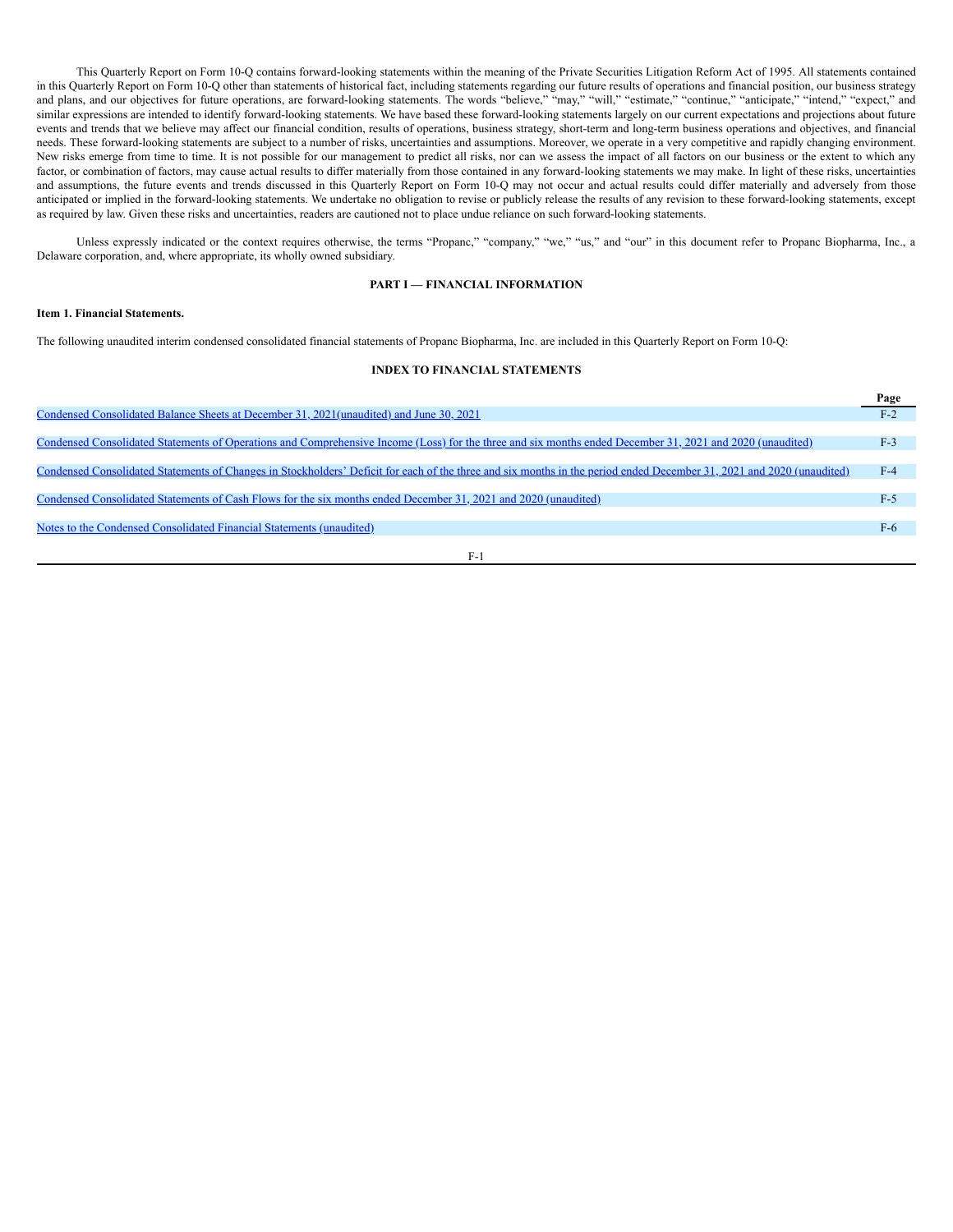This Quarterly Report on Form 10-Q contains forward-looking statements within the meaning of the Private Securities Litigation Reform Act of 1995. All statements contained in this Quarterly Report on Form 10-Q other than statements of historical fact, including statements regarding our future results of operations and financial position, our business strategy and plans, and our objectives for future operations, are forward-looking statements. The words "believe," "may," "will," "estimate," "continue," "anticipate," "intend," "expect," and similar expressions are intended to identify forward-looking statements. We have based these forward-looking statements largely on our current expectations and projections about future events and trends that we believe may affect our financial condition, results of operations, business strategy, short-term and long-term business operations and objectives, and financial needs. These forward-looking statements are subject to a number of risks, uncertainties and assumptions. Moreover, we operate in a very competitive and rapidly changing environment. New risks emerge from time to time. It is not possible for our management to predict all risks, nor can we assess the impact of all factors on our business or the extent to which any factor, or combination of factors, may cause actual results to differ materially from those contained in any forward-looking statements we may make. In light of these risks, uncertainties and assumptions, the future events and trends discussed in this Quarterly Report on Form 10-Q may not occur and actual results could differ materially and adversely from those anticipated or implied in the forward-looking statements. We undertake no obligation to revise or publicly release the results of any revision to these forward-looking statements, except as required by law. Given these risks and uncertainties, readers are cautioned not to place undue reliance on such forward-looking statements.

Unless expressly indicated or the context requires otherwise, the terms "Propanc," "company," "we," "us," and "our" in this document refer to Propanc Biopharma, Inc., a Delaware corporation, and, where appropriate, its wholly owned subsidiary.

# **PART I — FINANCIAL INFORMATION**

# <span id="page-2-1"></span><span id="page-2-0"></span>**Item 1. Financial Statements.**

The following unaudited interim condensed consolidated financial statements of Propanc Biopharma, Inc. are included in this Quarterly Report on Form 10-Q:

# **INDEX TO FINANCIAL STATEMENTS**

|                                                                                                                                                                       | Page  |  |
|-----------------------------------------------------------------------------------------------------------------------------------------------------------------------|-------|--|
| Condensed Consolidated Balance Sheets at December 31, 2021(unaudited) and June 30, 2021                                                                               | $F-2$ |  |
|                                                                                                                                                                       |       |  |
| Condensed Consolidated Statements of Operations and Comprehensive Income (Loss) for the three and six months ended December 31, 2021 and 2020 (unaudited)             | $F-3$ |  |
|                                                                                                                                                                       |       |  |
| Condensed Consolidated Statements of Changes in Stockholders' Deficit for each of the three and six months in the period ended December 31, 2021 and 2020 (unaudited) | $F-4$ |  |
|                                                                                                                                                                       |       |  |
| Condensed Consolidated Statements of Cash Flows for the six months ended December 31, 2021 and 2020 (unaudited)                                                       | $F-5$ |  |
|                                                                                                                                                                       |       |  |
| Notes to the Condensed Consolidated Financial Statements (unaudited)                                                                                                  | $F-6$ |  |
|                                                                                                                                                                       |       |  |
| F-1                                                                                                                                                                   |       |  |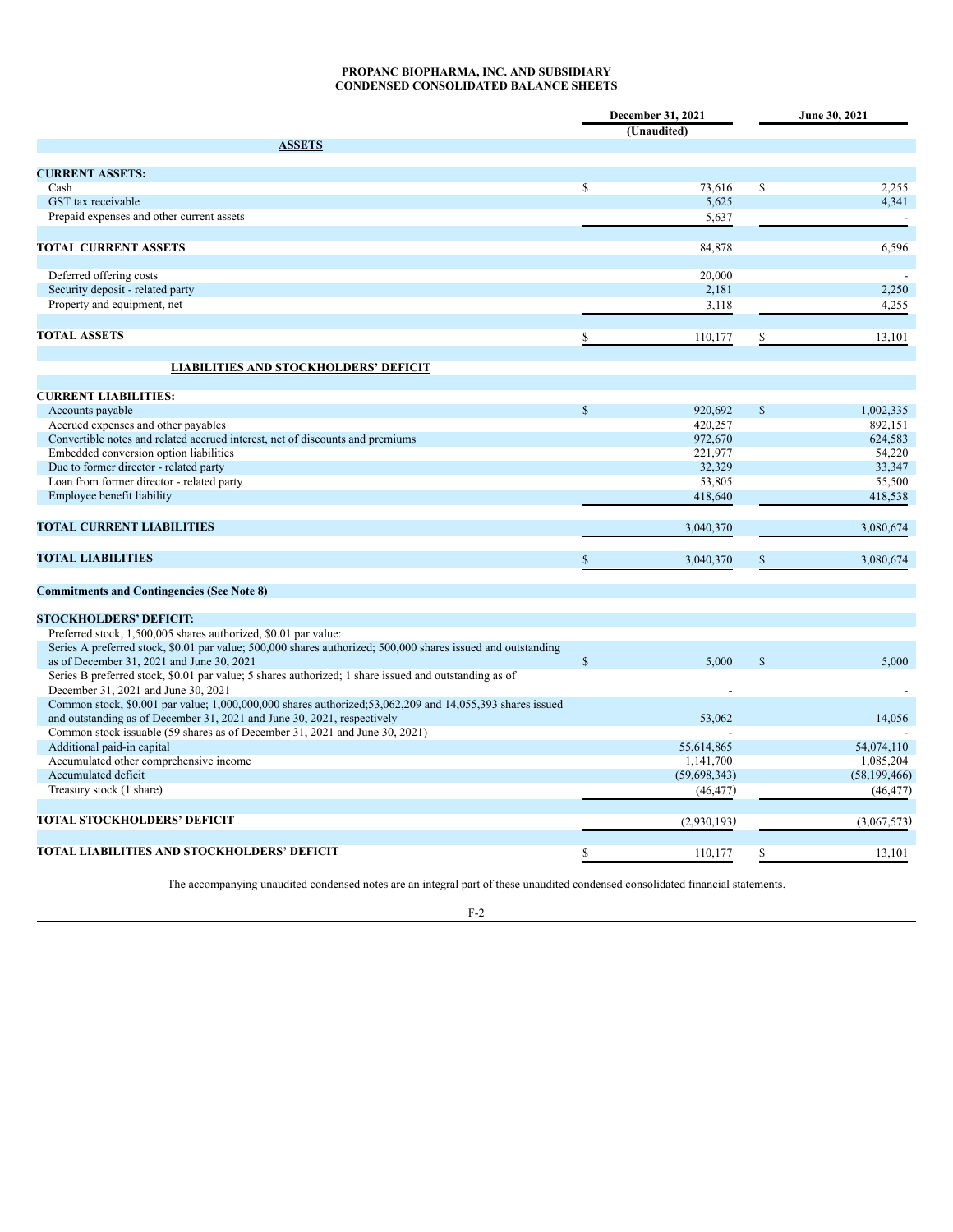# **PROPANC BIOPHARMA, INC. AND SUBSIDIARY CONDENSED CONSOLIDATED BALANCE SHEETS**

<span id="page-3-0"></span>

|                                                                                                              |             | December 31, 2021 |               | June 30, 2021  |
|--------------------------------------------------------------------------------------------------------------|-------------|-------------------|---------------|----------------|
|                                                                                                              |             | (Unaudited)       |               |                |
| <b>ASSETS</b>                                                                                                |             |                   |               |                |
|                                                                                                              |             |                   |               |                |
| <b>CURRENT ASSETS:</b>                                                                                       |             |                   |               |                |
| Cash                                                                                                         | $\mathbf S$ | 73,616            | \$            | 2,255          |
| GST tax receivable                                                                                           |             | 5,625             |               | 4,341          |
| Prepaid expenses and other current assets                                                                    |             | 5,637             |               |                |
| <b>TOTAL CURRENT ASSETS</b>                                                                                  |             | 84,878            |               | 6,596          |
|                                                                                                              |             |                   |               |                |
| Deferred offering costs                                                                                      |             | 20.000            |               |                |
| Security deposit - related party                                                                             |             | 2,181             |               | 2,250          |
| Property and equipment, net                                                                                  |             | 3,118             |               | 4,255          |
|                                                                                                              |             |                   |               |                |
| <b>TOTAL ASSETS</b>                                                                                          |             | 110,177           |               | 13,101         |
| <b>LIABILITIES AND STOCKHOLDERS' DEFICIT</b>                                                                 |             |                   |               |                |
|                                                                                                              |             |                   |               |                |
| <b>CURRENT LIABILITIES:</b>                                                                                  |             |                   |               |                |
| Accounts payable                                                                                             | $\mathbf S$ | 920.692           | $\mathbb{S}$  | 1.002.335      |
| Accrued expenses and other payables                                                                          |             | 420,257           |               | 892,151        |
| Convertible notes and related accrued interest, net of discounts and premiums                                |             | 972,670           |               | 624,583        |
| Embedded conversion option liabilities                                                                       |             | 221,977           |               | 54,220         |
| Due to former director - related party                                                                       |             | 32,329            |               | 33,347         |
| Loan from former director - related party                                                                    |             | 53,805            |               | 55,500         |
| Employee benefit liability                                                                                   |             | 418,640           |               | 418,538        |
| <b>TOTAL CURRENT LIABILITIES</b>                                                                             |             | 3,040,370         |               | 3,080,674      |
|                                                                                                              |             |                   |               |                |
| <b>TOTAL LIABILITIES</b>                                                                                     |             | 3,040,370         |               | 3,080,674      |
| <b>Commitments and Contingencies (See Note 8)</b>                                                            |             |                   |               |                |
| <b>STOCKHOLDERS' DEFICIT:</b>                                                                                |             |                   |               |                |
| Preferred stock, 1,500,005 shares authorized, \$0.01 par value:                                              |             |                   |               |                |
| Series A preferred stock, \$0.01 par value; 500,000 shares authorized; 500,000 shares issued and outstanding |             |                   |               |                |
| as of December 31, 2021 and June 30, 2021                                                                    | $\mathbf S$ | 5.000             | <sup>\$</sup> | 5,000          |
| Series B preferred stock, \$0.01 par value; 5 shares authorized; 1 share issued and outstanding as of        |             |                   |               |                |
| December 31, 2021 and June 30, 2021                                                                          |             |                   |               |                |
| Common stock, \$0.001 par value; 1,000,000,000 shares authorized; 53,062,209 and 14,055,393 shares issued    |             |                   |               |                |
| and outstanding as of December 31, 2021 and June 30, 2021, respectively                                      |             | 53,062            |               | 14,056         |
| Common stock issuable (59 shares as of December 31, 2021 and June 30, 2021)                                  |             |                   |               |                |
| Additional paid-in capital                                                                                   |             | 55,614,865        |               | 54,074,110     |
| Accumulated other comprehensive income                                                                       |             | 1,141,700         |               | 1,085,204      |
| Accumulated deficit                                                                                          |             | (59, 698, 343)    |               | (58, 199, 466) |
| Treasury stock (1 share)                                                                                     |             | (46, 477)         |               | (46, 477)      |
| TOTAL STOCKHOLDERS' DEFICIT                                                                                  |             | (2,930,193)       |               | (3,067,573)    |
| <b>TOTAL LIABILITIES AND STOCKHOLDERS' DEFICIT</b>                                                           |             | 110,177           |               | 13,101         |
|                                                                                                              |             |                   |               |                |

The accompanying unaudited condensed notes are an integral part of these unaudited condensed consolidated financial statements.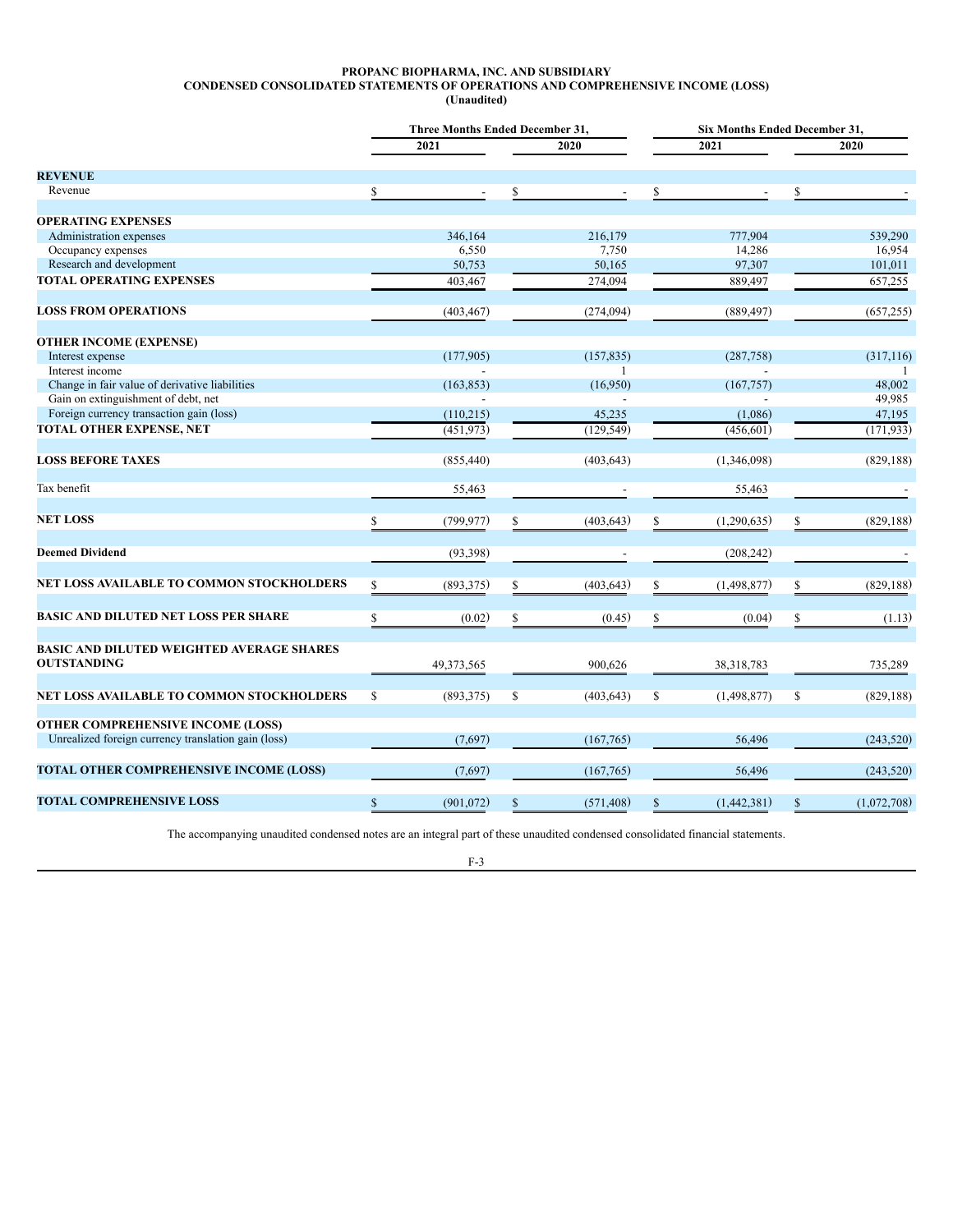### **PROPANC BIOPHARMA, INC. AND SUBSIDIARY CONDENSED CONSOLIDATED STATEMENTS OF OPERATIONS AND COMPREHENSIVE INCOME (LOSS) (Unaudited)**

<span id="page-4-0"></span>

|                                                     |    | <b>Three Months Ended December 31,</b> |     |              | <b>Six Months Ended December 31,</b> |    |             |  |  |  |
|-----------------------------------------------------|----|----------------------------------------|-----|--------------|--------------------------------------|----|-------------|--|--|--|
|                                                     |    | 2021                                   |     | 2020         | 2021                                 |    | 2020        |  |  |  |
| <b>REVENUE</b>                                      |    |                                        |     |              |                                      |    |             |  |  |  |
| Revenue                                             |    |                                        |     |              |                                      |    |             |  |  |  |
| <b>OPERATING EXPENSES</b>                           |    |                                        |     |              |                                      |    |             |  |  |  |
| Administration expenses                             |    | 346,164                                |     | 216,179      | 777,904                              |    | 539,290     |  |  |  |
| Occupancy expenses                                  |    | 6,550                                  |     | 7,750        | 14.286                               |    | 16,954      |  |  |  |
| Research and development                            |    | 50,753                                 |     | 50,165       | 97,307                               |    | 101,011     |  |  |  |
| <b>TOTAL OPERATING EXPENSES</b>                     |    | 403,467                                |     | 274,094      | 889,497                              |    | 657,255     |  |  |  |
| <b>LOSS FROM OPERATIONS</b>                         |    | (403, 467)                             |     | (274, 094)   | (889, 497)                           |    | (657, 255)  |  |  |  |
| <b>OTHER INCOME (EXPENSE)</b>                       |    |                                        |     |              |                                      |    |             |  |  |  |
| Interest expense                                    |    | (177,905)                              |     | (157, 835)   | (287,758)                            |    | (317, 116)  |  |  |  |
| Interest income                                     |    |                                        |     | $\mathbf{1}$ |                                      |    |             |  |  |  |
| Change in fair value of derivative liabilities      |    | (163, 853)                             |     | (16,950)     | (167, 757)                           |    | 48,002      |  |  |  |
| Gain on extinguishment of debt, net                 |    |                                        |     |              |                                      |    | 49,985      |  |  |  |
| Foreign currency transaction gain (loss)            |    | (110,215)                              |     | 45,235       | (1,086)                              |    | 47,195      |  |  |  |
| <b>TOTAL OTHER EXPENSE, NET</b>                     |    | (451, 973)                             |     | (129, 549)   | (456, 601)                           |    | (171, 933)  |  |  |  |
| <b>LOSS BEFORE TAXES</b>                            |    | (855, 440)                             |     | (403, 643)   | (1,346,098)                          |    | (829, 188)  |  |  |  |
| Tax benefit                                         |    | 55,463                                 |     |              | 55,463                               |    |             |  |  |  |
| <b>NET LOSS</b>                                     |    | (799, 977)                             |     | (403, 643)   | (1,290,635)                          |    | (829, 188)  |  |  |  |
| <b>Deemed Dividend</b>                              |    | (93, 398)                              |     |              | (208, 242)                           |    |             |  |  |  |
|                                                     |    |                                        |     |              |                                      |    |             |  |  |  |
| NET LOSS AVAILABLE TO COMMON STOCKHOLDERS           |    | (893,375)                              |     | (403, 643)   | (1,498,877)                          |    | (829, 188)  |  |  |  |
| <b>BASIC AND DILUTED NET LOSS PER SHARE</b>         |    | (0.02)                                 |     | (0.45)       | (0.04)                               | \$ | (1.13)      |  |  |  |
| <b>BASIC AND DILUTED WEIGHTED AVERAGE SHARES</b>    |    |                                        |     |              |                                      |    |             |  |  |  |
| <b>OUTSTANDING</b>                                  |    | 49,373,565                             |     | 900,626      | 38,318,783                           |    | 735,289     |  |  |  |
| NET LOSS AVAILABLE TO COMMON STOCKHOLDERS           | \$ | (893, 375)                             | \$  | (403, 643)   | \$<br>(1, 498, 877)                  | \$ | (829, 188)  |  |  |  |
| <b>OTHER COMPREHENSIVE INCOME (LOSS)</b>            |    |                                        |     |              |                                      |    |             |  |  |  |
| Unrealized foreign currency translation gain (loss) |    | (7,697)                                |     | (167,765)    | 56,496                               |    | (243, 520)  |  |  |  |
| TOTAL OTHER COMPREHENSIVE INCOME (LOSS)             |    | (7,697)                                |     | (167,765)    | 56,496                               |    | (243, 520)  |  |  |  |
| <b>TOTAL COMPREHENSIVE LOSS</b>                     | S  | (901, 072)                             | \$. | (571, 408)   | (1,442,381)                          |    | (1,072,708) |  |  |  |
|                                                     |    |                                        |     |              |                                      |    |             |  |  |  |

The accompanying unaudited condensed notes are an integral part of these unaudited condensed consolidated financial statements.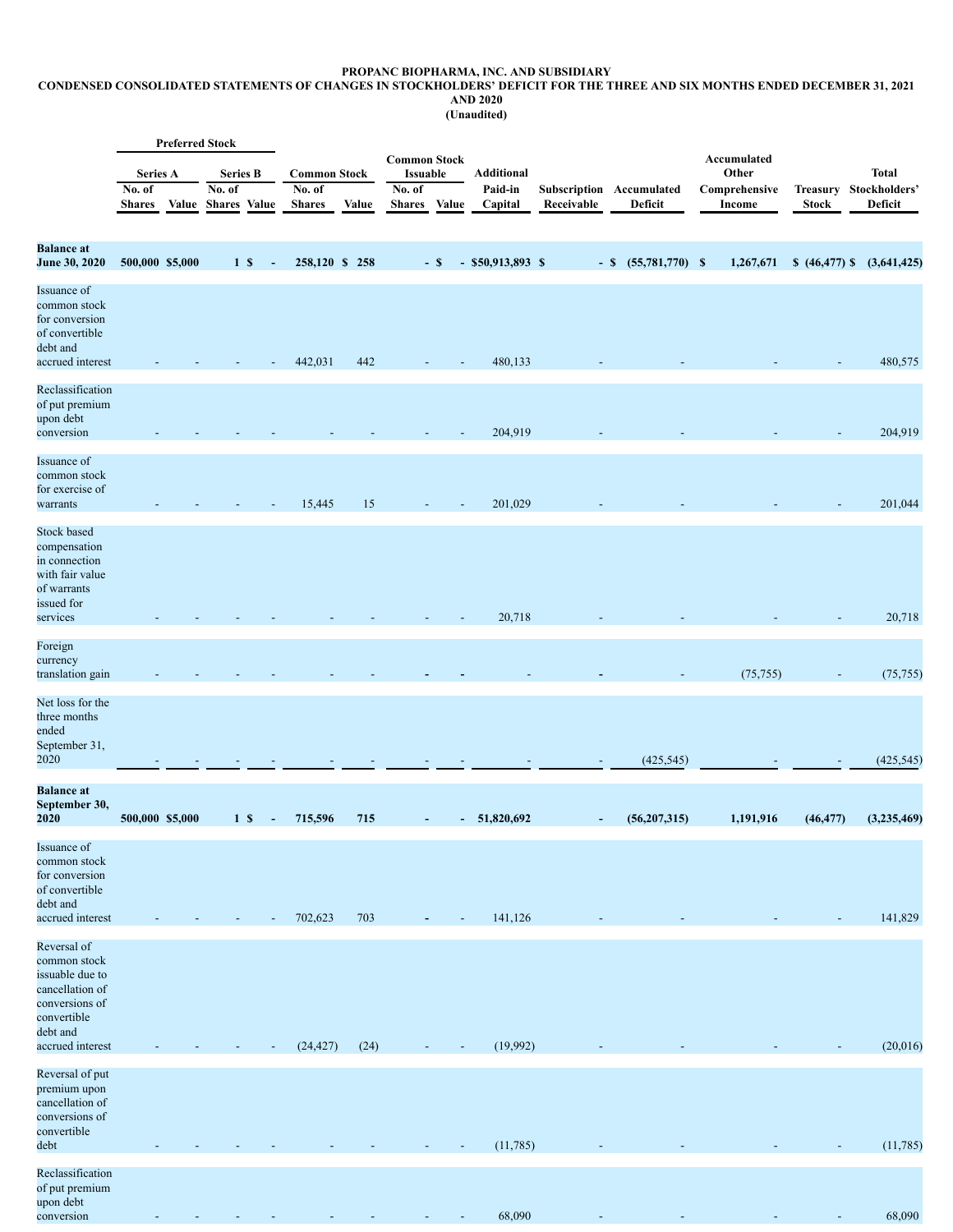### **PROPANC BIOPHARMA, INC. AND SUBSIDIARY**

#### <span id="page-5-0"></span>CONDENSED CONSOLIDATED STATEMENTS OF CHANGES IN STOCKHOLDERS' DEFICIT FOR THE THREE AND SIX MONTHS ENDED DECEMBER 31, 2021 **AND 2020**

**(Unaudited)**

|                                                                                                                                    |                                            | <b>Preferred Stock</b> |                                                  |                |                          |                                                |       |                                                                   |        |                                         |            |                                     |                                                        |                                 |                                          |
|------------------------------------------------------------------------------------------------------------------------------------|--------------------------------------------|------------------------|--------------------------------------------------|----------------|--------------------------|------------------------------------------------|-------|-------------------------------------------------------------------|--------|-----------------------------------------|------------|-------------------------------------|--------------------------------------------------------|---------------------------------|------------------------------------------|
|                                                                                                                                    | <b>Series A</b><br>No. of<br><b>Shares</b> | Value                  | <b>Series B</b><br>No. of<br><b>Shares</b> Value |                |                          | <b>Common Stock</b><br>No. of<br><b>Shares</b> | Value | <b>Common Stock</b><br><b>Issuable</b><br>No. of<br><b>Shares</b> | Value  | <b>Additional</b><br>Paid-in<br>Capital | Receivable | Subscription Accumulated<br>Deficit | Accumulated<br>Other<br>Comprehensive<br><b>Income</b> | <b>Treasury</b><br><b>Stock</b> | <b>Total</b><br>Stockholders'<br>Deficit |
| <b>Balance</b> at<br>June 30, 2020                                                                                                 | 500,000 \$5,000                            |                        |                                                  | 1 <sub>s</sub> | $\overline{\phantom{a}}$ | 258,120 \$ 258                                 |       |                                                                   | $-$ \$ | $-$ \$50,913,893 \$                     |            | $-$ \$ $(55,781,770)$ \$            | 1,267,671                                              | $$ (46, 477)$ \$                | (3,641,425)                              |
| Issuance of<br>common stock<br>for conversion<br>of convertible<br>debt and<br>accrued interest                                    |                                            |                        |                                                  |                |                          | 442,031                                        | 442   |                                                                   |        | 480,133                                 |            |                                     |                                                        |                                 | 480,575                                  |
| Reclassification<br>of put premium<br>upon debt<br>conversion                                                                      |                                            |                        |                                                  |                |                          |                                                |       |                                                                   |        | 204,919                                 |            |                                     |                                                        |                                 | 204,919                                  |
| Issuance of<br>common stock<br>for exercise of<br>warrants                                                                         |                                            |                        |                                                  |                |                          | 15,445                                         | 15    |                                                                   |        | 201,029                                 |            |                                     |                                                        |                                 | 201,044                                  |
| Stock based<br>compensation<br>in connection<br>with fair value<br>of warrants<br>issued for<br>services                           |                                            |                        |                                                  |                |                          |                                                |       |                                                                   |        | 20,718                                  |            |                                     |                                                        |                                 | 20,718                                   |
| Foreign<br>currency<br>translation gain                                                                                            |                                            |                        |                                                  |                |                          |                                                |       |                                                                   |        |                                         |            |                                     | (75, 755)                                              |                                 | (75, 755)                                |
| Net loss for the<br>three months<br>ended<br>September 31,<br>2020                                                                 |                                            |                        |                                                  |                |                          |                                                |       |                                                                   |        |                                         |            | (425, 545)                          |                                                        |                                 | (425, 545)                               |
| <b>Balance</b> at<br>September 30,<br>2020                                                                                         | 500,000 \$5,000                            |                        |                                                  | 1 <sub>s</sub> |                          | 715,596                                        | 715   |                                                                   |        | 51,820,692                              |            | (56,207,315)                        | 1,191,916                                              | (46, 477)                       | (3,235,469)                              |
| Issuance of<br>common stock<br>for conversion<br>of convertible<br>debt and<br>accrued interest                                    |                                            |                        |                                                  |                |                          | 702,623                                        | 703   |                                                                   |        | 141,126                                 |            |                                     |                                                        |                                 | 141,829                                  |
| Reversal of<br>common stock<br>issuable due to<br>cancellation of<br>conversions of<br>convertible<br>debt and<br>accrued interest |                                            |                        |                                                  |                |                          | (24, 427)                                      | (24)  |                                                                   |        | (19,992)                                |            |                                     |                                                        |                                 | (20,016)                                 |
| Reversal of put<br>premium upon<br>cancellation of<br>conversions of<br>convertible<br>debt                                        |                                            |                        |                                                  |                |                          |                                                |       |                                                                   |        | (11, 785)                               |            |                                     |                                                        |                                 | (11,785)                                 |
| Reclassification<br>of put premium<br>upon debt<br>conversion                                                                      |                                            |                        |                                                  |                |                          |                                                |       |                                                                   |        | 68,090                                  |            |                                     |                                                        |                                 | 68,090                                   |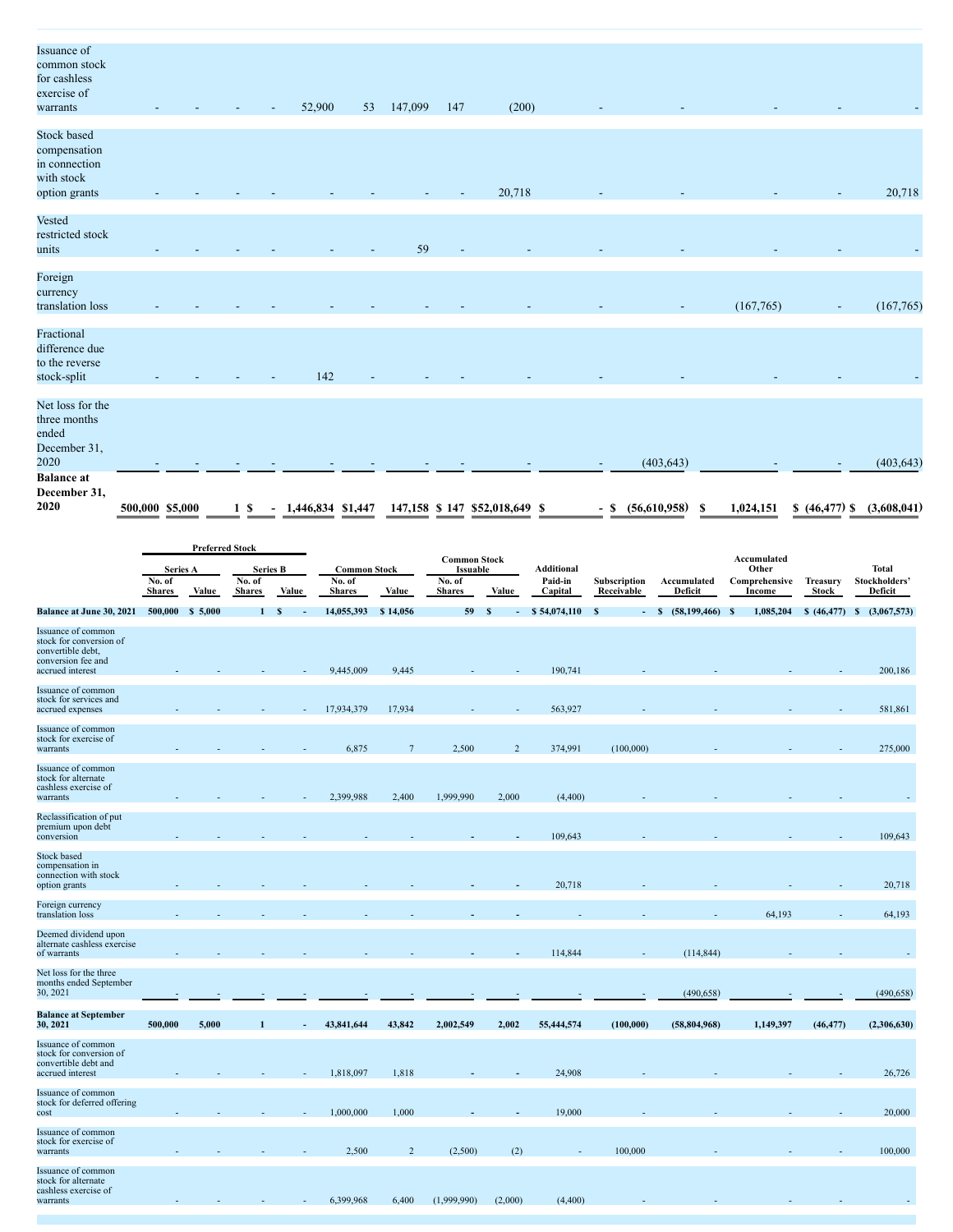| Issuance of                      |                 |  |   |                   |    |         |     |                                |                          |                   |    |           |              |             |
|----------------------------------|-----------------|--|---|-------------------|----|---------|-----|--------------------------------|--------------------------|-------------------|----|-----------|--------------|-------------|
| common stock                     |                 |  |   |                   |    |         |     |                                |                          |                   |    |           |              |             |
| for cashless                     |                 |  |   |                   |    |         |     |                                |                          |                   |    |           |              |             |
| exercise of                      |                 |  |   |                   |    |         |     |                                |                          |                   |    |           |              |             |
| warrants                         |                 |  |   | 52,900            | 53 | 147,099 | 147 | (200)                          |                          |                   |    |           |              |             |
|                                  |                 |  |   |                   |    |         |     |                                |                          |                   |    |           |              |             |
| Stock based                      |                 |  |   |                   |    |         |     |                                |                          |                   |    |           |              |             |
| compensation                     |                 |  |   |                   |    |         |     |                                |                          |                   |    |           |              |             |
| in connection                    |                 |  |   |                   |    |         |     |                                |                          |                   |    |           |              |             |
| with stock                       |                 |  |   |                   |    |         |     |                                |                          |                   |    |           |              |             |
| option grants                    |                 |  |   |                   |    |         |     | 20,718                         |                          |                   |    |           |              | 20,718      |
| Vested                           |                 |  |   |                   |    |         |     |                                |                          |                   |    |           |              |             |
| restricted stock                 |                 |  |   |                   |    |         |     |                                |                          |                   |    |           |              |             |
| units                            |                 |  |   |                   |    | 59      |     |                                |                          |                   |    |           |              |             |
|                                  |                 |  |   |                   |    |         |     |                                |                          |                   |    |           |              |             |
| Foreign                          |                 |  |   |                   |    |         |     |                                |                          |                   |    |           |              |             |
| currency                         |                 |  |   |                   |    |         |     |                                |                          |                   |    |           |              |             |
| translation loss                 |                 |  |   |                   |    |         |     |                                |                          |                   |    | (167,765) |              | (167,765)   |
| Fractional                       |                 |  |   |                   |    |         |     |                                |                          |                   |    |           |              |             |
|                                  |                 |  |   |                   |    |         |     |                                |                          |                   |    |           |              |             |
| difference due<br>to the reverse |                 |  |   |                   |    |         |     |                                |                          |                   |    |           |              |             |
|                                  |                 |  |   | 142               |    |         |     |                                |                          |                   |    |           |              |             |
| stock-split                      |                 |  |   |                   |    |         |     |                                |                          |                   |    |           |              |             |
| Net loss for the                 |                 |  |   |                   |    |         |     |                                |                          |                   |    |           |              |             |
| three months                     |                 |  |   |                   |    |         |     |                                |                          |                   |    |           |              |             |
| ended                            |                 |  |   |                   |    |         |     |                                |                          |                   |    |           |              |             |
| December 31,                     |                 |  |   |                   |    |         |     |                                |                          |                   |    |           |              |             |
| 2020                             |                 |  |   |                   |    |         |     |                                |                          | (403, 643)        |    |           |              | (403, 643)  |
| <b>Balance</b> at                |                 |  |   |                   |    |         |     |                                |                          |                   |    |           |              |             |
| December 31,                     |                 |  |   |                   |    |         |     |                                |                          |                   |    |           |              |             |
| 2020                             | 500,000 \$5,000 |  | S | 1,446,834 \$1,447 |    |         |     | 147,158 \$ 147 \$52,018,649 \$ | $\overline{\phantom{a}}$ | (56,610,958)<br>S | -S | 1,024,151 | \$ (46, 477) | (3,608,041) |
|                                  |                 |  |   |                   |    |         |     |                                |                          |                   |    |           |              |             |

|                                                                                                              | <b>Preferred Stock</b>                                 |         |               |                               |               |                                                  |               |                              |              |             |                      |                                  |                               |                    |
|--------------------------------------------------------------------------------------------------------------|--------------------------------------------------------|---------|---------------|-------------------------------|---------------|--------------------------------------------------|---------------|------------------------------|--------------|-------------|----------------------|----------------------------------|-------------------------------|--------------------|
|                                                                                                              | <b>Series A</b><br><b>Series B</b><br>No. of<br>No. of |         |               | <b>Common Stock</b><br>No. of |               | <b>Common Stock</b><br><b>Issuable</b><br>No. of |               | <b>Additional</b><br>Paid-in | Subscription | Accumulated | Accumulated<br>Other | Comprehensive<br><b>Treasury</b> | <b>Total</b><br>Stockholders' |                    |
|                                                                                                              | <b>Shares</b>                                          | Value   | <b>Shares</b> | Value                         | <b>Shares</b> | Value                                            | <b>Shares</b> | Value                        | Capital      | Receivable  | Deficit              | Income                           | Stock                         | Deficit            |
| Balance at June 30, 2021                                                                                     | 500,000                                                | \$5,000 | 1             | S                             | 14,055,393    | \$14,056                                         | 59            | S                            | \$54,074,110 | -S          | $$ (58,199,466)$ S   | 1,085,204                        | \$(46, 477)                   | (3,067,573)<br>- S |
| Issuance of common<br>stock for conversion of<br>convertible debt,<br>conversion fee and<br>accrued interest |                                                        |         |               |                               | 9,445,009     | 9,445                                            |               |                              | 190,741      |             |                      |                                  |                               | 200,186            |
| Issuance of common<br>stock for services and<br>accrued expenses                                             |                                                        |         |               |                               | 17,934,379    | 17,934                                           |               |                              | 563,927      |             |                      |                                  |                               | 581,861            |
| Issuance of common<br>stock for exercise of<br>warrants                                                      |                                                        |         |               |                               | 6,875         | $7\phantom{.0}$                                  | 2,500         | $\overline{2}$               | 374,991      | (100,000)   |                      |                                  |                               | 275,000            |
| Issuance of common<br>stock for alternate<br>cashless exercise of<br>warrants                                |                                                        |         |               |                               | 2,399,988     | 2,400                                            | 1,999,990     | 2,000                        | (4,400)      |             |                      |                                  |                               |                    |
| Reclassification of put<br>premium upon debt<br>conversion                                                   |                                                        |         |               |                               |               |                                                  |               |                              | 109,643      |             |                      |                                  |                               | 109,643            |
| <b>Stock based</b><br>compensation in<br>connection with stock<br>option grants                              |                                                        |         |               |                               |               |                                                  |               |                              | 20,718       |             |                      |                                  |                               | 20,718             |
| Foreign currency<br>translation loss                                                                         |                                                        |         |               |                               |               |                                                  |               |                              |              |             |                      | 64,193                           |                               | 64,193             |
| Deemed dividend upon<br>alternate cashless exercise<br>of warrants                                           |                                                        |         |               |                               |               |                                                  |               |                              | 114,844      |             | (114, 844)           |                                  |                               |                    |
| Net loss for the three<br>months ended September<br>30, 2021                                                 |                                                        |         |               |                               |               |                                                  |               |                              |              |             | (490, 658)           |                                  |                               | (490, 658)         |
| <b>Balance at September</b><br>30, 2021                                                                      | 500,000                                                | 5,000   |               |                               | 43,841,644    | 43,842                                           | 2,002,549     | 2,002                        | 55,444,574   | (100, 000)  | (58, 804, 968)       | 1,149,397                        | (46, 477)                     | (2,306,630)        |
| Issuance of common<br>stock for conversion of<br>convertible debt and<br>accrued interest                    |                                                        |         |               |                               | 1,818,097     | 1,818                                            |               |                              | 24,908       |             |                      |                                  |                               | 26,726             |
| Issuance of common<br>stock for deferred offering<br>cost                                                    |                                                        |         |               |                               | 1,000,000     | 1,000                                            |               |                              | 19,000       |             |                      |                                  |                               | 20,000             |
| Issuance of common<br>stock for exercise of<br>warrants                                                      |                                                        |         |               |                               | 2,500         | $\overline{2}$                                   | (2,500)       | (2)                          |              | 100,000     |                      |                                  |                               | 100,000            |
| Issuance of common<br>stock for alternate<br>cashless exercise of<br>warrants                                |                                                        |         |               |                               | 6,399,968     | 6,400                                            | (1,999,990)   | (2,000)                      | (4,400)      |             |                      |                                  |                               |                    |
|                                                                                                              |                                                        |         |               |                               |               |                                                  |               |                              |              |             |                      |                                  |                               |                    |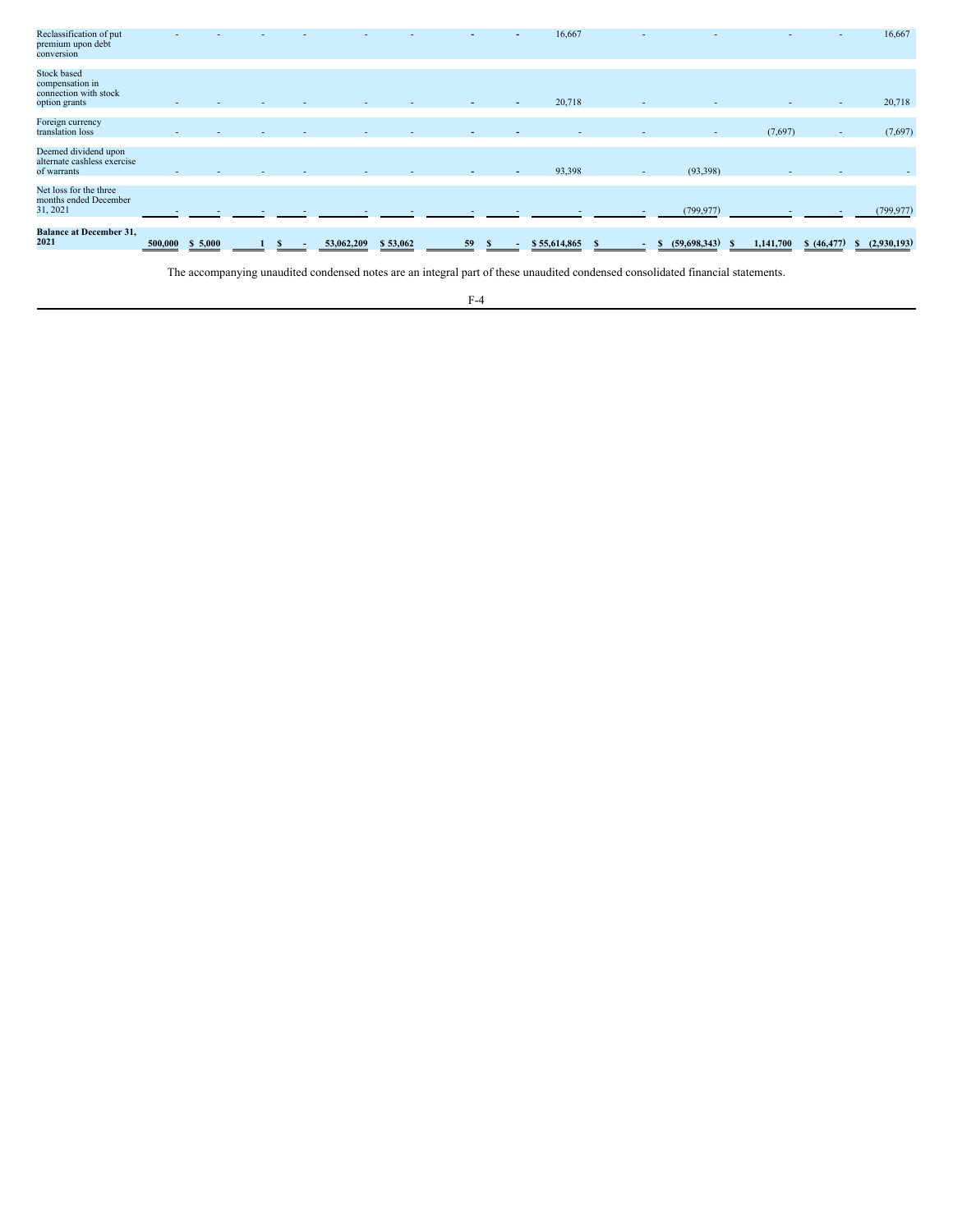| 31, 2021                                                                        |  |  |  | $\overline{\phantom{a}}$ | 93,398 | $\sim$ | (93,398)<br>(799, 977) | $\overline{\phantom{a}}$ |           | (799, 977) |
|---------------------------------------------------------------------------------|--|--|--|--------------------------|--------|--------|------------------------|--------------------------|-----------|------------|
| Net loss for the three<br>months ended December                                 |  |  |  |                          |        |        |                        |                          |           |            |
| Deemed dividend upon<br>alternate cashless exercise<br>of warrants              |  |  |  |                          |        |        |                        |                          |           |            |
| Foreign currency<br>translation loss                                            |  |  |  |                          |        |        | $\sim$                 | (7,697)                  | $\sim$    | (7,697)    |
| <b>Stock based</b><br>compensation in<br>connection with stock<br>option grants |  |  |  |                          | 20,718 | $\sim$ |                        | $\sim$                   | $\sim$    | 20,718     |
| Reclassification of put<br>premium upon debt<br>conversion                      |  |  |  |                          | 16,667 |        |                        | $\overline{\phantom{a}}$ | <b>CH</b> | 16,667     |

The accompanying unaudited condensed notes are an integral part of these unaudited condensed consolidated financial statements.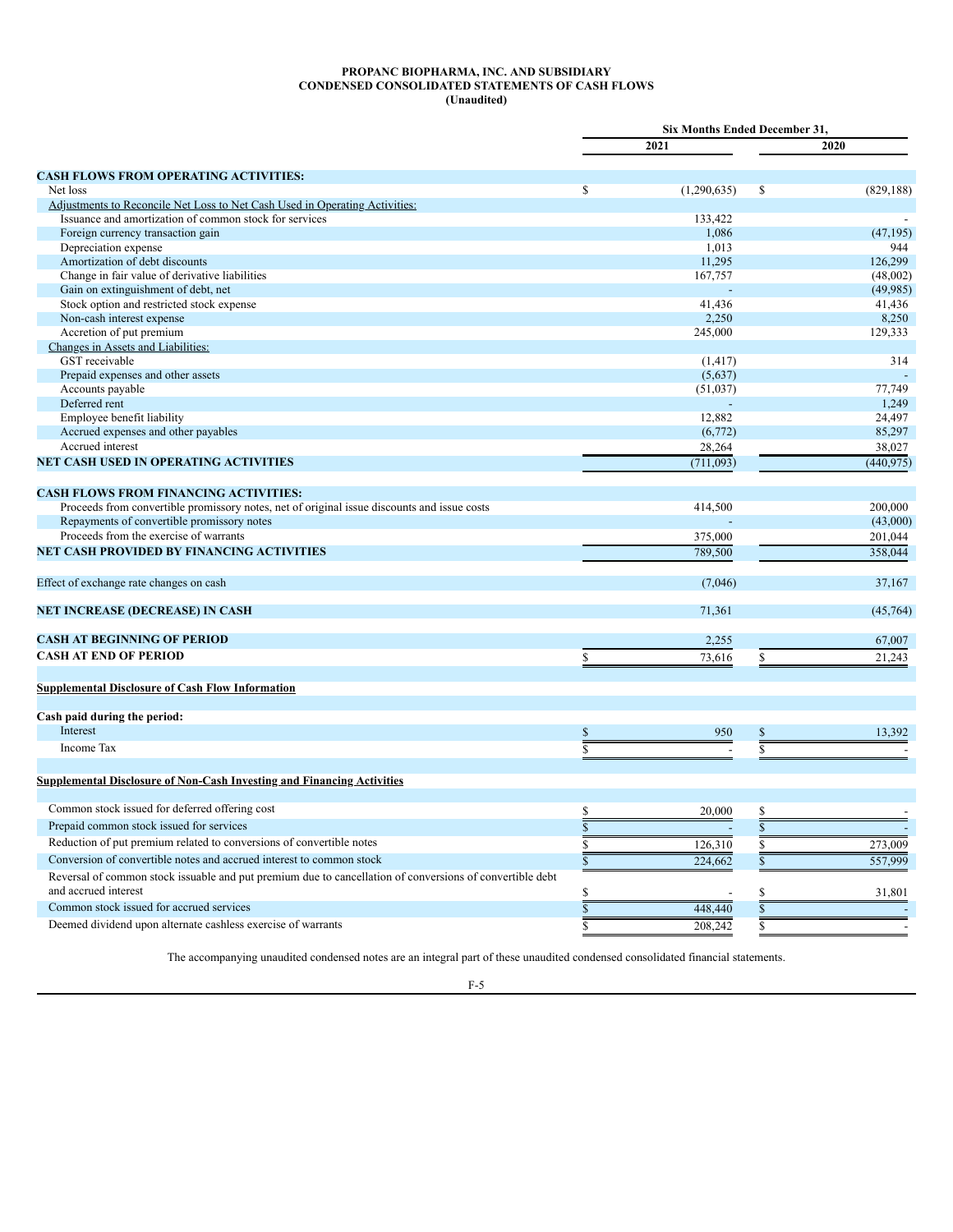### **PROPANC BIOPHARMA, INC. AND SUBSIDIARY CONDENSED CONSOLIDATED STATEMENTS OF CASH FLOWS (Unaudited)**

<span id="page-8-0"></span>

|                                                                                                          | Six Months Ended December 31, |             |                         |                          |  |
|----------------------------------------------------------------------------------------------------------|-------------------------------|-------------|-------------------------|--------------------------|--|
|                                                                                                          |                               | 2021        |                         | 2020                     |  |
| <b>CASH FLOWS FROM OPERATING ACTIVITIES:</b>                                                             |                               |             |                         |                          |  |
| Net loss                                                                                                 | \$                            | (1,290,635) | \$                      | (829, 188)               |  |
| Adjustments to Reconcile Net Loss to Net Cash Used in Operating Activities:                              |                               |             |                         |                          |  |
| Issuance and amortization of common stock for services                                                   |                               | 133,422     |                         |                          |  |
| Foreign currency transaction gain                                                                        |                               | 1,086       |                         | (47, 195)                |  |
| Depreciation expense                                                                                     |                               | 1,013       |                         | 944                      |  |
| Amortization of debt discounts                                                                           |                               | 11,295      |                         | 126,299                  |  |
| Change in fair value of derivative liabilities                                                           |                               | 167,757     |                         | (48,002)                 |  |
| Gain on extinguishment of debt, net                                                                      |                               |             |                         | (49, 985)                |  |
| Stock option and restricted stock expense                                                                |                               | 41,436      |                         | 41,436                   |  |
| Non-cash interest expense                                                                                |                               | 2,250       |                         | 8,250                    |  |
| Accretion of put premium                                                                                 |                               | 245,000     |                         | 129,333                  |  |
| Changes in Assets and Liabilities:                                                                       |                               |             |                         |                          |  |
| GST receivable                                                                                           |                               | (1, 417)    |                         | 314                      |  |
| Prepaid expenses and other assets                                                                        |                               | (5,637)     |                         |                          |  |
| Accounts payable                                                                                         |                               | (51,037)    |                         | 77,749                   |  |
| Deferred rent                                                                                            |                               |             |                         | 1,249                    |  |
| Employee benefit liability                                                                               |                               | 12,882      |                         | 24,497                   |  |
| Accrued expenses and other payables                                                                      |                               | (6,772)     |                         | 85,297                   |  |
| Accrued interest                                                                                         |                               | 28,264      |                         | 38,027                   |  |
| <b>NET CASH USED IN OPERATING ACTIVITIES</b>                                                             |                               | (711,093)   |                         | (440, 975)               |  |
| <b>CASH FLOWS FROM FINANCING ACTIVITIES:</b>                                                             |                               |             |                         |                          |  |
| Proceeds from convertible promissory notes, net of original issue discounts and issue costs              |                               | 414,500     |                         | 200,000                  |  |
| Repayments of convertible promissory notes                                                               |                               |             |                         | (43,000)                 |  |
| Proceeds from the exercise of warrants                                                                   |                               | 375,000     |                         | 201,044                  |  |
| <b>NET CASH PROVIDED BY FINANCING ACTIVITIES</b>                                                         |                               | 789.500     |                         | 358,044                  |  |
| Effect of exchange rate changes on cash                                                                  |                               | (7,046)     |                         | 37,167                   |  |
| <b>NET INCREASE (DECREASE) IN CASH</b>                                                                   |                               | 71.361      |                         | (45, 764)                |  |
|                                                                                                          |                               |             |                         |                          |  |
| <b>CASH AT BEGINNING OF PERIOD</b>                                                                       |                               | 2,255       |                         | 67,007                   |  |
| <b>CASH AT END OF PERIOD</b>                                                                             | S.                            | 73,616      | $\mathbb{S}$            | 21,243                   |  |
| <b>Supplemental Disclosure of Cash Flow Information</b>                                                  |                               |             |                         |                          |  |
| Cash paid during the period:                                                                             |                               |             |                         |                          |  |
| Interest                                                                                                 | $\mathbb S$                   | 950         | $\mathbb{S}$            | 13,392                   |  |
| Income Tax                                                                                               | $\overline{s}$                |             | $\overline{s}$          |                          |  |
|                                                                                                          |                               |             |                         |                          |  |
| <b>Supplemental Disclosure of Non-Cash Investing and Financing Activities</b>                            |                               |             |                         |                          |  |
| Common stock issued for deferred offering cost                                                           | $\mathbb{S}$                  | 20,000      | \$                      |                          |  |
| Prepaid common stock issued for services                                                                 | $\overline{\mathbb{S}}$       |             | $\overline{\mathbb{S}}$ |                          |  |
| Reduction of put premium related to conversions of convertible notes                                     | $\overline{\mathbb{S}}$       | 126,310     | $\overline{\mathbb{S}}$ | 273,009                  |  |
| Conversion of convertible notes and accrued interest to common stock                                     |                               |             |                         |                          |  |
|                                                                                                          | $\overline{\mathbb{S}}$       | 224,662     | $\overline{\mathbb{S}}$ | 557,999                  |  |
| Reversal of common stock issuable and put premium due to cancellation of conversions of convertible debt |                               |             |                         |                          |  |
| and accrued interest                                                                                     | \$                            |             | \$                      | 31.801                   |  |
| Common stock issued for accrued services                                                                 | $\overline{\mathbb{S}}$       | 448,440     | \$                      |                          |  |
| Deemed dividend upon alternate cashless exercise of warrants                                             | \$                            | 208,242     | Ś                       | $\overline{\phantom{a}}$ |  |

The accompanying unaudited condensed notes are an integral part of these unaudited condensed consolidated financial statements.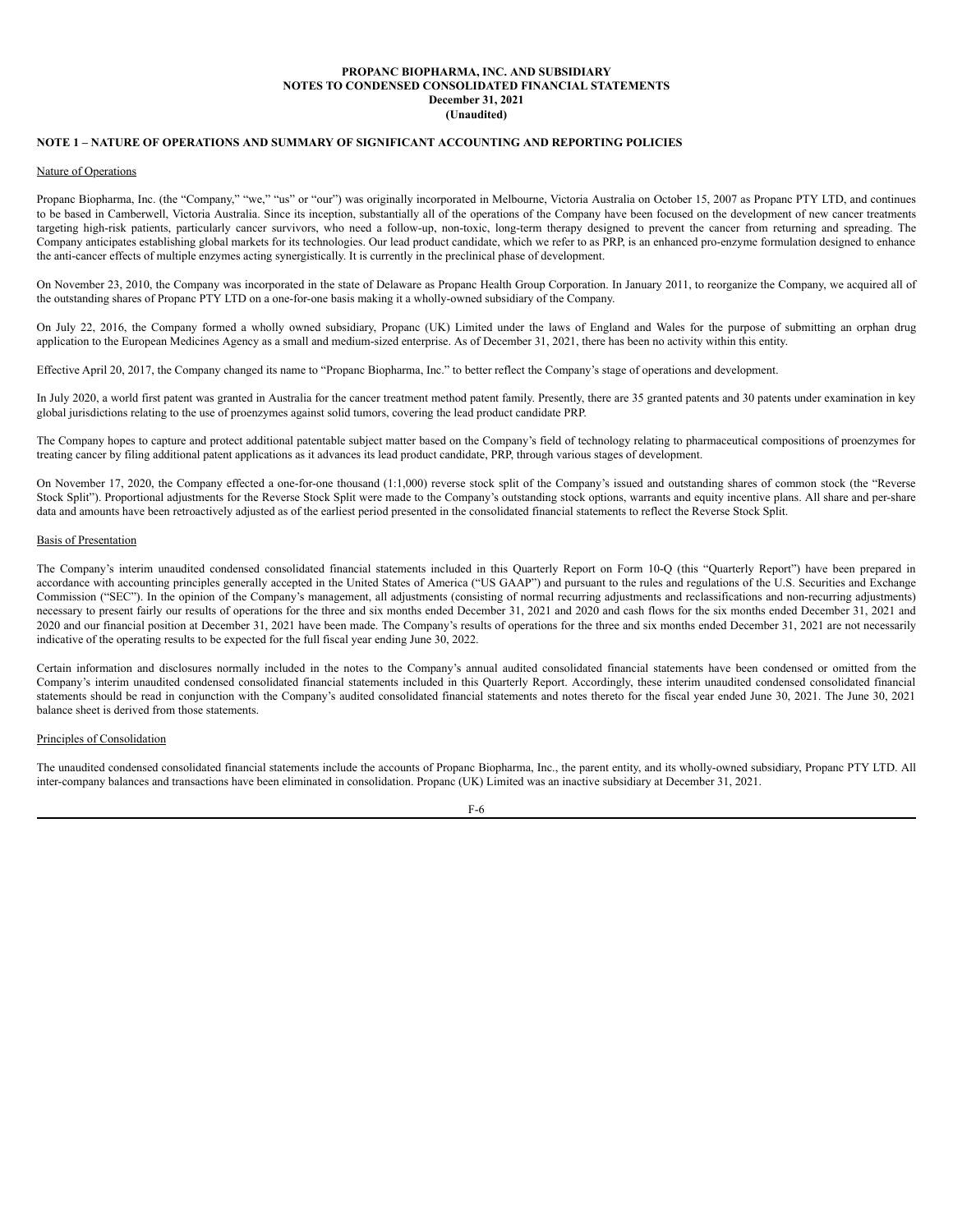# <span id="page-9-0"></span>**NOTE 1 – NATURE OF OPERATIONS AND SUMMARY OF SIGNIFICANT ACCOUNTING AND REPORTING POLICIES**

#### Nature of Operations

Propanc Biopharma, Inc. (the "Company," "we," "us" or "our") was originally incorporated in Melbourne, Victoria Australia on October 15, 2007 as Propanc PTY LTD, and continues to be based in Camberwell, Victoria Australia. Since its inception, substantially all of the operations of the Company have been focused on the development of new cancer treatments targeting high-risk patients, particularly cancer survivors, who need a follow-up, non-toxic, long-term therapy designed to prevent the cancer from returning and spreading. The Company anticipates establishing global markets for its technologies. Our lead product candidate, which we refer to as PRP, is an enhanced pro-enzyme formulation designed to enhance the anti-cancer effects of multiple enzymes acting synergistically. It is currently in the preclinical phase of development.

On November 23, 2010, the Company was incorporated in the state of Delaware as Propanc Health Group Corporation. In January 2011, to reorganize the Company, we acquired all of the outstanding shares of Propanc PTY LTD on a one-for-one basis making it a wholly-owned subsidiary of the Company.

On July 22, 2016, the Company formed a wholly owned subsidiary, Propanc (UK) Limited under the laws of England and Wales for the purpose of submitting an orphan drug application to the European Medicines Agency as a small and medium-sized enterprise. As of December 31, 2021, there has been no activity within this entity.

Effective April 20, 2017, the Company changed its name to "Propanc Biopharma, Inc." to better reflect the Company's stage of operations and development.

In July 2020, a world first patent was granted in Australia for the cancer treatment method patent family. Presently, there are 35 granted patents and 30 patents under examination in key global jurisdictions relating to the use of proenzymes against solid tumors, covering the lead product candidate PRP.

The Company hopes to capture and protect additional patentable subject matter based on the Company's field of technology relating to pharmaceutical compositions of proenzymes for treating cancer by filing additional patent applications as it advances its lead product candidate, PRP, through various stages of development.

On November 17, 2020, the Company effected a one-for-one thousand (1:1,000) reverse stock split of the Company's issued and outstanding shares of common stock (the "Reverse Stock Split"). Proportional adjustments for the Reverse Stock Split were made to the Company's outstanding stock options, warrants and equity incentive plans. All share and per-share data and amounts have been retroactively adjusted as of the earliest period presented in the consolidated financial statements to reflect the Reverse Stock Split.

# Basis of Presentation

The Company's interim unaudited condensed consolidated financial statements included in this Quarterly Report on Form 10-Q (this "Quarterly Report") have been prepared in accordance with accounting principles generally accepted in the United States of America ("US GAAP") and pursuant to the rules and regulations of the U.S. Securities and Exchange Commission ("SEC"). In the opinion of the Company's management, all adjustments (consisting of normal recurring adjustments and reclassifications and non-recurring adjustments) necessary to present fairly our results of operations for the three and six months ended December 31, 2021 and 2020 and cash flows for the six months ended December 31, 2021 and 2020 and our financial position at December 31, 2021 have been made. The Company's results of operations for the three and six months ended December 31, 2021 are not necessarily indicative of the operating results to be expected for the full fiscal year ending June 30, 2022.

Certain information and disclosures normally included in the notes to the Company's annual audited consolidated financial statements have been condensed or omitted from the Company's interim unaudited condensed consolidated financial statements included in this Quarterly Report. Accordingly, these interim unaudited condensed consolidated financial statements should be read in conjunction with the Company's audited consolidated financial statements and notes thereto for the fiscal year ended June 30, 2021. The June 30, 2021 balance sheet is derived from those statements.

### Principles of Consolidation

The unaudited condensed consolidated financial statements include the accounts of Propanc Biopharma, Inc., the parent entity, and its wholly-owned subsidiary, Propanc PTY LTD. All inter-company balances and transactions have been eliminated in consolidation. Propanc (UK) Limited was an inactive subsidiary at December 31, 2021.

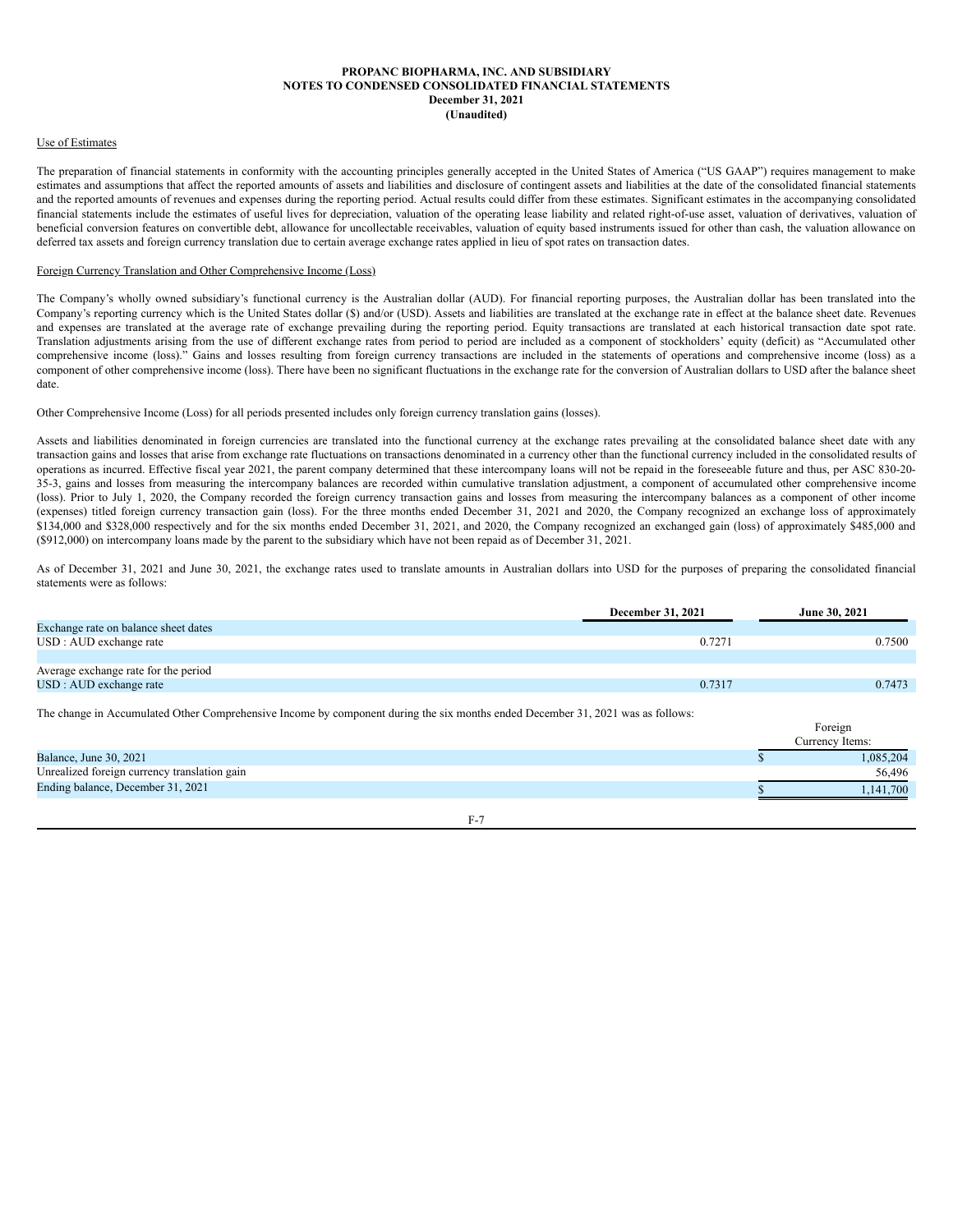### Use of Estimates

The preparation of financial statements in conformity with the accounting principles generally accepted in the United States of America ("US GAAP") requires management to make estimates and assumptions that affect the reported amounts of assets and liabilities and disclosure of contingent assets and liabilities at the date of the consolidated financial statements and the reported amounts of revenues and expenses during the reporting period. Actual results could differ from these estimates. Significant estimates in the accompanying consolidated financial statements include the estimates of useful lives for depreciation, valuation of the operating lease liability and related right-of-use asset, valuation of derivatives, valuation of beneficial conversion features on convertible debt, allowance for uncollectable receivables, valuation of equity based instruments issued for other than cash, the valuation allowance on deferred tax assets and foreign currency translation due to certain average exchange rates applied in lieu of spot rates on transaction dates.

### Foreign Currency Translation and Other Comprehensive Income (Loss)

The Company's wholly owned subsidiary's functional currency is the Australian dollar (AUD). For financial reporting purposes, the Australian dollar has been translated into the Company's reporting currency which is the United States dollar (\$) and/or (USD). Assets and liabilities are translated at the exchange rate in effect at the balance sheet date. Revenues and expenses are translated at the average rate of exchange prevailing during the reporting period. Equity transactions are translated at each historical transaction date spot rate. Translation adjustments arising from the use of different exchange rates from period to period are included as a component of stockholders' equity (deficit) as "Accumulated other comprehensive income (loss)." Gains and losses resulting from foreign currency transactions are included in the statements of operations and comprehensive income (loss) as a component of other comprehensive income (loss). There have been no significant fluctuations in the exchange rate for the conversion of Australian dollars to USD after the balance sheet date.

## Other Comprehensive Income (Loss) for all periods presented includes only foreign currency translation gains (losses).

Assets and liabilities denominated in foreign currencies are translated into the functional currency at the exchange rates prevailing at the consolidated balance sheet date with any transaction gains and losses that arise from exchange rate fluctuations on transactions denominated in a currency other than the functional currency included in the consolidated results of operations as incurred. Effective fiscal year 2021, the parent company determined that these intercompany loans will not be repaid in the foreseeable future and thus, per ASC 830-20- 35-3, gains and losses from measuring the intercompany balances are recorded within cumulative translation adjustment, a component of accumulated other comprehensive income (loss). Prior to July 1, 2020, the Company recorded the foreign currency transaction gains and losses from measuring the intercompany balances as a component of other income (expenses) titled foreign currency transaction gain (loss). For the three months ended December 31, 2021 and 2020, the Company recognized an exchange loss of approximately \$134,000 and \$328,000 respectively and for the six months ended December 31, 2021, and 2020, the Company recognized an exchanged gain (loss) of approximately \$485,000 and (\$912,000) on intercompany loans made by the parent to the subsidiary which have not been repaid as of December 31, 2021.

As of December 31, 2021 and June 30, 2021, the exchange rates used to translate amounts in Australian dollars into USD for the purposes of preparing the consolidated financial statements were as follows:

|                                                                                                                                 | December 31, 2021 | June 30, 2021              |
|---------------------------------------------------------------------------------------------------------------------------------|-------------------|----------------------------|
| Exchange rate on balance sheet dates                                                                                            |                   |                            |
| USD : AUD exchange rate                                                                                                         | 0.7271            | 0.7500                     |
|                                                                                                                                 |                   |                            |
| Average exchange rate for the period                                                                                            |                   |                            |
| USD : AUD exchange rate                                                                                                         | 0.7317            | 0.7473                     |
| The change in Accumulated Other Comprehensive Income by component during the six months ended December 31, 2021 was as follows: |                   | Foreign<br>Currency Items: |
| Balance, June 30, 2021                                                                                                          |                   | 1,085,204                  |
| Unrealized foreign currency translation gain                                                                                    |                   | 56,496                     |
| Ending balance, December 31, 2021                                                                                               |                   | 1.141.700                  |

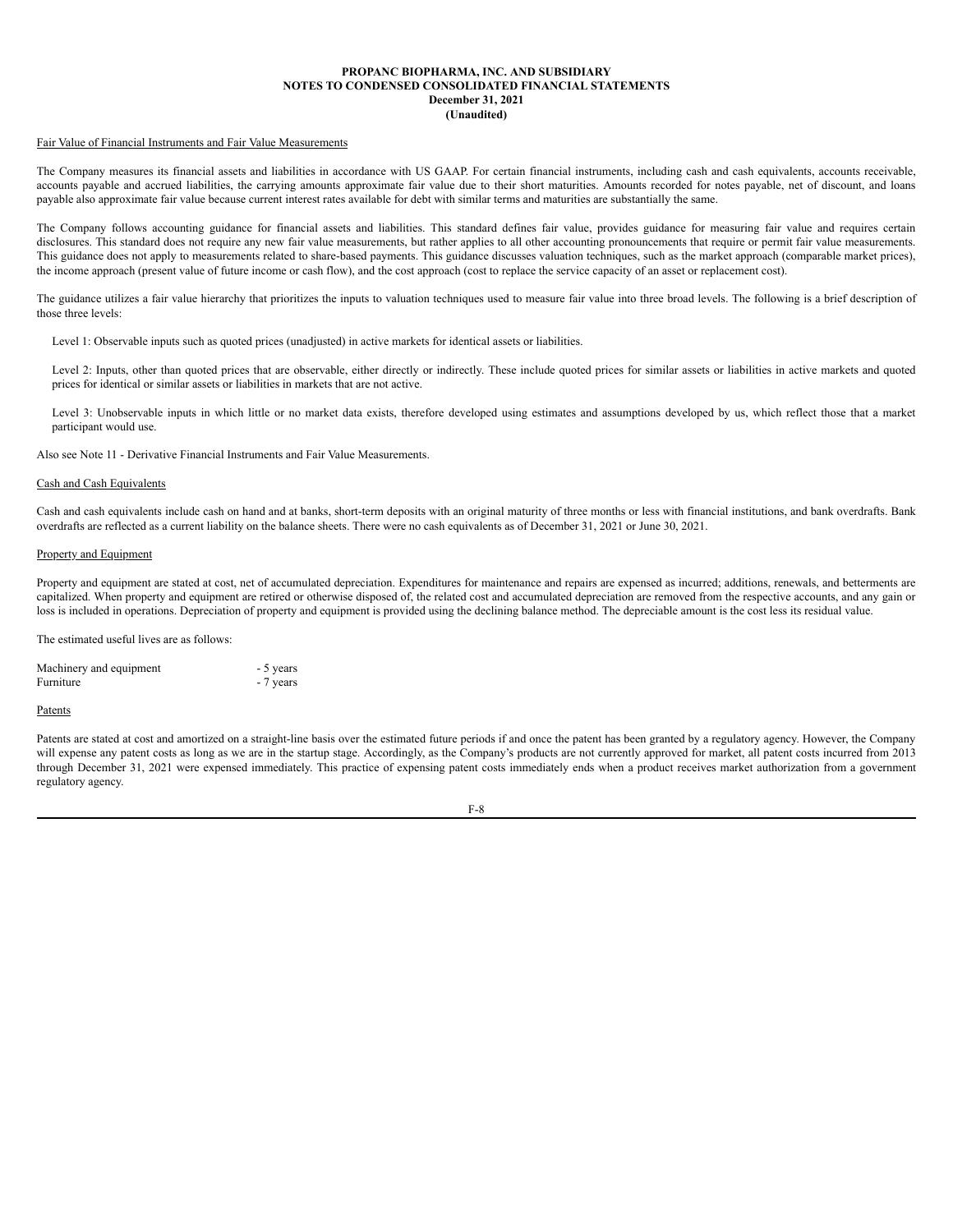### Fair Value of Financial Instruments and Fair Value Measurements

The Company measures its financial assets and liabilities in accordance with US GAAP. For certain financial instruments, including cash and cash equivalents, accounts receivable, accounts payable and accrued liabilities, the carrying amounts approximate fair value due to their short maturities. Amounts recorded for notes payable, net of discount, and loans payable also approximate fair value because current interest rates available for debt with similar terms and maturities are substantially the same.

The Company follows accounting guidance for financial assets and liabilities. This standard defines fair value, provides guidance for measuring fair value and requires certain disclosures. This standard does not require any new fair value measurements, but rather applies to all other accounting pronouncements that require or permit fair value measurements. This guidance does not apply to measurements related to share-based payments. This guidance discusses valuation techniques, such as the market approach (comparable market prices), the income approach (present value of future income or cash flow), and the cost approach (cost to replace the service capacity of an asset or replacement cost).

The guidance utilizes a fair value hierarchy that prioritizes the inputs to valuation techniques used to measure fair value into three broad levels. The following is a brief description of those three levels:

Level 1: Observable inputs such as quoted prices (unadjusted) in active markets for identical assets or liabilities.

Level 2: Inputs, other than quoted prices that are observable, either directly or indirectly. These include quoted prices for similar assets or liabilities in active markets and quoted prices for identical or similar assets or liabilities in markets that are not active.

Level 3: Unobservable inputs in which little or no market data exists, therefore developed using estimates and assumptions developed by us, which reflect those that a market participant would use.

Also see Note 11 - Derivative Financial Instruments and Fair Value Measurements.

### Cash and Cash Equivalents

Cash and cash equivalents include cash on hand and at banks, short-term deposits with an original maturity of three months or less with financial institutions, and bank overdrafts. Bank overdrafts are reflected as a current liability on the balance sheets. There were no cash equivalents as of December 31, 2021 or June 30, 2021.

# Property and Equipment

Property and equipment are stated at cost, net of accumulated depreciation. Expenditures for maintenance and repairs are expensed as incurred; additions, renewals, and betterments are capitalized. When property and equipment are retired or otherwise disposed of, the related cost and accumulated depreciation are removed from the respective accounts, and any gain or loss is included in operations. Depreciation of property and equipment is provided using the declining balance method. The depreciable amount is the cost less its residual value.

The estimated useful lives are as follows:

| Machinery and equipment | - 5 years |
|-------------------------|-----------|
| Furniture               | - 7 years |

#### Patents

Patents are stated at cost and amortized on a straight-line basis over the estimated future periods if and once the patent has been granted by a regulatory agency. However, the Company will expense any patent costs as long as we are in the startup stage. Accordingly, as the Company's products are not currently approved for market, all patent costs incurred from 2013 through December 31, 2021 were expensed immediately. This practice of expensing patent costs immediately ends when a product receives market authorization from a government regulatory agency.

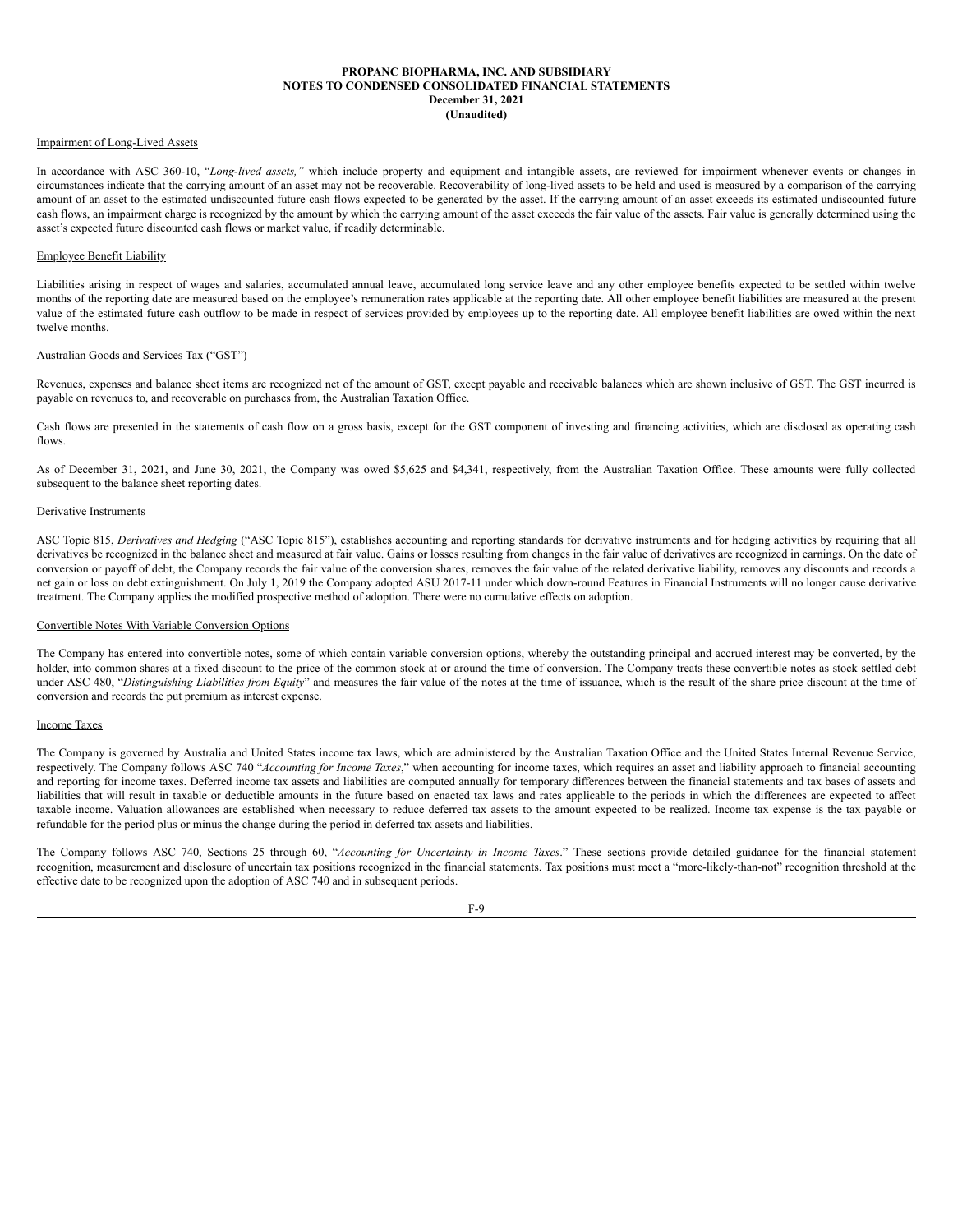### Impairment of Long-Lived Assets

In accordance with ASC 360-10, "*Long-lived assets,"* which include property and equipment and intangible assets, are reviewed for impairment whenever events or changes in circumstances indicate that the carrying amount of an asset may not be recoverable. Recoverability of long-lived assets to be held and used is measured by a comparison of the carrying amount of an asset to the estimated undiscounted future cash flows expected to be generated by the asset. If the carrying amount of an asset exceeds its estimated undiscounted future cash flows, an impairment charge is recognized by the amount by which the carrying amount of the asset exceeds the fair value of the assets. Fair value is generally determined using the asset's expected future discounted cash flows or market value, if readily determinable.

### Employee Benefit Liability

Liabilities arising in respect of wages and salaries, accumulated annual leave, accumulated long service leave and any other employee benefits expected to be settled within twelve months of the reporting date are measured based on the employee's remuneration rates applicable at the reporting date. All other employee benefit liabilities are measured at the present value of the estimated future cash outflow to be made in respect of services provided by employees up to the reporting date. All employee benefit liabilities are owed within the next twelve months.

### Australian Goods and Services Tax ("GST")

Revenues, expenses and balance sheet items are recognized net of the amount of GST, except payable and receivable balances which are shown inclusive of GST. The GST incurred is payable on revenues to, and recoverable on purchases from, the Australian Taxation Office.

Cash flows are presented in the statements of cash flow on a gross basis, except for the GST component of investing and financing activities, which are disclosed as operating cash flows.

As of December 31, 2021, and June 30, 2021, the Company was owed \$5,625 and \$4,341, respectively, from the Australian Taxation Office. These amounts were fully collected subsequent to the balance sheet reporting dates.

### Derivative Instruments

ASC Topic 815, *Derivatives and Hedging* ("ASC Topic 815"), establishes accounting and reporting standards for derivative instruments and for hedging activities by requiring that all derivatives be recognized in the balance sheet and measured at fair value. Gains or losses resulting from changes in the fair value of derivatives are recognized in earnings. On the date of conversion or payoff of debt, the Company records the fair value of the conversion shares, removes the fair value of the related derivative liability, removes any discounts and records a net gain or loss on debt extinguishment. On July 1, 2019 the Company adopted ASU 2017-11 under which down-round Features in Financial Instruments will no longer cause derivative treatment. The Company applies the modified prospective method of adoption. There were no cumulative effects on adoption.

# Convertible Notes With Variable Conversion Options

The Company has entered into convertible notes, some of which contain variable conversion options, whereby the outstanding principal and accrued interest may be converted, by the holder, into common shares at a fixed discount to the price of the common stock at or around the time of conversion. The Company treats these convertible notes as stock settled debt under ASC 480, "*Distinguishing Liabilities from Equity*" and measures the fair value of the notes at the time of issuance, which is the result of the share price discount at the time of conversion and records the put premium as interest expense.

#### Income Taxes

The Company is governed by Australia and United States income tax laws, which are administered by the Australian Taxation Office and the United States Internal Revenue Service, respectively. The Company follows ASC 740 "*Accounting for Income Taxes*," when accounting for income taxes, which requires an asset and liability approach to financial accounting and reporting for income taxes. Deferred income tax assets and liabilities are computed annually for temporary differences between the financial statements and tax bases of assets and liabilities that will result in taxable or deductible amounts in the future based on enacted tax laws and rates applicable to the periods in which the differences are expected to affect taxable income. Valuation allowances are established when necessary to reduce deferred tax assets to the amount expected to be realized. Income tax expense is the tax payable or refundable for the period plus or minus the change during the period in deferred tax assets and liabilities.

The Company follows ASC 740, Sections 25 through 60, "*Accounting for Uncertainty in Income Taxes*." These sections provide detailed guidance for the financial statement recognition, measurement and disclosure of uncertain tax positions recognized in the financial statements. Tax positions must meet a "more-likely-than-not" recognition threshold at the effective date to be recognized upon the adoption of ASC 740 and in subsequent periods.

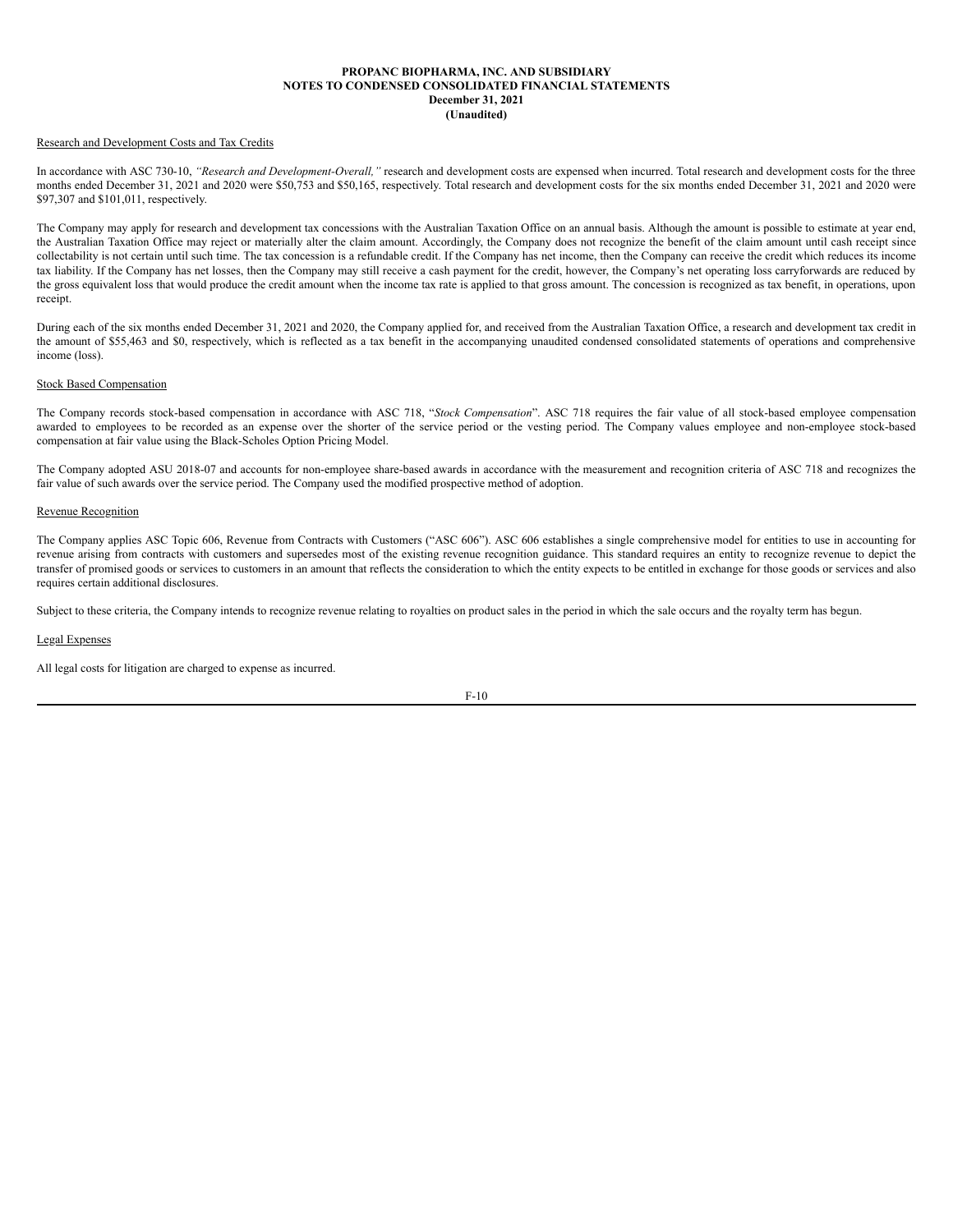### Research and Development Costs and Tax Credits

In accordance with ASC 730-10, *"Research and Development-Overall,"* research and development costs are expensed when incurred. Total research and development costs for the three months ended December 31, 2021 and 2020 were \$50,753 and \$50,165, respectively. Total research and development costs for the six months ended December 31, 2021 and 2020 were \$97,307 and \$101,011, respectively.

The Company may apply for research and development tax concessions with the Australian Taxation Office on an annual basis. Although the amount is possible to estimate at year end, the Australian Taxation Office may reject or materially alter the claim amount. Accordingly, the Company does not recognize the benefit of the claim amount until cash receipt since collectability is not certain until such time. The tax concession is a refundable credit. If the Company has net income, then the Company can receive the credit which reduces its income tax liability. If the Company has net losses, then the Company may still receive a cash payment for the credit, however, the Company's net operating loss carryforwards are reduced by the gross equivalent loss that would produce the credit amount when the income tax rate is applied to that gross amount. The concession is recognized as tax benefit, in operations, upon receipt.

During each of the six months ended December 31, 2021 and 2020, the Company applied for, and received from the Australian Taxation Office, a research and development tax credit in the amount of \$55,463 and \$0, respectively, which is reflected as a tax benefit in the accompanying unaudited condensed consolidated statements of operations and comprehensive income (loss).

### Stock Based Compensation

The Company records stock-based compensation in accordance with ASC 718, "*Stock Compensation*". ASC 718 requires the fair value of all stock-based employee compensation awarded to employees to be recorded as an expense over the shorter of the service period or the vesting period. The Company values employee and non-employee stock-based compensation at fair value using the Black-Scholes Option Pricing Model.

The Company adopted ASU 2018-07 and accounts for non-employee share-based awards in accordance with the measurement and recognition criteria of ASC 718 and recognizes the fair value of such awards over the service period. The Company used the modified prospective method of adoption.

### Revenue Recognition

The Company applies ASC Topic 606, Revenue from Contracts with Customers ("ASC 606"). ASC 606 establishes a single comprehensive model for entities to use in accounting for revenue arising from contracts with customers and supersedes most of the existing revenue recognition guidance. This standard requires an entity to recognize revenue to depict the transfer of promised goods or services to customers in an amount that reflects the consideration to which the entity expects to be entitled in exchange for those goods or services and also requires certain additional disclosures.

Subject to these criteria, the Company intends to recognize revenue relating to royalties on product sales in the period in which the sale occurs and the royalty term has begun.

### Legal Expenses

All legal costs for litigation are charged to expense as incurred.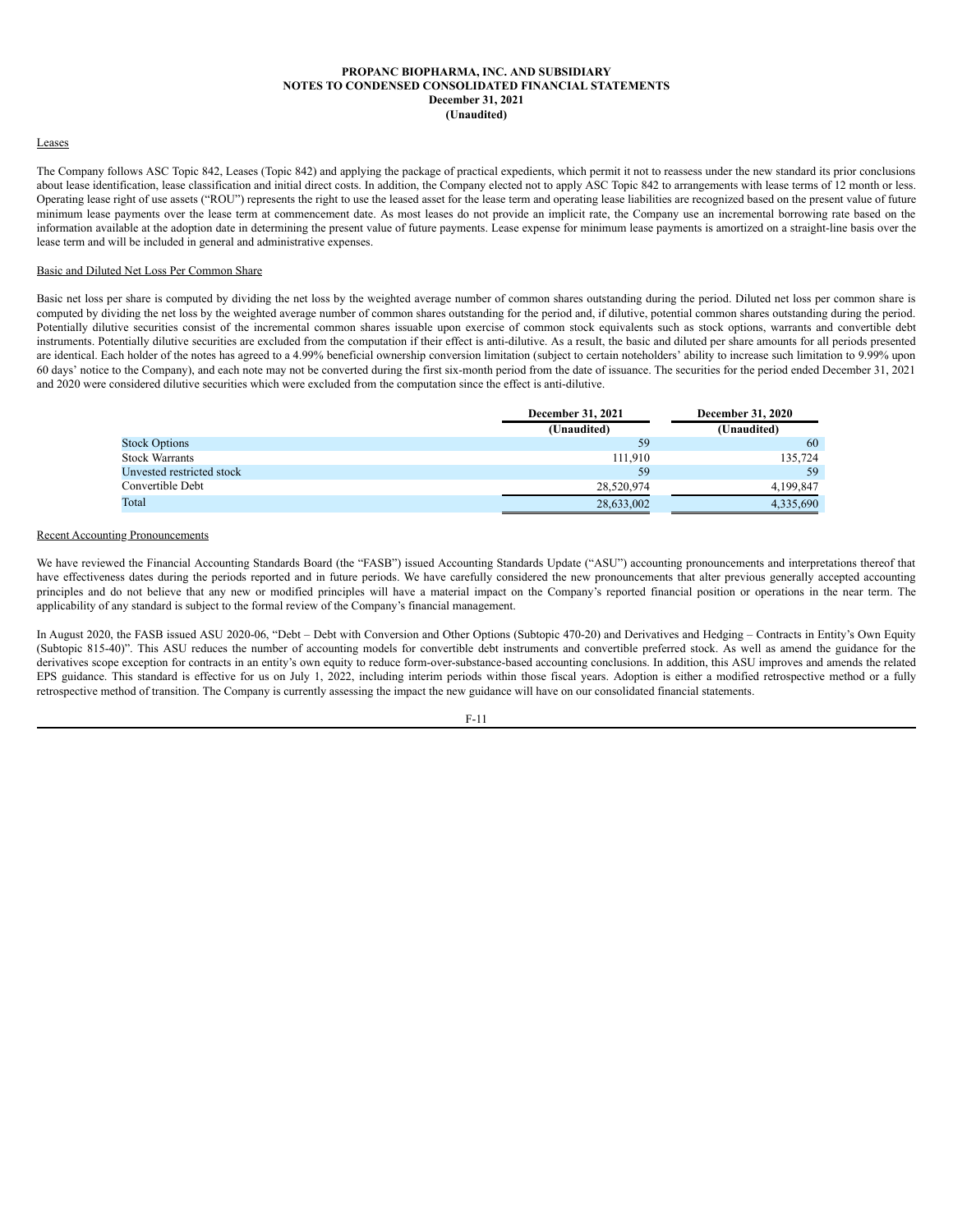### Leases

The Company follows ASC Topic 842, Leases (Topic 842) and applying the package of practical expedients, which permit it not to reassess under the new standard its prior conclusions about lease identification, lease classification and initial direct costs. In addition, the Company elected not to apply ASC Topic 842 to arrangements with lease terms of 12 month or less. Operating lease right of use assets ("ROU") represents the right to use the leased asset for the lease term and operating lease liabilities are recognized based on the present value of future minimum lease payments over the lease term at commencement date. As most leases do not provide an implicit rate, the Company use an incremental borrowing rate based on the information available at the adoption date in determining the present value of future payments. Lease expense for minimum lease payments is amortized on a straight-line basis over the lease term and will be included in general and administrative expenses.

#### Basic and Diluted Net Loss Per Common Share

Basic net loss per share is computed by dividing the net loss by the weighted average number of common shares outstanding during the period. Diluted net loss per common share is computed by dividing the net loss by the weighted average number of common shares outstanding for the period and, if dilutive, potential common shares outstanding during the period. Potentially dilutive securities consist of the incremental common shares issuable upon exercise of common stock equivalents such as stock options, warrants and convertible debt instruments. Potentially dilutive securities are excluded from the computation if their effect is anti-dilutive. As a result, the basic and diluted per share amounts for all periods presented are identical. Each holder of the notes has agreed to a 4.99% beneficial ownership conversion limitation (subject to certain noteholders' ability to increase such limitation to 9.99% upon 60 days' notice to the Company), and each note may not be converted during the first six-month period from the date of issuance. The securities for the period ended December 31, 2021 and 2020 were considered dilutive securities which were excluded from the computation since the effect is anti-dilutive.

|                           | <b>December 31, 2021</b> | December 31, 2020 |
|---------------------------|--------------------------|-------------------|
|                           | (Unaudited)              | (Unaudited)       |
| <b>Stock Options</b>      | 59                       | 60                |
| Stock Warrants            | 111.910                  | 135.724           |
| Unvested restricted stock | 59                       | 59                |
| Convertible Debt          | 28,520,974               | 4,199,847         |
| Total                     | 28,633,002               | 4,335,690         |

### Recent Accounting Pronouncements

We have reviewed the Financial Accounting Standards Board (the "FASB") issued Accounting Standards Update ("ASU") accounting pronouncements and interpretations thereof that have effectiveness dates during the periods reported and in future periods. We have carefully considered the new pronouncements that alter previous generally accepted accounting principles and do not believe that any new or modified principles will have a material impact on the Company's reported financial position or operations in the near term. The applicability of any standard is subject to the formal review of the Company's financial management.

In August 2020, the FASB issued ASU 2020-06, "Debt – Debt with Conversion and Other Options (Subtopic 470-20) and Derivatives and Hedging – Contracts in Entity's Own Equity (Subtopic 815-40)". This ASU reduces the number of accounting models for convertible debt instruments and convertible preferred stock. As well as amend the guidance for the derivatives scope exception for contracts in an entity's own equity to reduce form-over-substance-based accounting conclusions. In addition, this ASU improves and amends the related EPS guidance. This standard is effective for us on July 1, 2022, including interim periods within those fiscal years. Adoption is either a modified retrospective method or a fully retrospective method of transition. The Company is currently assessing the impact the new guidance will have on our consolidated financial statements.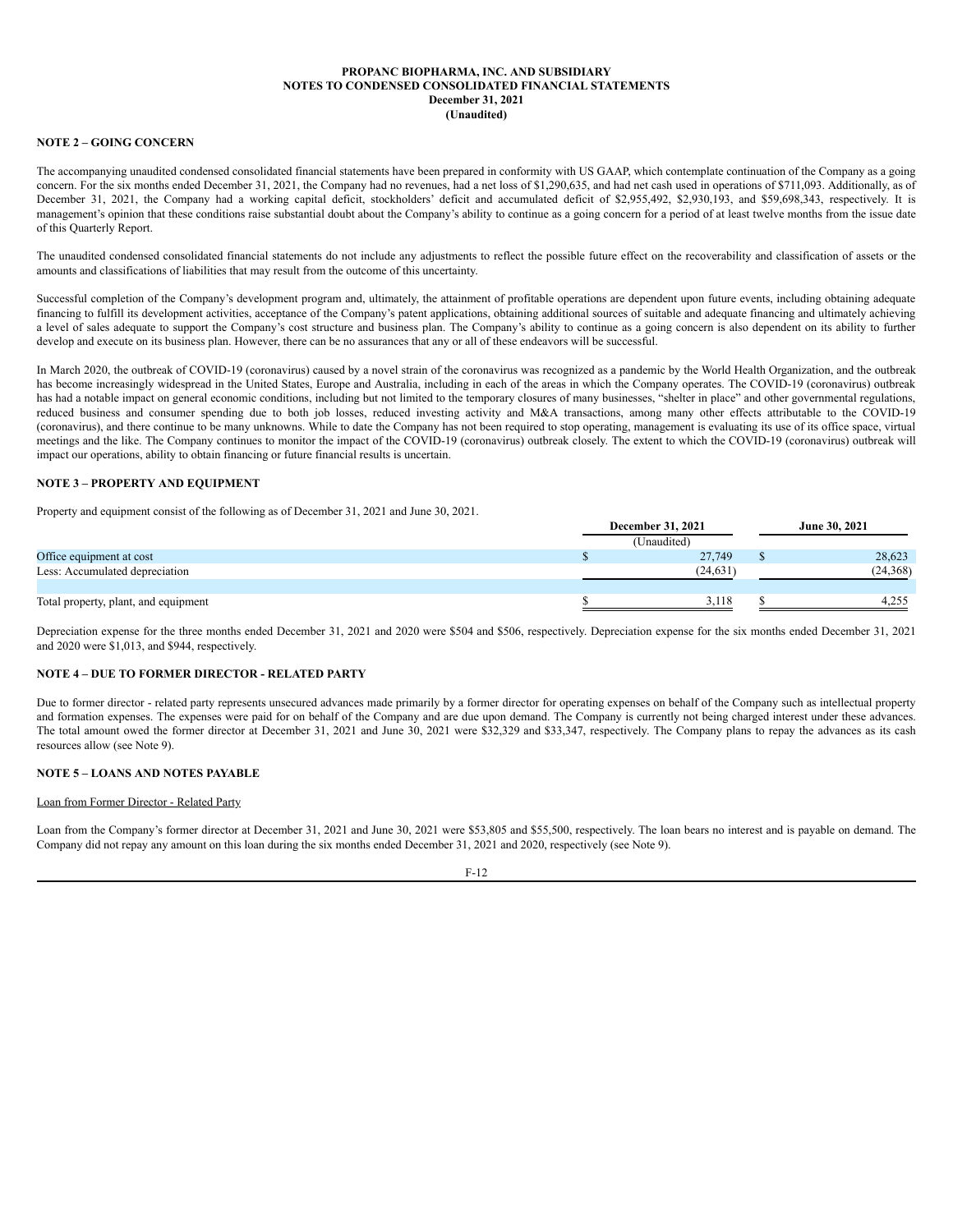### **NOTE 2 – GOING CONCERN**

The accompanying unaudited condensed consolidated financial statements have been prepared in conformity with US GAAP, which contemplate continuation of the Company as a going concern. For the six months ended December 31, 2021, the Company had no revenues, had a net loss of \$1,290,635, and had net cash used in operations of \$711,093. Additionally, as of December 31, 2021, the Company had a working capital deficit, stockholders' deficit and accumulated deficit of \$2,955,492, \$2,930,193, and \$59,698,343, respectively. It is management's opinion that these conditions raise substantial doubt about the Company's ability to continue as a going concern for a period of at least twelve months from the issue date of this Quarterly Report.

The unaudited condensed consolidated financial statements do not include any adjustments to reflect the possible future effect on the recoverability and classification of assets or the amounts and classifications of liabilities that may result from the outcome of this uncertainty.

Successful completion of the Company's development program and, ultimately, the attainment of profitable operations are dependent upon future events, including obtaining adequate financing to fulfill its development activities, acceptance of the Company's patent applications, obtaining additional sources of suitable and adequate financing and ultimately achieving a level of sales adequate to support the Company's cost structure and business plan. The Company's ability to continue as a going concern is also dependent on its ability to further develop and execute on its business plan. However, there can be no assurances that any or all of these endeavors will be successful.

In March 2020, the outbreak of COVID-19 (coronavirus) caused by a novel strain of the coronavirus was recognized as a pandemic by the World Health Organization, and the outbreak has become increasingly widespread in the United States, Europe and Australia, including in each of the areas in which the Company operates. The COVID-19 (coronavirus) outbreak has had a notable impact on general economic conditions, including but not limited to the temporary closures of many businesses, "shelter in place" and other governmental regulations, reduced business and consumer spending due to both job losses, reduced investing activity and M&A transactions, among many other effects attributable to the COVID-19 (coronavirus), and there continue to be many unknowns. While to date the Company has not been required to stop operating, management is evaluating its use of its office space, virtual meetings and the like. The Company continues to monitor the impact of the COVID-19 (coronavirus) outbreak closely. The extent to which the COVID-19 (coronavirus) outbreak will impact our operations, ability to obtain financing or future financial results is uncertain.

### **NOTE 3 – PROPERTY AND EQUIPMENT**

Property and equipment consist of the following as of December 31, 2021 and June 30, 2021.

|                                      | <b>December 31, 2021</b> |  | June 30, 2021 |  |
|--------------------------------------|--------------------------|--|---------------|--|
|                                      | (Unaudited)              |  |               |  |
| Office equipment at cost             | 27,749                   |  | 28,623        |  |
| Less: Accumulated depreciation       | (24.631)                 |  | (24, 368)     |  |
|                                      |                          |  |               |  |
| Total property, plant, and equipment | 3.118                    |  | 4.255         |  |

Depreciation expense for the three months ended December 31, 2021 and 2020 were \$504 and \$506, respectively. Depreciation expense for the six months ended December 31, 2021 and 2020 were \$1,013, and \$944, respectively.

# **NOTE 4 – DUE TO FORMER DIRECTOR - RELATED PARTY**

Due to former director - related party represents unsecured advances made primarily by a former director for operating expenses on behalf of the Company such as intellectual property and formation expenses. The expenses were paid for on behalf of the Company and are due upon demand. The Company is currently not being charged interest under these advances. The total amount owed the former director at December 31, 2021 and June 30, 2021 were \$32,329 and \$33,347, respectively. The Company plans to repay the advances as its cash resources allow (see Note 9).

### **NOTE 5 – LOANS AND NOTES PAYABLE**

# Loan from Former Director - Related Party

Loan from the Company's former director at December 31, 2021 and June 30, 2021 were \$53,805 and \$55,500, respectively. The loan bears no interest and is payable on demand. The Company did not repay any amount on this loan during the six months ended December 31, 2021 and 2020, respectively (see Note 9).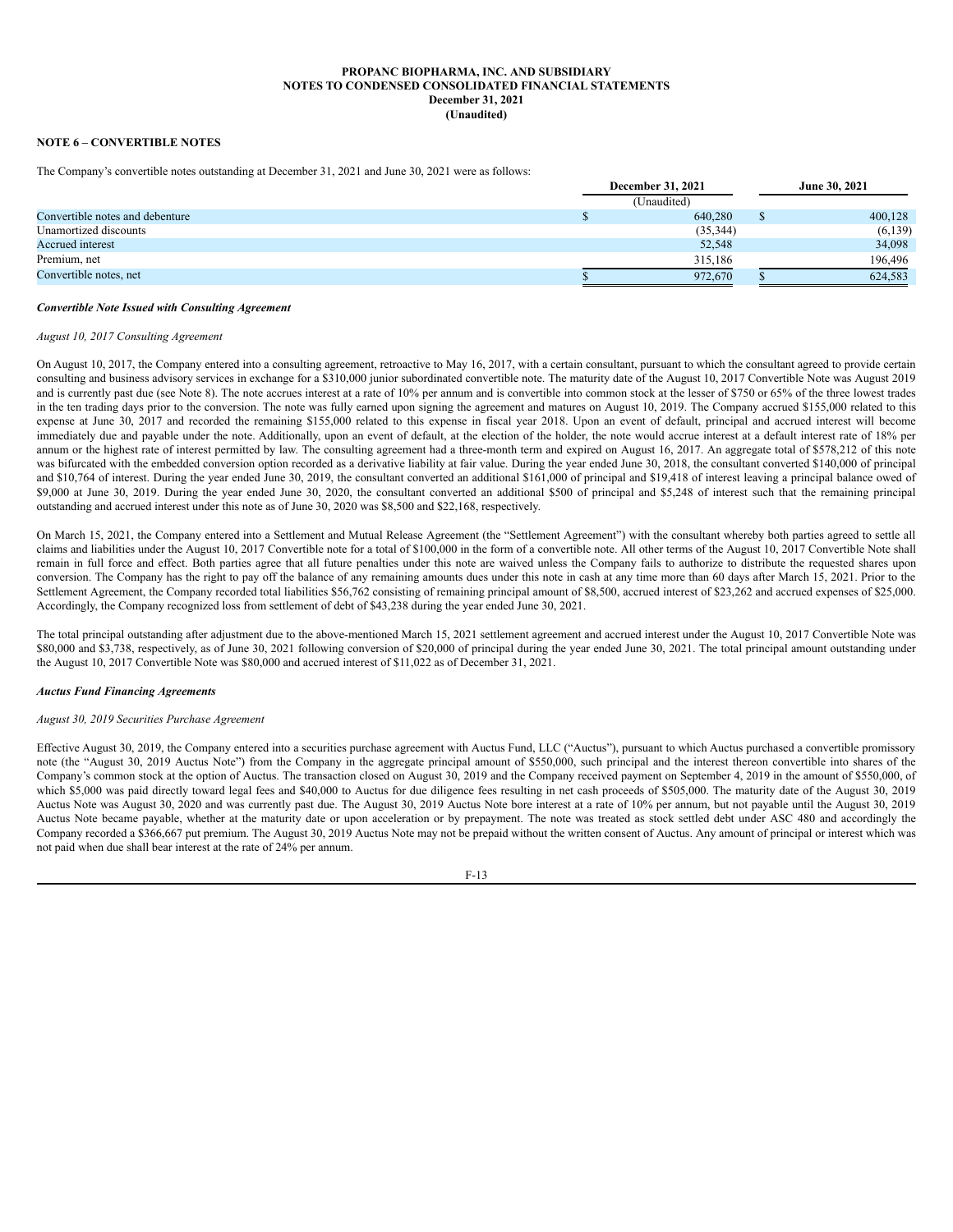# **NOTE 6 – CONVERTIBLE NOTES**

The Company's convertible notes outstanding at December 31, 2021 and June 30, 2021 were as follows:

|                                 | <b>December 31, 2021</b> |  | June 30, 2021 |  |
|---------------------------------|--------------------------|--|---------------|--|
|                                 | (Unaudited)              |  |               |  |
| Convertible notes and debenture | 640,280                  |  | 400,128       |  |
| Unamortized discounts           | (35, 344)                |  | (6, 139)      |  |
| Accrued interest                | 52,548                   |  | 34,098        |  |
| Premium, net                    | 315,186                  |  | 196,496       |  |
| Convertible notes, net          | 972.670                  |  | 624,583       |  |

### *Convertible Note Issued with Consulting Agreement*

### *August 10, 2017 Consulting Agreement*

On August 10, 2017, the Company entered into a consulting agreement, retroactive to May 16, 2017, with a certain consultant, pursuant to which the consultant agreed to provide certain consulting and business advisory services in exchange for a \$310,000 junior subordinated convertible note. The maturity date of the August 10, 2017 Convertible Note was August 2019 and is currently past due (see Note 8). The note accrues interest at a rate of 10% per annum and is convertible into common stock at the lesser of \$750 or 65% of the three lowest trades in the ten trading days prior to the conversion. The note was fully earned upon signing the agreement and matures on August 10, 2019. The Company accrued \$155,000 related to this expense at June 30, 2017 and recorded the remaining \$155,000 related to this expense in fiscal year 2018. Upon an event of default, principal and accrued interest will become immediately due and payable under the note. Additionally, upon an event of default, at the election of the holder, the note would accrue interest at a default interest rate of 18% per annum or the highest rate of interest permitted by law. The consulting agreement had a three-month term and expired on August 16, 2017. An aggregate total of \$578,212 of this note was bifurcated with the embedded conversion option recorded as a derivative liability at fair value. During the year ended June 30, 2018, the consultant converted \$140,000 of principal and \$10,764 of interest. During the year ended June 30, 2019, the consultant converted an additional \$161,000 of principal and \$19,418 of interest leaving a principal balance owed of \$9,000 at June 30, 2019. During the year ended June 30, 2020, the consultant converted an additional \$500 of principal and \$5,248 of interest such that the remaining principal outstanding and accrued interest under this note as of June 30, 2020 was \$8,500 and \$22,168, respectively.

On March 15, 2021, the Company entered into a Settlement and Mutual Release Agreement (the "Settlement Agreement") with the consultant whereby both parties agreed to settle all claims and liabilities under the August 10, 2017 Convertible note for a total of \$100,000 in the form of a convertible note. All other terms of the August 10, 2017 Convertible Note shall remain in full force and effect. Both parties agree that all future penalties under this note are waived unless the Company fails to authorize to distribute the requested shares upon conversion. The Company has the right to pay off the balance of any remaining amounts dues under this note in cash at any time more than 60 days after March 15, 2021. Prior to the Settlement Agreement, the Company recorded total liabilities \$56,762 consisting of remaining principal amount of \$8,500, accrued interest of \$23,262 and accrued expenses of \$25,000. Accordingly, the Company recognized loss from settlement of debt of \$43,238 during the year ended June 30, 2021.

The total principal outstanding after adjustment due to the above-mentioned March 15, 2021 settlement agreement and accrued interest under the August 10, 2017 Convertible Note was \$80,000 and \$3,738, respectively, as of June 30, 2021 following conversion of \$20,000 of principal during the year ended June 30, 2021. The total principal amount outstanding under the August 10, 2017 Convertible Note was \$80,000 and accrued interest of \$11,022 as of December 31, 2021.

### *Auctus Fund Financing Agreements*

### *August 30, 2019 Securities Purchase Agreement*

Effective August 30, 2019, the Company entered into a securities purchase agreement with Auctus Fund, LLC ("Auctus"), pursuant to which Auctus purchased a convertible promissory note (the "August 30, 2019 Auctus Note") from the Company in the aggregate principal amount of \$550,000, such principal and the interest thereon convertible into shares of the Company's common stock at the option of Auctus. The transaction closed on August 30, 2019 and the Company received payment on September 4, 2019 in the amount of \$550,000, of which \$5,000 was paid directly toward legal fees and \$40,000 to Auctus for due diligence fees resulting in net cash proceeds of \$505,000. The maturity date of the August 30, 2019 Auctus Note was August 30, 2020 and was currently past due. The August 30, 2019 Auctus Note bore interest at a rate of 10% per annum, but not payable until the August 30, 2019 Auctus Note became payable, whether at the maturity date or upon acceleration or by prepayment. The note was treated as stock settled debt under ASC 480 and accordingly the Company recorded a \$366,667 put premium. The August 30, 2019 Auctus Note may not be prepaid without the written consent of Auctus. Any amount of principal or interest which was not paid when due shall bear interest at the rate of 24% per annum.

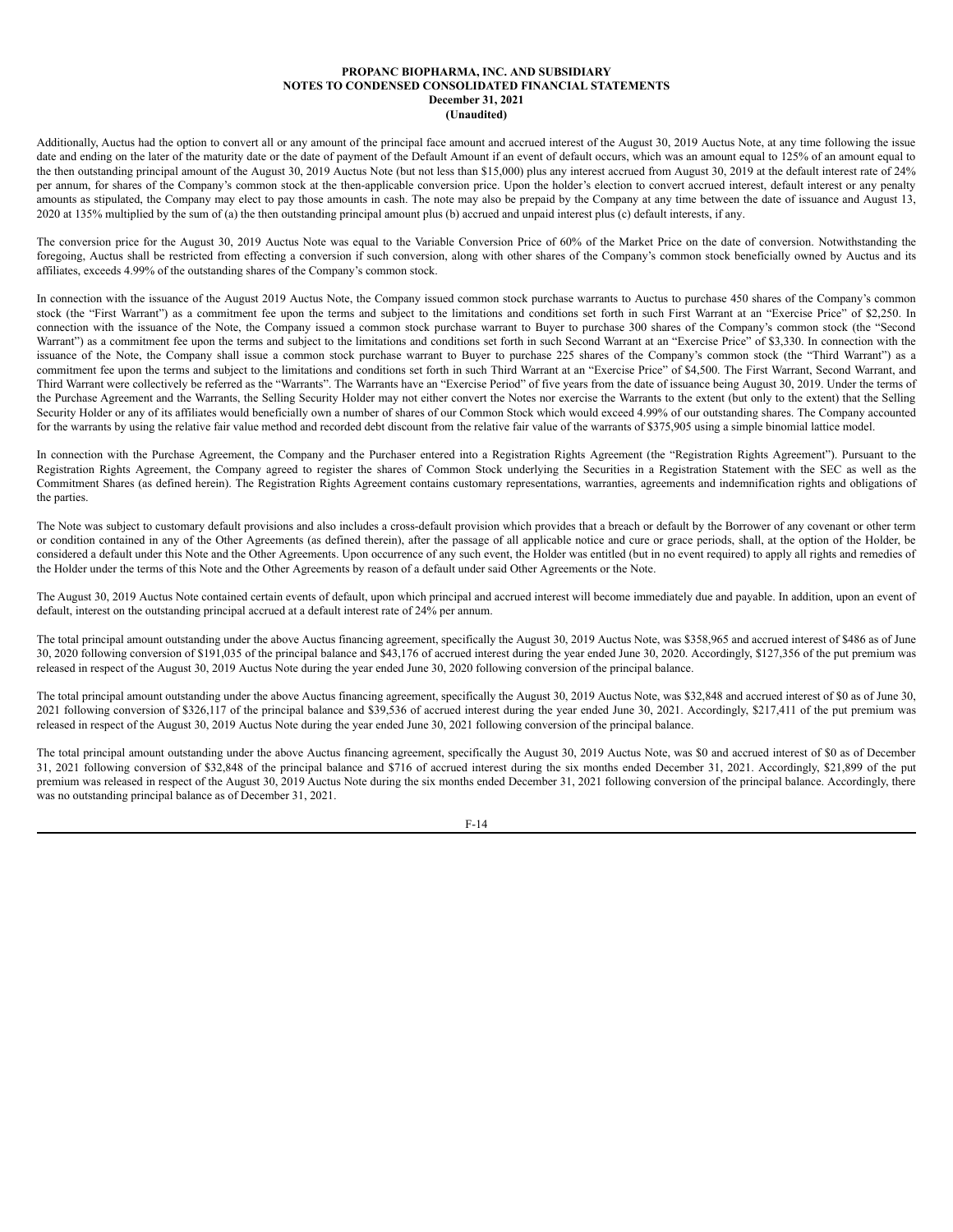Additionally, Auctus had the option to convert all or any amount of the principal face amount and accrued interest of the August 30, 2019 Auctus Note, at any time following the issue date and ending on the later of the maturity date or the date of payment of the Default Amount if an event of default occurs, which was an amount equal to 125% of an amount equal to the then outstanding principal amount of the August 30, 2019 Auctus Note (but not less than \$15,000) plus any interest accrued from August 30, 2019 at the default interest rate of 24% per annum, for shares of the Company's common stock at the then-applicable conversion price. Upon the holder's election to convert accrued interest, default interest or any penalty amounts as stipulated, the Company may elect to pay those amounts in cash. The note may also be prepaid by the Company at any time between the date of issuance and August 13, 2020 at 135% multiplied by the sum of (a) the then outstanding principal amount plus (b) accrued and unpaid interest plus (c) default interests, if any.

The conversion price for the August 30, 2019 Auctus Note was equal to the Variable Conversion Price of 60% of the Market Price on the date of conversion. Notwithstanding the foregoing, Auctus shall be restricted from effecting a conversion if such conversion, along with other shares of the Company's common stock beneficially owned by Auctus and its affiliates, exceeds 4.99% of the outstanding shares of the Company's common stock.

In connection with the issuance of the August 2019 Auctus Note, the Company issued common stock purchase warrants to Auctus to purchase 450 shares of the Company's common stock (the "First Warrant") as a commitment fee upon the terms and subject to the limitations and conditions set forth in such First Warrant at an "Exercise Price" of \$2,250. In connection with the issuance of the Note, the Company issued a common stock purchase warrant to Buyer to purchase 300 shares of the Company's common stock (the "Second Warrant") as a commitment fee upon the terms and subject to the limitations and conditions set forth in such Second Warrant at an "Exercise Price" of \$3,330. In connection with the issuance of the Note, the Company shall issue a common stock purchase warrant to Buyer to purchase 225 shares of the Company's common stock (the "Third Warrant") as a commitment fee upon the terms and subject to the limitations and conditions set forth in such Third Warrant at an "Exercise Price" of \$4,500. The First Warrant, Second Warrant, and Third Warrant were collectively be referred as the "Warrants". The Warrants have an "Exercise Period" of five years from the date of issuance being August 30, 2019. Under the terms of the Purchase Agreement and the Warrants, the Selling Security Holder may not either convert the Notes nor exercise the Warrants to the extent (but only to the extent) that the Selling Security Holder or any of its affiliates would beneficially own a number of shares of our Common Stock which would exceed 4.99% of our outstanding shares. The Company accounted for the warrants by using the relative fair value method and recorded debt discount from the relative fair value of the warrants of \$375,905 using a simple binomial lattice model.

In connection with the Purchase Agreement, the Company and the Purchaser entered into a Registration Rights Agreement (the "Registration Rights Agreement"). Pursuant to the Registration Rights Agreement, the Company agreed to register the shares of Common Stock underlying the Securities in a Registration Statement with the SEC as well as the Commitment Shares (as defined herein). The Registration Rights Agreement contains customary representations, warranties, agreements and indemnification rights and obligations of the parties.

The Note was subject to customary default provisions and also includes a cross-default provision which provides that a breach or default by the Borrower of any covenant or other term or condition contained in any of the Other Agreements (as defined therein), after the passage of all applicable notice and cure or grace periods, shall, at the option of the Holder, be considered a default under this Note and the Other Agreements. Upon occurrence of any such event, the Holder was entitled (but in no event required) to apply all rights and remedies of the Holder under the terms of this Note and the Other Agreements by reason of a default under said Other Agreements or the Note.

The August 30, 2019 Auctus Note contained certain events of default, upon which principal and accrued interest will become immediately due and payable. In addition, upon an event of default, interest on the outstanding principal accrued at a default interest rate of 24% per annum.

The total principal amount outstanding under the above Auctus financing agreement, specifically the August 30, 2019 Auctus Note, was \$358,965 and accrued interest of \$486 as of June 30, 2020 following conversion of \$191,035 of the principal balance and \$43,176 of accrued interest during the year ended June 30, 2020. Accordingly, \$127,356 of the put premium was released in respect of the August 30, 2019 Auctus Note during the year ended June 30, 2020 following conversion of the principal balance.

The total principal amount outstanding under the above Auctus financing agreement, specifically the August 30, 2019 Auctus Note, was \$32,848 and accrued interest of \$0 as of June 30, 2021 following conversion of \$326,117 of the principal balance and \$39,536 of accrued interest during the year ended June 30, 2021. Accordingly, \$217,411 of the put premium was released in respect of the August 30, 2019 Auctus Note during the year ended June 30, 2021 following conversion of the principal balance.

The total principal amount outstanding under the above Auctus financing agreement, specifically the August 30, 2019 Auctus Note, was \$0 and accrued interest of \$0 as of December 31, 2021 following conversion of \$32,848 of the principal balance and \$716 of accrued interest during the six months ended December 31, 2021. Accordingly, \$21,899 of the put premium was released in respect of the August 30, 2019 Auctus Note during the six months ended December 31, 2021 following conversion of the principal balance. Accordingly, there was no outstanding principal balance as of December 31, 2021.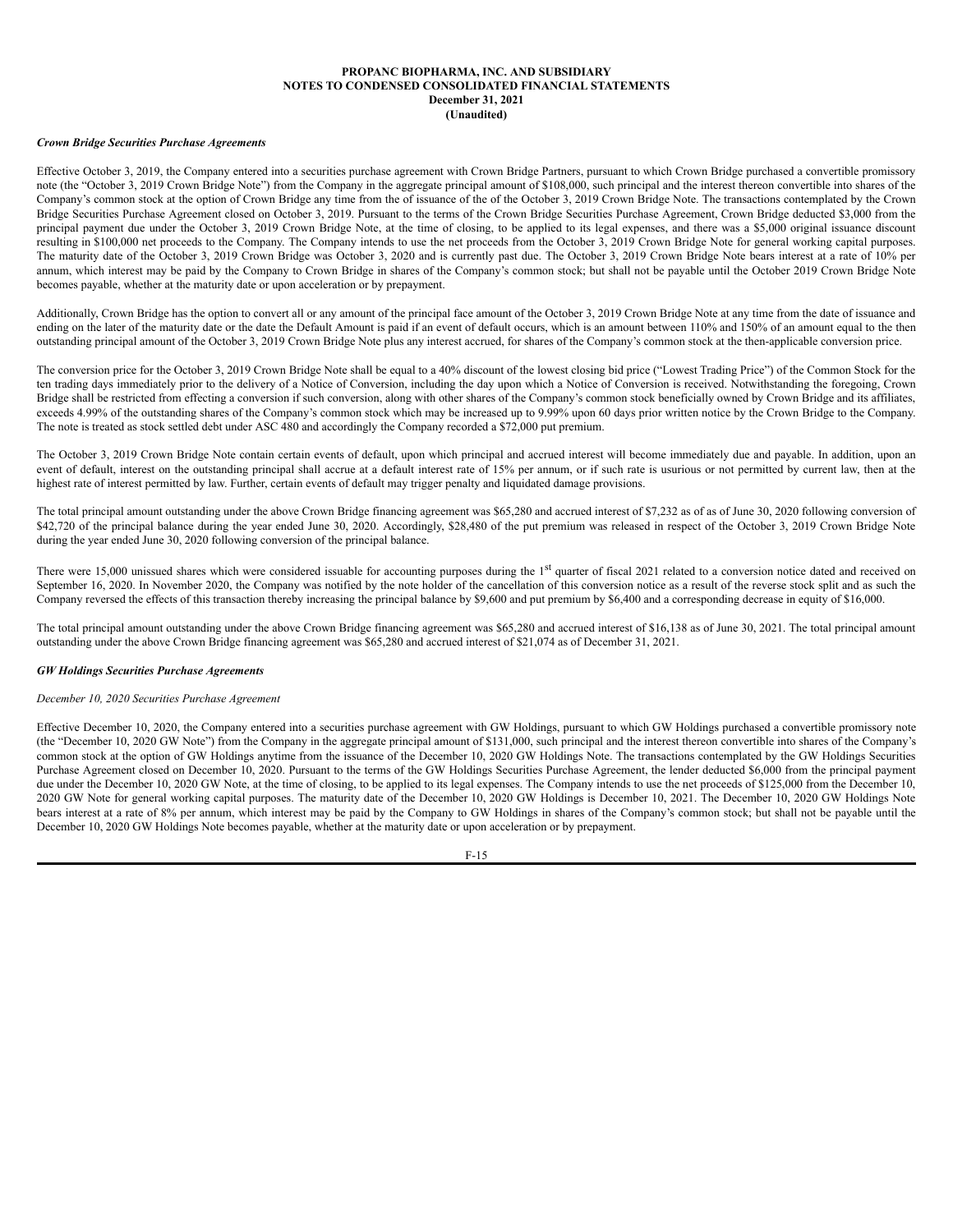### *Crown Bridge Securities Purchase Agreements*

Effective October 3, 2019, the Company entered into a securities purchase agreement with Crown Bridge Partners, pursuant to which Crown Bridge purchased a convertible promissory note (the "October 3, 2019 Crown Bridge Note") from the Company in the aggregate principal amount of \$108,000, such principal and the interest thereon convertible into shares of the Company's common stock at the option of Crown Bridge any time from the of issuance of the of the October 3, 2019 Crown Bridge Note. The transactions contemplated by the Crown Bridge Securities Purchase Agreement closed on October 3, 2019. Pursuant to the terms of the Crown Bridge Securities Purchase Agreement, Crown Bridge deducted \$3,000 from the principal payment due under the October 3, 2019 Crown Bridge Note, at the time of closing, to be applied to its legal expenses, and there was a \$5,000 original issuance discount resulting in \$100,000 net proceeds to the Company. The Company intends to use the net proceeds from the October 3, 2019 Crown Bridge Note for general working capital purposes. The maturity date of the October 3, 2019 Crown Bridge was October 3, 2020 and is currently past due. The October 3, 2019 Crown Bridge Note bears interest at a rate of 10% per annum, which interest may be paid by the Company to Crown Bridge in shares of the Company's common stock; but shall not be payable until the October 2019 Crown Bridge Note becomes payable, whether at the maturity date or upon acceleration or by prepayment.

Additionally, Crown Bridge has the option to convert all or any amount of the principal face amount of the October 3, 2019 Crown Bridge Note at any time from the date of issuance and ending on the later of the maturity date or the date the Default Amount is paid if an event of default occurs, which is an amount between 110% and 150% of an amount equal to the then outstanding principal amount of the October 3, 2019 Crown Bridge Note plus any interest accrued, for shares of the Company's common stock at the then-applicable conversion price.

The conversion price for the October 3, 2019 Crown Bridge Note shall be equal to a 40% discount of the lowest closing bid price ("Lowest Trading Price") of the Common Stock for the ten trading days immediately prior to the delivery of a Notice of Conversion, including the day upon which a Notice of Conversion is received. Notwithstanding the foregoing, Crown Bridge shall be restricted from effecting a conversion if such conversion, along with other shares of the Company's common stock beneficially owned by Crown Bridge and its affiliates, exceeds 4.99% of the outstanding shares of the Company's common stock which may be increased up to 9.99% upon 60 days prior written notice by the Crown Bridge to the Company. The note is treated as stock settled debt under ASC 480 and accordingly the Company recorded a \$72,000 put premium.

The October 3, 2019 Crown Bridge Note contain certain events of default, upon which principal and accrued interest will become immediately due and payable. In addition, upon an event of default, interest on the outstanding principal shall accrue at a default interest rate of 15% per annum, or if such rate is usurious or not permitted by current law, then at the highest rate of interest permitted by law. Further, certain events of default may trigger penalty and liquidated damage provisions.

The total principal amount outstanding under the above Crown Bridge financing agreement was \$65,280 and accrued interest of \$7,232 as of as of June 30, 2020 following conversion of \$42,720 of the principal balance during the year ended June 30, 2020. Accordingly, \$28,480 of the put premium was released in respect of the October 3, 2019 Crown Bridge Note during the year ended June 30, 2020 following conversion of the principal balance.

There were 15,000 unissued shares which were considered issuable for accounting purposes during the 1<sup>st</sup> quarter of fiscal 2021 related to a conversion notice dated and received on September 16, 2020. In November 2020, the Company was notified by the note holder of the cancellation of this conversion notice as a result of the reverse stock split and as such the Company reversed the effects of this transaction thereby increasing the principal balance by \$9,600 and put premium by \$6,400 and a corresponding decrease in equity of \$16,000.

The total principal amount outstanding under the above Crown Bridge financing agreement was \$65,280 and accrued interest of \$16,138 as of June 30, 2021. The total principal amount outstanding under the above Crown Bridge financing agreement was \$65,280 and accrued interest of \$21,074 as of December 31, 2021.

# *GW Holdings Securities Purchase Agreements*

# *December 10, 2020 Securities Purchase Agreement*

Effective December 10, 2020, the Company entered into a securities purchase agreement with GW Holdings, pursuant to which GW Holdings purchased a convertible promissory note (the "December 10, 2020 GW Note") from the Company in the aggregate principal amount of \$131,000, such principal and the interest thereon convertible into shares of the Company's common stock at the option of GW Holdings anytime from the issuance of the December 10, 2020 GW Holdings Note. The transactions contemplated by the GW Holdings Securities Purchase Agreement closed on December 10, 2020. Pursuant to the terms of the GW Holdings Securities Purchase Agreement, the lender deducted \$6,000 from the principal payment due under the December 10, 2020 GW Note, at the time of closing, to be applied to its legal expenses. The Company intends to use the net proceeds of \$125,000 from the December 10, 2020 GW Note for general working capital purposes. The maturity date of the December 10, 2020 GW Holdings is December 10, 2021. The December 10, 2020 GW Holdings Note bears interest at a rate of 8% per annum, which interest may be paid by the Company to GW Holdings in shares of the Company's common stock; but shall not be payable until the December 10, 2020 GW Holdings Note becomes payable, whether at the maturity date or upon acceleration or by prepayment.

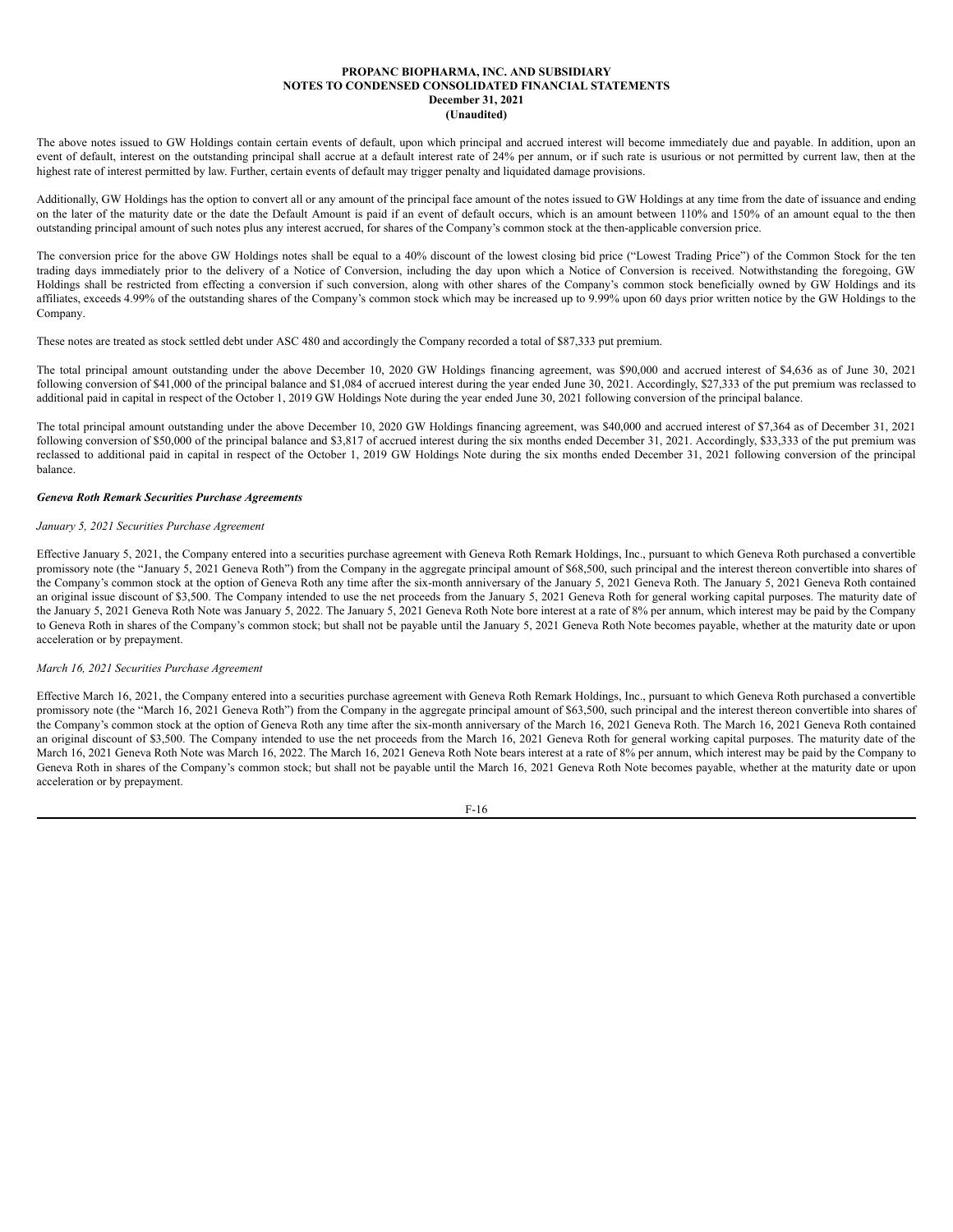The above notes issued to GW Holdings contain certain events of default, upon which principal and accrued interest will become immediately due and payable. In addition, upon an event of default, interest on the outstanding principal shall accrue at a default interest rate of 24% per annum, or if such rate is usurious or not permitted by current law, then at the highest rate of interest permitted by law. Further, certain events of default may trigger penalty and liquidated damage provisions.

Additionally, GW Holdings has the option to convert all or any amount of the principal face amount of the notes issued to GW Holdings at any time from the date of issuance and ending on the later of the maturity date or the date the Default Amount is paid if an event of default occurs, which is an amount between 110% and 150% of an amount equal to the then outstanding principal amount of such notes plus any interest accrued, for shares of the Company's common stock at the then-applicable conversion price.

The conversion price for the above GW Holdings notes shall be equal to a 40% discount of the lowest closing bid price ("Lowest Trading Price") of the Common Stock for the ten trading days immediately prior to the delivery of a Notice of Conversion, including the day upon which a Notice of Conversion is received. Notwithstanding the foregoing, GW Holdings shall be restricted from effecting a conversion if such conversion, along with other shares of the Company's common stock beneficially owned by GW Holdings and its affiliates, exceeds 4.99% of the outstanding shares of the Company's common stock which may be increased up to 9.99% upon 60 days prior written notice by the GW Holdings to the Company.

These notes are treated as stock settled debt under ASC 480 and accordingly the Company recorded a total of \$87,333 put premium.

The total principal amount outstanding under the above December 10, 2020 GW Holdings financing agreement, was \$90,000 and accrued interest of \$4,636 as of June 30, 2021 following conversion of \$41,000 of the principal balance and \$1,084 of accrued interest during the year ended June 30, 2021. Accordingly, \$27,333 of the put premium was reclassed to additional paid in capital in respect of the October 1, 2019 GW Holdings Note during the year ended June 30, 2021 following conversion of the principal balance.

The total principal amount outstanding under the above December 10, 2020 GW Holdings financing agreement, was \$40,000 and accrued interest of \$7,364 as of December 31, 2021 following conversion of \$50,000 of the principal balance and \$3,817 of accrued interest during the six months ended December 31, 2021. Accordingly, \$33,333 of the put premium was reclassed to additional paid in capital in respect of the October 1, 2019 GW Holdings Note during the six months ended December 31, 2021 following conversion of the principal balance.

# *Geneva Roth Remark Securities Purchase Agreements*

## *January 5, 2021 Securities Purchase Agreement*

Effective January 5, 2021, the Company entered into a securities purchase agreement with Geneva Roth Remark Holdings, Inc., pursuant to which Geneva Roth purchased a convertible promissory note (the "January 5, 2021 Geneva Roth") from the Company in the aggregate principal amount of \$68,500, such principal and the interest thereon convertible into shares of the Company's common stock at the option of Geneva Roth any time after the six-month anniversary of the January 5, 2021 Geneva Roth. The January 5, 2021 Geneva Roth contained an original issue discount of \$3,500. The Company intended to use the net proceeds from the January 5, 2021 Geneva Roth for general working capital purposes. The maturity date of the January 5, 2021 Geneva Roth Note was January 5, 2022. The January 5, 2021 Geneva Roth Note bore interest at a rate of 8% per annum, which interest may be paid by the Company to Geneva Roth in shares of the Company's common stock; but shall not be payable until the January 5, 2021 Geneva Roth Note becomes payable, whether at the maturity date or upon acceleration or by prepayment.

## *March 16, 2021 Securities Purchase Agreement*

Effective March 16, 2021, the Company entered into a securities purchase agreement with Geneva Roth Remark Holdings, Inc., pursuant to which Geneva Roth purchased a convertible promissory note (the "March 16, 2021 Geneva Roth") from the Company in the aggregate principal amount of \$63,500, such principal and the interest thereon convertible into shares of the Company's common stock at the option of Geneva Roth any time after the six-month anniversary of the March 16, 2021 Geneva Roth. The March 16, 2021 Geneva Roth contained an original discount of \$3,500. The Company intended to use the net proceeds from the March 16, 2021 Geneva Roth for general working capital purposes. The maturity date of the March 16, 2021 Geneva Roth Note was March 16, 2022. The March 16, 2021 Geneva Roth Note bears interest at a rate of 8% per annum, which interest may be paid by the Company to Geneva Roth in shares of the Company's common stock; but shall not be payable until the March 16, 2021 Geneva Roth Note becomes payable, whether at the maturity date or upon acceleration or by prepayment.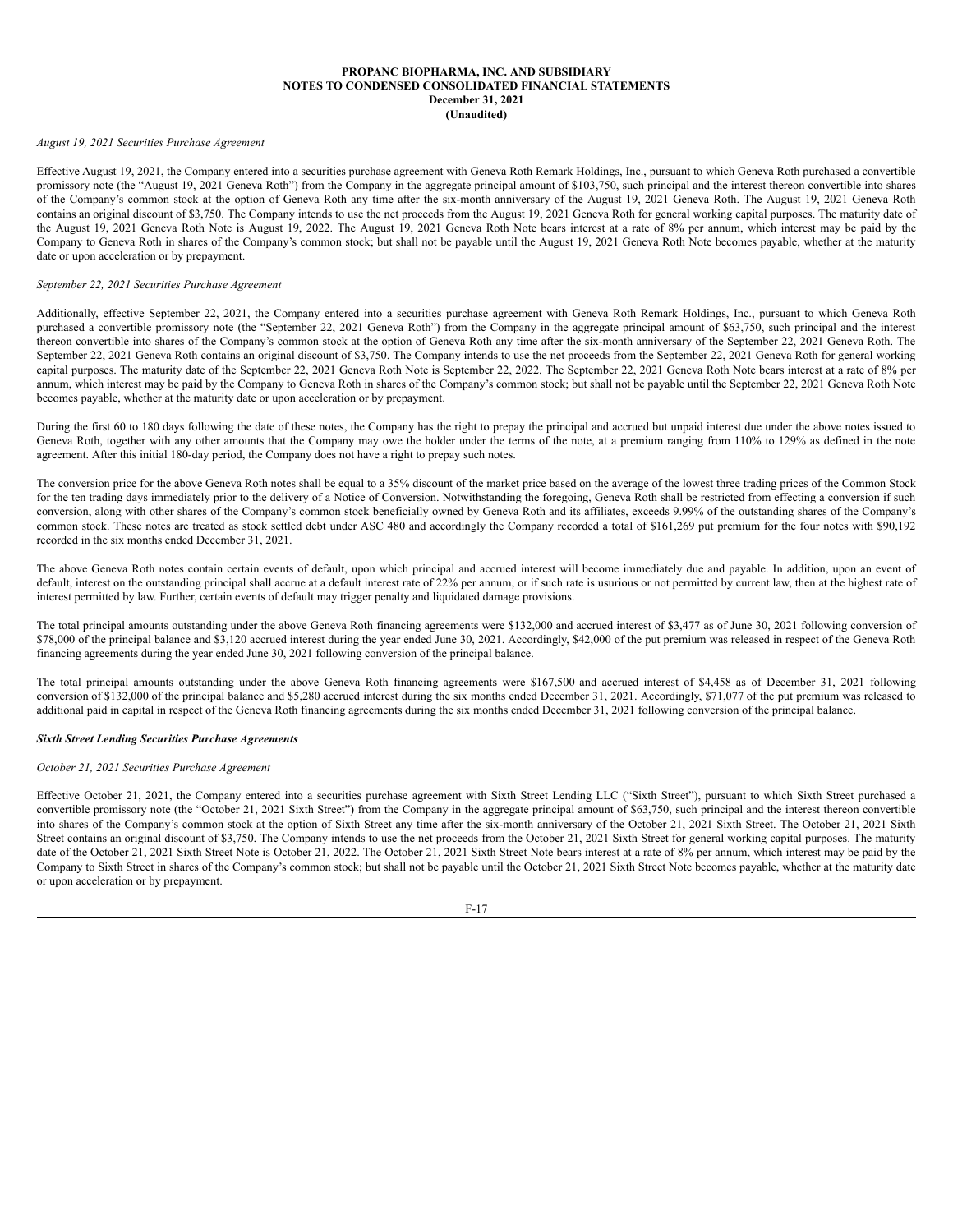# *August 19, 2021 Securities Purchase Agreement*

Effective August 19, 2021, the Company entered into a securities purchase agreement with Geneva Roth Remark Holdings, Inc., pursuant to which Geneva Roth purchased a convertible promissory note (the "August 19, 2021 Geneva Roth") from the Company in the aggregate principal amount of \$103,750, such principal and the interest thereon convertible into shares of the Company's common stock at the option of Geneva Roth any time after the six-month anniversary of the August 19, 2021 Geneva Roth. The August 19, 2021 Geneva Roth contains an original discount of \$3,750. The Company intends to use the net proceeds from the August 19, 2021 Geneva Roth for general working capital purposes. The maturity date of the August 19, 2021 Geneva Roth Note is August 19, 2022. The August 19, 2021 Geneva Roth Note bears interest at a rate of 8% per annum, which interest may be paid by the Company to Geneva Roth in shares of the Company's common stock; but shall not be payable until the August 19, 2021 Geneva Roth Note becomes payable, whether at the maturity date or upon acceleration or by prepayment.

### *September 22, 2021 Securities Purchase Agreement*

Additionally, effective September 22, 2021, the Company entered into a securities purchase agreement with Geneva Roth Remark Holdings, Inc., pursuant to which Geneva Roth purchased a convertible promissory note (the "September 22, 2021 Geneva Roth") from the Company in the aggregate principal amount of \$63,750, such principal and the interest thereon convertible into shares of the Company's common stock at the option of Geneva Roth any time after the six-month anniversary of the September 22, 2021 Geneva Roth. The September 22, 2021 Geneva Roth contains an original discount of \$3,750. The Company intends to use the net proceeds from the September 22, 2021 Geneva Roth for general working capital purposes. The maturity date of the September 22, 2021 Geneva Roth Note is September 22, 2022. The September 22, 2021 Geneva Roth Note bears interest at a rate of 8% per annum, which interest may be paid by the Company to Geneva Roth in shares of the Company's common stock; but shall not be payable until the September 22, 2021 Geneva Roth Note becomes payable, whether at the maturity date or upon acceleration or by prepayment.

During the first 60 to 180 days following the date of these notes, the Company has the right to prepay the principal and accrued but unpaid interest due under the above notes issued to Geneva Roth, together with any other amounts that the Company may owe the holder under the terms of the note, at a premium ranging from 110% to 129% as defined in the note agreement. After this initial 180-day period, the Company does not have a right to prepay such notes.

The conversion price for the above Geneva Roth notes shall be equal to a 35% discount of the market price based on the average of the lowest three trading prices of the Common Stock for the ten trading days immediately prior to the delivery of a Notice of Conversion. Notwithstanding the foregoing, Geneva Roth shall be restricted from effecting a conversion if such conversion, along with other shares of the Company's common stock beneficially owned by Geneva Roth and its affiliates, exceeds 9.99% of the outstanding shares of the Company's common stock. These notes are treated as stock settled debt under ASC 480 and accordingly the Company recorded a total of \$161,269 put premium for the four notes with \$90,192 recorded in the six months ended December 31, 2021.

The above Geneva Roth notes contain certain events of default, upon which principal and accrued interest will become immediately due and payable. In addition, upon an event of default, interest on the outstanding principal shall accrue at a default interest rate of 22% per annum, or if such rate is usurious or not permitted by current law, then at the highest rate of interest permitted by law. Further, certain events of default may trigger penalty and liquidated damage provisions.

The total principal amounts outstanding under the above Geneva Roth financing agreements were \$132,000 and accrued interest of \$3,477 as of June 30, 2021 following conversion of \$78,000 of the principal balance and \$3,120 accrued interest during the year ended June 30, 2021. Accordingly, \$42,000 of the put premium was released in respect of the Geneva Roth financing agreements during the year ended June 30, 2021 following conversion of the principal balance.

The total principal amounts outstanding under the above Geneva Roth financing agreements were \$167,500 and accrued interest of \$4,458 as of December 31, 2021 following conversion of \$132,000 of the principal balance and \$5,280 accrued interest during the six months ended December 31, 2021. Accordingly, \$71,077 of the put premium was released to additional paid in capital in respect of the Geneva Roth financing agreements during the six months ended December 31, 2021 following conversion of the principal balance.

## *Sixth Street Lending Securities Purchase Agreements*

# *October 21, 2021 Securities Purchase Agreement*

Effective October 21, 2021, the Company entered into a securities purchase agreement with Sixth Street Lending LLC ("Sixth Street"), pursuant to which Sixth Street purchased a convertible promissory note (the "October 21, 2021 Sixth Street") from the Company in the aggregate principal amount of \$63,750, such principal and the interest thereon convertible into shares of the Company's common stock at the option of Sixth Street any time after the six-month anniversary of the October 21, 2021 Sixth Street. The October 21, 2021 Sixth Street contains an original discount of \$3,750. The Company intends to use the net proceeds from the October 21, 2021 Sixth Street for general working capital purposes. The maturity date of the October 21, 2021 Sixth Street Note is October 21, 2022. The October 21, 2021 Sixth Street Note bears interest at a rate of 8% per annum, which interest may be paid by the Company to Sixth Street in shares of the Company's common stock; but shall not be payable until the October 21, 2021 Sixth Street Note becomes payable, whether at the maturity date or upon acceleration or by prepayment.

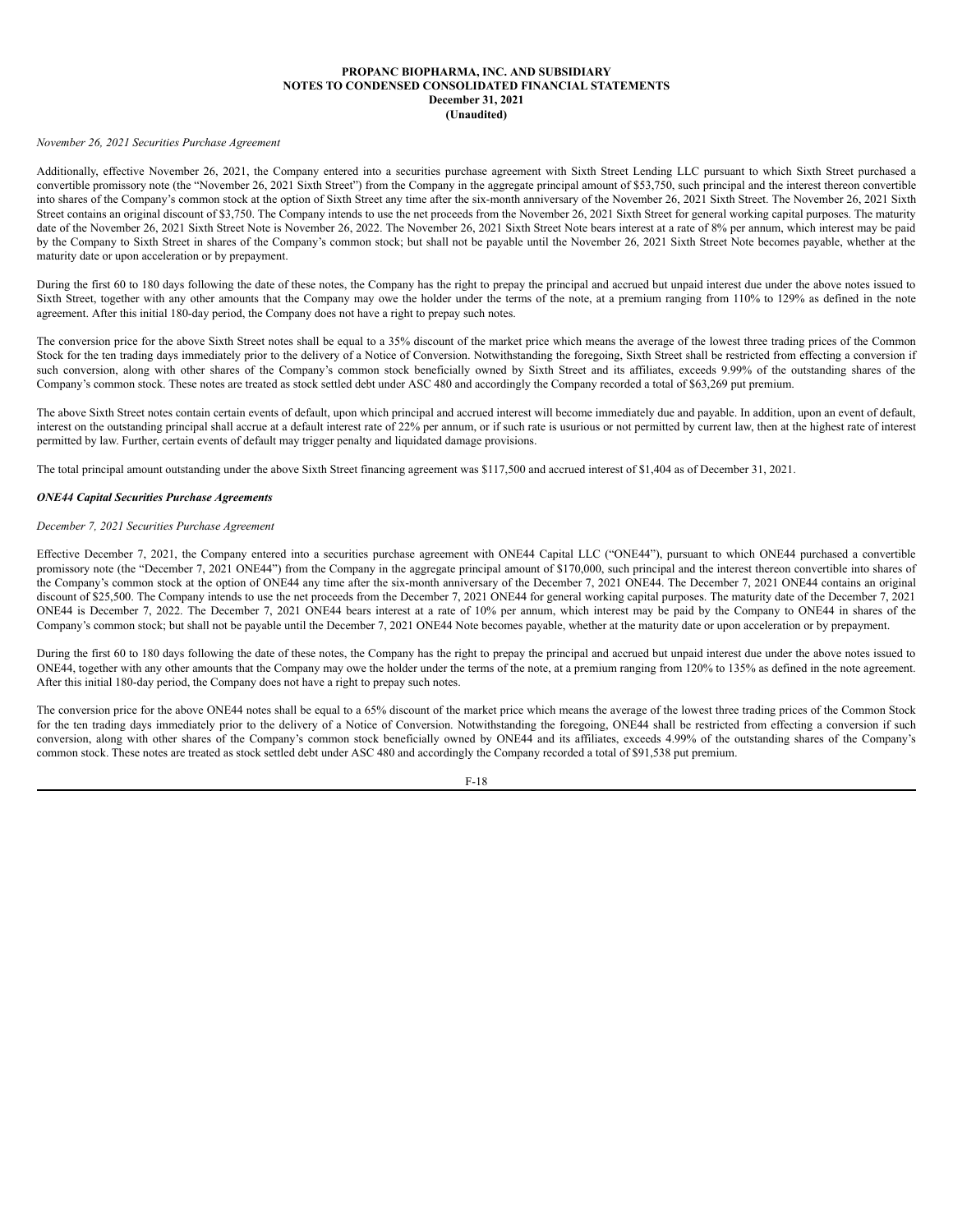## *November 26, 2021 Securities Purchase Agreement*

Additionally, effective November 26, 2021, the Company entered into a securities purchase agreement with Sixth Street Lending LLC pursuant to which Sixth Street purchased a convertible promissory note (the "November 26, 2021 Sixth Street") from the Company in the aggregate principal amount of \$53,750, such principal and the interest thereon convertible into shares of the Company's common stock at the option of Sixth Street any time after the six-month anniversary of the November 26, 2021 Sixth Street. The November 26, 2021 Sixth Street contains an original discount of \$3,750. The Company intends to use the net proceeds from the November 26, 2021 Sixth Street for general working capital purposes. The maturity date of the November 26, 2021 Sixth Street Note is November 26, 2022. The November 26, 2021 Sixth Street Note bears interest at a rate of 8% per annum, which interest may be paid by the Company to Sixth Street in shares of the Company's common stock; but shall not be payable until the November 26, 2021 Sixth Street Note becomes payable, whether at the maturity date or upon acceleration or by prepayment.

During the first 60 to 180 days following the date of these notes, the Company has the right to prepay the principal and accrued but unpaid interest due under the above notes issued to Sixth Street, together with any other amounts that the Company may owe the holder under the terms of the note, at a premium ranging from 110% to 129% as defined in the note agreement. After this initial 180-day period, the Company does not have a right to prepay such notes.

The conversion price for the above Sixth Street notes shall be equal to a 35% discount of the market price which means the average of the lowest three trading prices of the Common Stock for the ten trading days immediately prior to the delivery of a Notice of Conversion. Notwithstanding the foregoing, Sixth Street shall be restricted from effecting a conversion if such conversion, along with other shares of the Company's common stock beneficially owned by Sixth Street and its affiliates, exceeds 9.99% of the outstanding shares of the Company's common stock. These notes are treated as stock settled debt under ASC 480 and accordingly the Company recorded a total of \$63,269 put premium.

The above Sixth Street notes contain certain events of default, upon which principal and accrued interest will become immediately due and payable. In addition, upon an event of default, interest on the outstanding principal shall accrue at a default interest rate of 22% per annum, or if such rate is usurious or not permitted by current law, then at the highest rate of interest permitted by law. Further, certain events of default may trigger penalty and liquidated damage provisions.

The total principal amount outstanding under the above Sixth Street financing agreement was \$117,500 and accrued interest of \$1,404 as of December 31, 2021.

## *ONE44 Capital Securities Purchase Agreements*

### *December 7, 2021 Securities Purchase Agreement*

Effective December 7, 2021, the Company entered into a securities purchase agreement with ONE44 Capital LLC ("ONE44"), pursuant to which ONE44 purchased a convertible promissory note (the "December 7, 2021 ONE44") from the Company in the aggregate principal amount of \$170,000, such principal and the interest thereon convertible into shares of the Company's common stock at the option of ONE44 any time after the six-month anniversary of the December 7, 2021 ONE44. The December 7, 2021 ONE44 contains an original discount of \$25,500. The Company intends to use the net proceeds from the December 7, 2021 ONE44 for general working capital purposes. The maturity date of the December 7, 2021 ONE44 is December 7, 2022. The December 7, 2021 ONE44 bears interest at a rate of 10% per annum, which interest may be paid by the Company to ONE44 in shares of the Company's common stock; but shall not be payable until the December 7, 2021 ONE44 Note becomes payable, whether at the maturity date or upon acceleration or by prepayment.

During the first 60 to 180 days following the date of these notes, the Company has the right to prepay the principal and accrued but unpaid interest due under the above notes issued to ONE44, together with any other amounts that the Company may owe the holder under the terms of the note, at a premium ranging from 120% to 135% as defined in the note agreement. After this initial 180-day period, the Company does not have a right to prepay such notes.

The conversion price for the above ONE44 notes shall be equal to a 65% discount of the market price which means the average of the lowest three trading prices of the Common Stock for the ten trading days immediately prior to the delivery of a Notice of Conversion. Notwithstanding the foregoing, ONE44 shall be restricted from effecting a conversion if such conversion, along with other shares of the Company's common stock beneficially owned by ONE44 and its affiliates, exceeds 4.99% of the outstanding shares of the Company's common stock. These notes are treated as stock settled debt under ASC 480 and accordingly the Company recorded a total of \$91,538 put premium.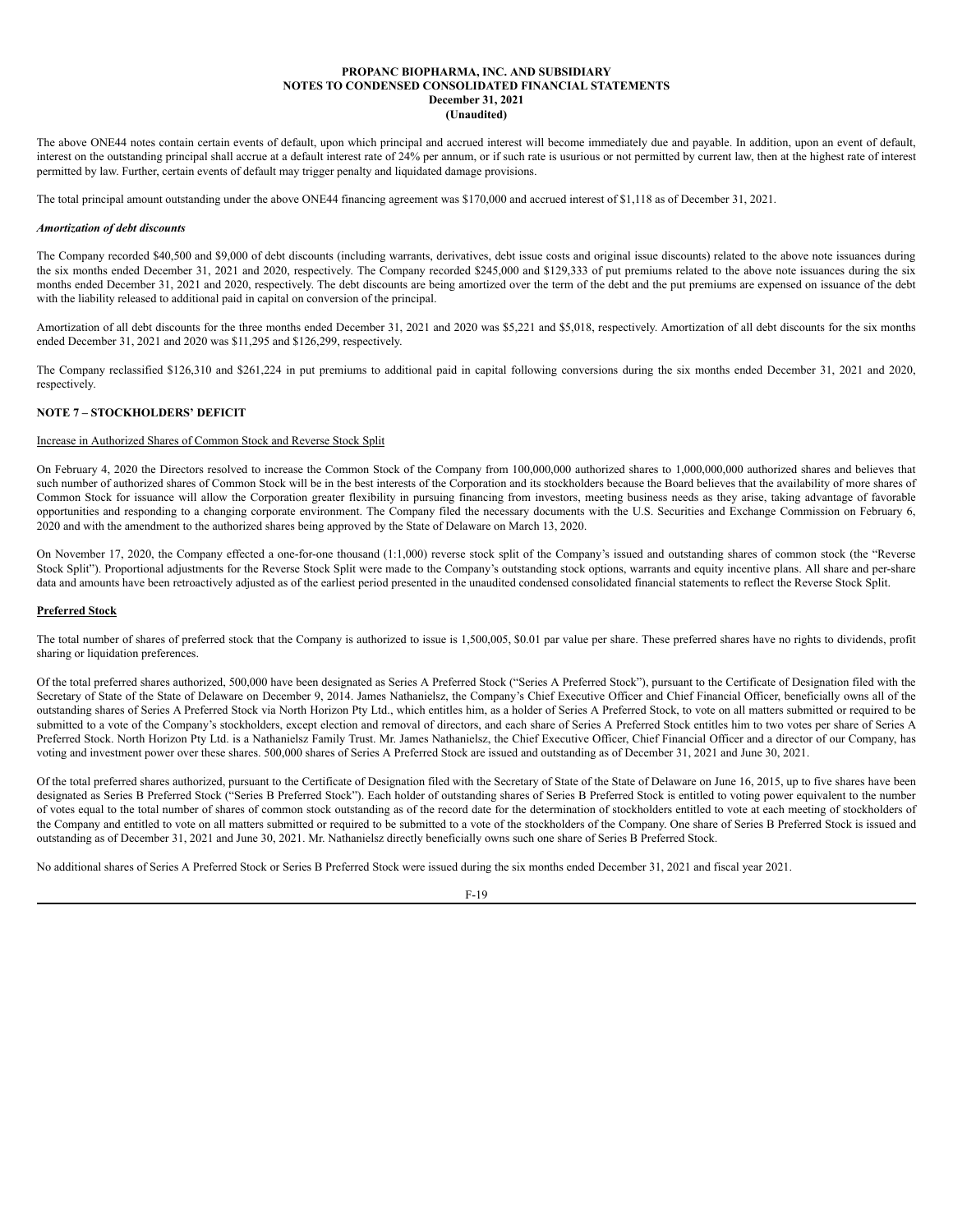The above ONE44 notes contain certain events of default, upon which principal and accrued interest will become immediately due and payable. In addition, upon an event of default, interest on the outstanding principal shall accrue at a default interest rate of 24% per annum, or if such rate is usurious or not permitted by current law, then at the highest rate of interest permitted by law. Further, certain events of default may trigger penalty and liquidated damage provisions.

The total principal amount outstanding under the above ONE44 financing agreement was \$170,000 and accrued interest of \$1,118 as of December 31, 2021.

# *Amortization of debt discounts*

The Company recorded \$40,500 and \$9,000 of debt discounts (including warrants, derivatives, debt issue costs and original issue discounts) related to the above note issuances during the six months ended December 31, 2021 and 2020, respectively. The Company recorded \$245,000 and \$129,333 of put premiums related to the above note issuances during the six months ended December 31, 2021 and 2020, respectively. The debt discounts are being amortized over the term of the debt and the put premiums are expensed on issuance of the debt with the liability released to additional paid in capital on conversion of the principal.

Amortization of all debt discounts for the three months ended December 31, 2021 and 2020 was \$5,221 and \$5,018, respectively. Amortization of all debt discounts for the six months ended December 31, 2021 and 2020 was \$11,295 and \$126,299, respectively.

The Company reclassified \$126,310 and \$261,224 in put premiums to additional paid in capital following conversions during the six months ended December 31, 2021 and 2020, respectively.

# **NOTE 7 – STOCKHOLDERS' DEFICIT**

# Increase in Authorized Shares of Common Stock and Reverse Stock Split

On February 4, 2020 the Directors resolved to increase the Common Stock of the Company from 100,000,000 authorized shares to 1,000,000,000 authorized shares and believes that such number of authorized shares of Common Stock will be in the best interests of the Corporation and its stockholders because the Board believes that the availability of more shares of Common Stock for issuance will allow the Corporation greater flexibility in pursuing financing from investors, meeting business needs as they arise, taking advantage of favorable opportunities and responding to a changing corporate environment. The Company filed the necessary documents with the U.S. Securities and Exchange Commission on February 6, 2020 and with the amendment to the authorized shares being approved by the State of Delaware on March 13, 2020.

On November 17, 2020, the Company effected a one-for-one thousand (1:1,000) reverse stock split of the Company's issued and outstanding shares of common stock (the "Reverse Stock Split"). Proportional adjustments for the Reverse Stock Split were made to the Company's outstanding stock options, warrants and equity incentive plans. All share and per-share data and amounts have been retroactively adjusted as of the earliest period presented in the unaudited condensed consolidated financial statements to reflect the Reverse Stock Split.

### **Preferred Stock**

The total number of shares of preferred stock that the Company is authorized to issue is 1,500,005, \$0.01 par value per share. These preferred shares have no rights to dividends, profit sharing or liquidation preferences.

Of the total preferred shares authorized, 500,000 have been designated as Series A Preferred Stock ("Series A Preferred Stock"), pursuant to the Certificate of Designation filed with the Secretary of State of the State of Delaware on December 9, 2014. James Nathanielsz, the Company's Chief Executive Officer and Chief Financial Officer, beneficially owns all of the outstanding shares of Series A Preferred Stock via North Horizon Pty Ltd., which entitles him, as a holder of Series A Preferred Stock, to vote on all matters submitted or required to be submitted to a vote of the Company's stockholders, except election and removal of directors, and each share of Series A Preferred Stock entitles him to two votes per share of Series A Preferred Stock. North Horizon Pty Ltd. is a Nathanielsz Family Trust. Mr. James Nathanielsz, the Chief Executive Officer, Chief Financial Officer and a director of our Company, has voting and investment power over these shares. 500,000 shares of Series A Preferred Stock are issued and outstanding as of December 31, 2021 and June 30, 2021.

Of the total preferred shares authorized, pursuant to the Certificate of Designation filed with the Secretary of State of the State of Delaware on June 16, 2015, up to five shares have been designated as Series B Preferred Stock ("Series B Preferred Stock"). Each holder of outstanding shares of Series B Preferred Stock is entitled to voting power equivalent to the number of votes equal to the total number of shares of common stock outstanding as of the record date for the determination of stockholders entitled to vote at each meeting of stockholders of the Company and entitled to vote on all matters submitted or required to be submitted to a vote of the stockholders of the Company. One share of Series B Preferred Stock is issued and outstanding as of December 31, 2021 and June 30, 2021. Mr. Nathanielsz directly beneficially owns such one share of Series B Preferred Stock.

No additional shares of Series A Preferred Stock or Series B Preferred Stock were issued during the six months ended December 31, 2021 and fiscal year 2021.

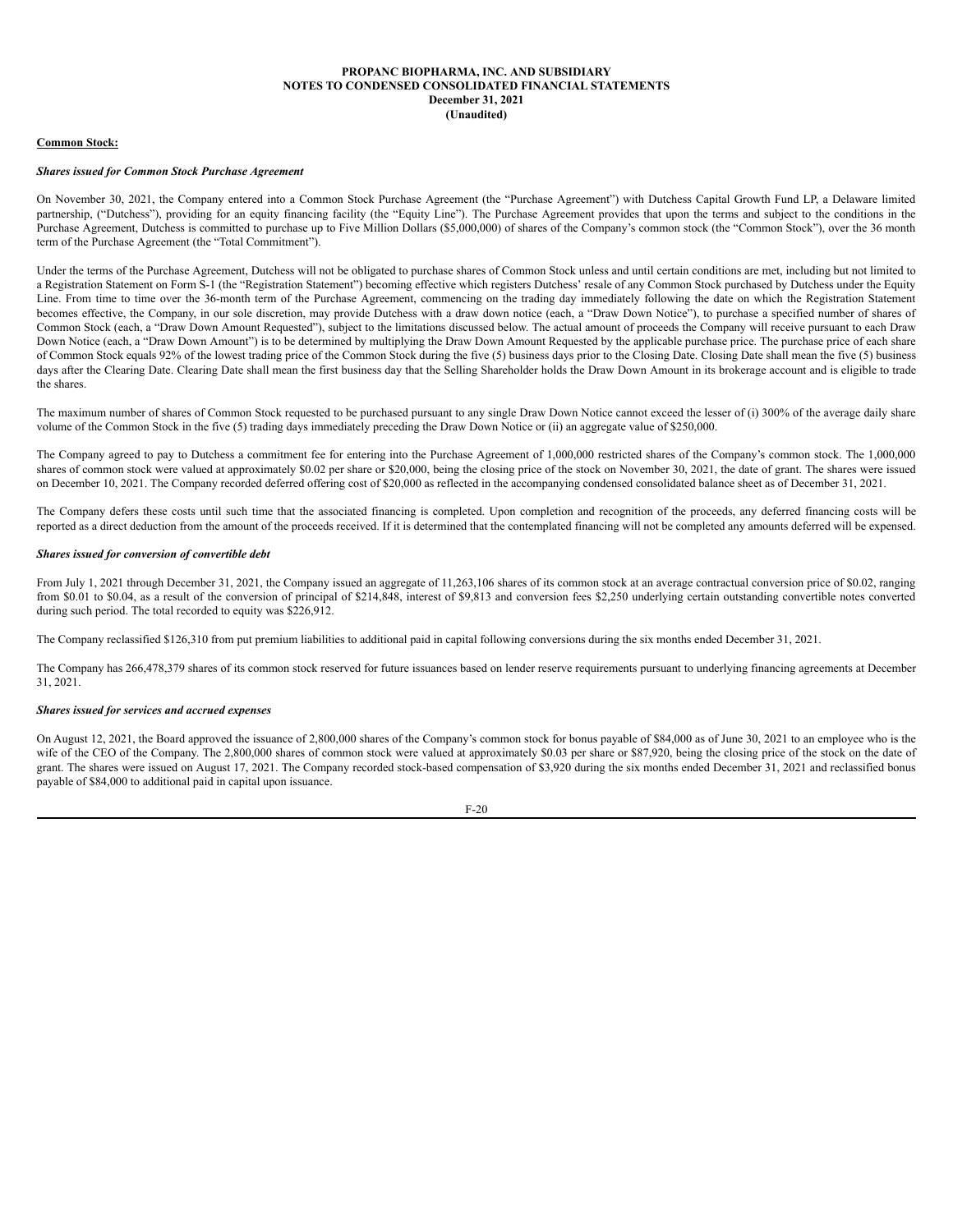### **Common Stock:**

### *Shares issued for Common Stock Purchase Agreement*

On November 30, 2021, the Company entered into a Common Stock Purchase Agreement (the "Purchase Agreement") with Dutchess Capital Growth Fund LP, a Delaware limited partnership, ("Dutchess"), providing for an equity financing facility (the "Equity Line"). The Purchase Agreement provides that upon the terms and subject to the conditions in the Purchase Agreement, Dutchess is committed to purchase up to Five Million Dollars (\$5,000,000) of shares of the Company's common stock (the "Common Stock"), over the 36 month term of the Purchase Agreement (the "Total Commitment").

Under the terms of the Purchase Agreement, Dutchess will not be obligated to purchase shares of Common Stock unless and until certain conditions are met, including but not limited to a Registration Statement on Form S-1 (the "Registration Statement") becoming effective which registers Dutchess' resale of any Common Stock purchased by Dutchess under the Equity Line. From time to time over the 36-month term of the Purchase Agreement, commencing on the trading day immediately following the date on which the Registration Statement becomes effective, the Company, in our sole discretion, may provide Dutchess with a draw down notice (each, a "Draw Down Notice"), to purchase a specified number of shares of Common Stock (each, a "Draw Down Amount Requested"), subject to the limitations discussed below. The actual amount of proceeds the Company will receive pursuant to each Draw Down Notice (each, a "Draw Down Amount") is to be determined by multiplying the Draw Down Amount Requested by the applicable purchase price. The purchase price of each share of Common Stock equals 92% of the lowest trading price of the Common Stock during the five (5) business days prior to the Closing Date. Closing Date shall mean the five (5) business days after the Clearing Date. Clearing Date shall mean the first business day that the Selling Shareholder holds the Draw Down Amount in its brokerage account and is eligible to trade the shares.

The maximum number of shares of Common Stock requested to be purchased pursuant to any single Draw Down Notice cannot exceed the lesser of (i) 300% of the average daily share volume of the Common Stock in the five (5) trading days immediately preceding the Draw Down Notice or (ii) an aggregate value of \$250,000.

The Company agreed to pay to Dutchess a commitment fee for entering into the Purchase Agreement of 1,000,000 restricted shares of the Company's common stock. The 1,000,000 shares of common stock were valued at approximately \$0.02 per share or \$20,000, being the closing price of the stock on November 30, 2021, the date of grant. The shares were issued on December 10, 2021. The Company recorded deferred offering cost of \$20,000 as reflected in the accompanying condensed consolidated balance sheet as of December 31, 2021.

The Company defers these costs until such time that the associated financing is completed. Upon completion and recognition of the proceeds, any deferred financing costs will be reported as a direct deduction from the amount of the proceeds received. If it is determined that the contemplated financing will not be completed any amounts deferred will be expensed.

## *Shares issued for conversion of convertible debt*

From July 1, 2021 through December 31, 2021, the Company issued an aggregate of 11,263,106 shares of its common stock at an average contractual conversion price of \$0.02, ranging from \$0.01 to \$0.04, as a result of the conversion of principal of \$214,848, interest of \$9,813 and conversion fees \$2,250 underlying certain outstanding convertible notes converted during such period. The total recorded to equity was \$226,912.

The Company reclassified \$126,310 from put premium liabilities to additional paid in capital following conversions during the six months ended December 31, 2021.

The Company has 266,478,379 shares of its common stock reserved for future issuances based on lender reserve requirements pursuant to underlying financing agreements at December 31, 2021.

# *Shares issued for services and accrued expenses*

On August 12, 2021, the Board approved the issuance of 2,800,000 shares of the Company's common stock for bonus payable of \$84,000 as of June 30, 2021 to an employee who is the wife of the CEO of the Company. The 2,800,000 shares of common stock were valued at approximately \$0.03 per share or \$87,920, being the closing price of the stock on the date of grant. The shares were issued on August 17, 2021. The Company recorded stock-based compensation of \$3,920 during the six months ended December 31, 2021 and reclassified bonus payable of \$84,000 to additional paid in capital upon issuance.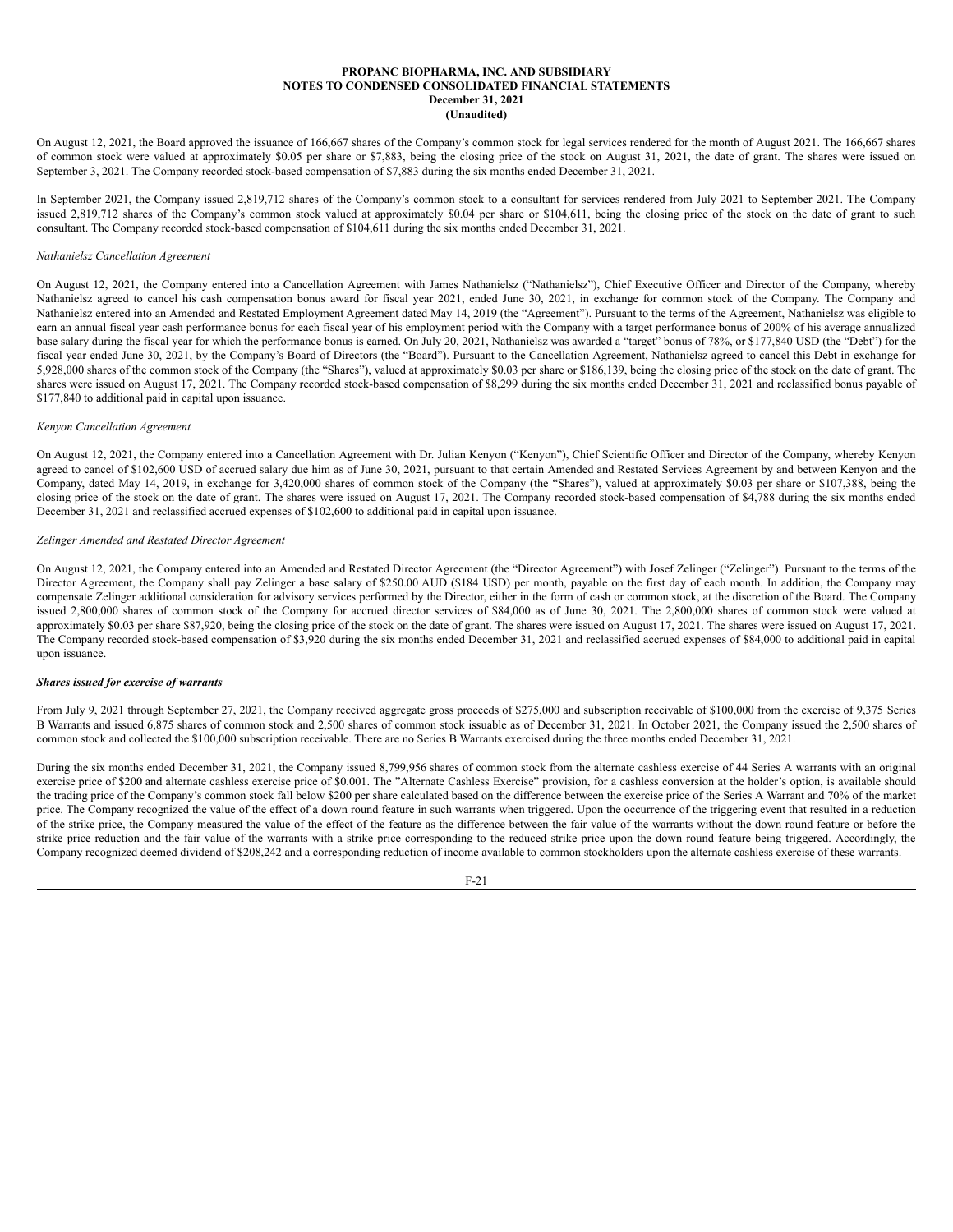On August 12, 2021, the Board approved the issuance of 166,667 shares of the Company's common stock for legal services rendered for the month of August 2021. The 166,667 shares of common stock were valued at approximately \$0.05 per share or \$7,883, being the closing price of the stock on August 31, 2021, the date of grant. The shares were issued on September 3, 2021. The Company recorded stock-based compensation of \$7,883 during the six months ended December 31, 2021.

In September 2021, the Company issued 2,819,712 shares of the Company's common stock to a consultant for services rendered from July 2021 to September 2021. The Company issued 2,819,712 shares of the Company's common stock valued at approximately \$0.04 per share or \$104,611, being the closing price of the stock on the date of grant to such consultant. The Company recorded stock-based compensation of \$104,611 during the six months ended December 31, 2021.

### *Nathanielsz Cancellation Agreement*

On August 12, 2021, the Company entered into a Cancellation Agreement with James Nathanielsz ("Nathanielsz"), Chief Executive Officer and Director of the Company, whereby Nathanielsz agreed to cancel his cash compensation bonus award for fiscal year 2021, ended June 30, 2021, in exchange for common stock of the Company. The Company and Nathanielsz entered into an Amended and Restated Employment Agreement dated May 14, 2019 (the "Agreement"). Pursuant to the terms of the Agreement, Nathanielsz was eligible to earn an annual fiscal year cash performance bonus for each fiscal year of his employment period with the Company with a target performance bonus of 200% of his average annualized base salary during the fiscal year for which the performance bonus is earned. On July 20, 2021, Nathanielsz was awarded a "target" bonus of 78%, or \$177,840 USD (the "Debt") for the fiscal year ended June 30, 2021, by the Company's Board of Directors (the "Board"). Pursuant to the Cancellation Agreement, Nathanielsz agreed to cancel this Debt in exchange for 5,928,000 shares of the common stock of the Company (the "Shares"), valued at approximately \$0.03 per share or \$186,139, being the closing price of the stock on the date of grant. The shares were issued on August 17, 2021. The Company recorded stock-based compensation of \$8,299 during the six months ended December 31, 2021 and reclassified bonus payable of \$177,840 to additional paid in capital upon issuance.

# *Kenyon Cancellation Agreement*

On August 12, 2021, the Company entered into a Cancellation Agreement with Dr. Julian Kenyon ("Kenyon"), Chief Scientific Officer and Director of the Company, whereby Kenyon agreed to cancel of \$102,600 USD of accrued salary due him as of June 30, 2021, pursuant to that certain Amended and Restated Services Agreement by and between Kenyon and the Company, dated May 14, 2019, in exchange for 3,420,000 shares of common stock of the Company (the "Shares"), valued at approximately \$0.03 per share or \$107,388, being the closing price of the stock on the date of grant. The shares were issued on August 17, 2021. The Company recorded stock-based compensation of \$4,788 during the six months ended December 31, 2021 and reclassified accrued expenses of \$102,600 to additional paid in capital upon issuance.

### *Zelinger Amended and Restated Director Agreement*

On August 12, 2021, the Company entered into an Amended and Restated Director Agreement (the "Director Agreement") with Josef Zelinger ("Zelinger"). Pursuant to the terms of the Director Agreement, the Company shall pay Zelinger a base salary of \$250.00 AUD (\$184 USD) per month, payable on the first day of each month. In addition, the Company may compensate Zelinger additional consideration for advisory services performed by the Director, either in the form of cash or common stock, at the discretion of the Board. The Company issued 2,800,000 shares of common stock of the Company for accrued director services of \$84,000 as of June 30, 2021. The 2,800,000 shares of common stock were valued at approximately \$0.03 per share \$87,920, being the closing price of the stock on the date of grant. The shares were issued on August 17, 2021. The shares were issued on August 17, 2021. The Company recorded stock-based compensation of \$3,920 during the six months ended December 31, 2021 and reclassified accrued expenses of \$84,000 to additional paid in capital upon issuance.

## *Shares issued for exercise of warrants*

From July 9, 2021 through September 27, 2021, the Company received aggregate gross proceeds of \$275,000 and subscription receivable of \$100,000 from the exercise of 9,375 Series B Warrants and issued 6,875 shares of common stock and 2,500 shares of common stock issuable as of December 31, 2021. In October 2021, the Company issued the 2,500 shares of common stock and collected the \$100,000 subscription receivable. There are no Series B Warrants exercised during the three months ended December 31, 2021.

During the six months ended December 31, 2021, the Company issued 8,799,956 shares of common stock from the alternate cashless exercise of 44 Series A warrants with an original exercise price of \$200 and alternate cashless exercise price of \$0.001. The "Alternate Cashless Exercise" provision, for a cashless conversion at the holder's option, is available should the trading price of the Company's common stock fall below \$200 per share calculated based on the difference between the exercise price of the Series A Warrant and 70% of the market price. The Company recognized the value of the effect of a down round feature in such warrants when triggered. Upon the occurrence of the triggering event that resulted in a reduction of the strike price, the Company measured the value of the effect of the feature as the difference between the fair value of the warrants without the down round feature or before the strike price reduction and the fair value of the warrants with a strike price corresponding to the reduced strike price upon the down round feature being triggered. Accordingly, the Company recognized deemed dividend of \$208,242 and a corresponding reduction of income available to common stockholders upon the alternate cashless exercise of these warrants.

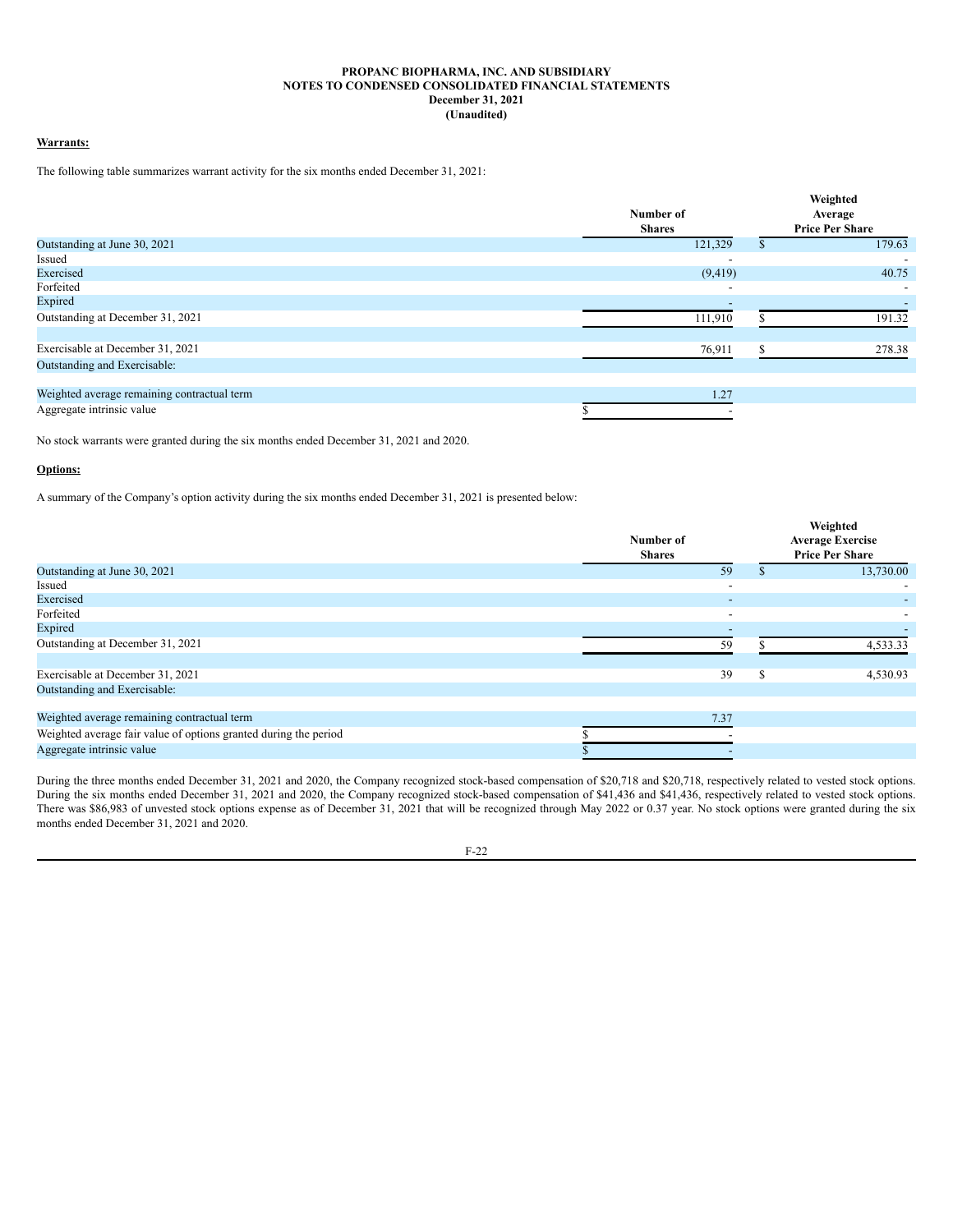# **Warrants:**

The following table summarizes warrant activity for the six months ended December 31, 2021:

|                                             |                          |   | Weighted                 |
|---------------------------------------------|--------------------------|---|--------------------------|
|                                             | Number of                |   | Average                  |
|                                             | <b>Shares</b>            |   | <b>Price Per Share</b>   |
| Outstanding at June 30, 2021                | 121,329                  |   | 179.63                   |
| Issued                                      |                          |   |                          |
| Exercised                                   | (9, 419)                 |   | 40.75                    |
| Forfeited                                   | $\overline{\phantom{a}}$ |   | $\overline{\phantom{a}}$ |
| Expired                                     |                          |   |                          |
| Outstanding at December 31, 2021            | 111,910                  |   | 191.32                   |
| Exercisable at December 31, 2021            | 76,911                   | ፍ | 278.38                   |
| Outstanding and Exercisable:                |                          |   |                          |
|                                             |                          |   |                          |
| Weighted average remaining contractual term | 1.27                     |   |                          |
| Aggregate intrinsic value                   |                          |   |                          |

No stock warrants were granted during the six months ended December 31, 2021 and 2020.

# **Options:**

A summary of the Company's option activity during the six months ended December 31, 2021 is presented below:

|                                                                  | Number of<br><b>Shares</b> |   | Weighted<br><b>Average Exercise</b><br><b>Price Per Share</b> |
|------------------------------------------------------------------|----------------------------|---|---------------------------------------------------------------|
| Outstanding at June 30, 2021                                     | 59                         |   | 13,730.00                                                     |
| Issued                                                           | $\overline{\phantom{a}}$   |   |                                                               |
| Exercised                                                        | $\overline{\phantom{a}}$   |   |                                                               |
| Forfeited                                                        | $\overline{\phantom{a}}$   |   |                                                               |
| Expired                                                          |                            |   |                                                               |
| Outstanding at December 31, 2021                                 | 59                         |   | 4,533.33                                                      |
| Exercisable at December 31, 2021                                 | 39                         | S | 4,530.93                                                      |
| Outstanding and Exercisable:                                     |                            |   |                                                               |
| Weighted average remaining contractual term                      | 7.37                       |   |                                                               |
| Weighted average fair value of options granted during the period |                            |   |                                                               |
| Aggregate intrinsic value                                        |                            |   |                                                               |

During the three months ended December 31, 2021 and 2020, the Company recognized stock-based compensation of \$20,718 and \$20,718, respectively related to vested stock options. During the six months ended December 31, 2021 and 2020, the Company recognized stock-based compensation of \$41,436 and \$41,436, respectively related to vested stock options. There was \$86,983 of unvested stock options expense as of December 31, 2021 that will be recognized through May 2022 or 0.37 year. No stock options were granted during the six months ended December 31, 2021 and 2020.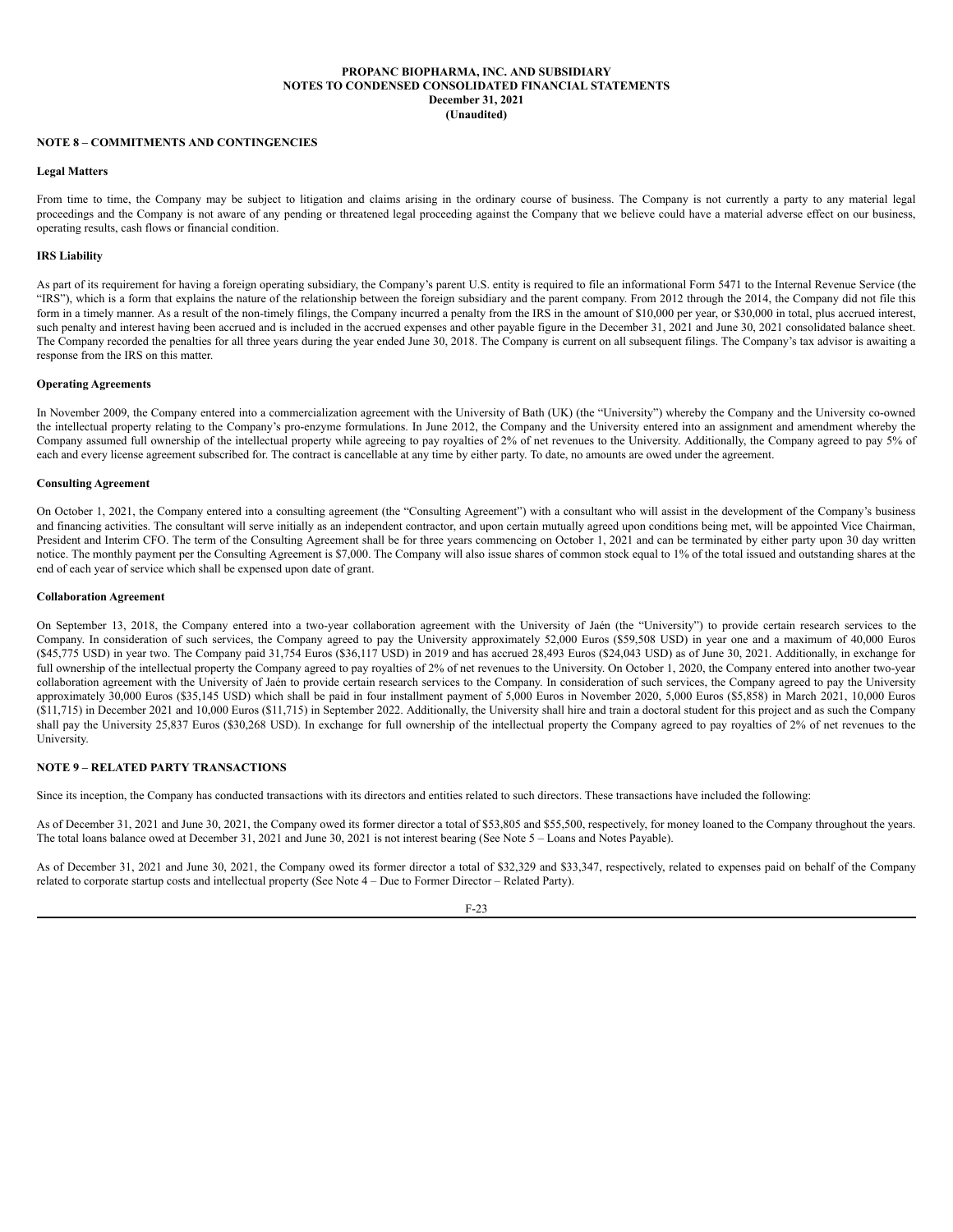### **NOTE 8 – COMMITMENTS AND CONTINGENCIES**

### **Legal Matters**

From time to time, the Company may be subject to litigation and claims arising in the ordinary course of business. The Company is not currently a party to any material legal proceedings and the Company is not aware of any pending or threatened legal proceeding against the Company that we believe could have a material adverse effect on our business, operating results, cash flows or financial condition.

### **IRS Liability**

As part of its requirement for having a foreign operating subsidiary, the Company's parent U.S. entity is required to file an informational Form 5471 to the Internal Revenue Service (the "IRS"), which is a form that explains the nature of the relationship between the foreign subsidiary and the parent company. From 2012 through the 2014, the Company did not file this form in a timely manner. As a result of the non-timely filings, the Company incurred a penalty from the IRS in the amount of \$10,000 per year, or \$30,000 in total, plus accrued interest, such penalty and interest having been accrued and is included in the accrued expenses and other payable figure in the December 31, 2021 and June 30, 2021 consolidated balance sheet. The Company recorded the penalties for all three years during the year ended June 30, 2018. The Company is current on all subsequent filings. The Company's tax advisor is awaiting a response from the IRS on this matter.

### **Operating Agreements**

In November 2009, the Company entered into a commercialization agreement with the University of Bath (UK) (the "University") whereby the Company and the University co-owned the intellectual property relating to the Company's pro-enzyme formulations. In June 2012, the Company and the University entered into an assignment and amendment whereby the Company assumed full ownership of the intellectual property while agreeing to pay royalties of 2% of net revenues to the University. Additionally, the Company agreed to pay 5% of each and every license agreement subscribed for. The contract is cancellable at any time by either party. To date, no amounts are owed under the agreement.

### **Consulting Agreement**

On October 1, 2021, the Company entered into a consulting agreement (the "Consulting Agreement") with a consultant who will assist in the development of the Company's business and financing activities. The consultant will serve initially as an independent contractor, and upon certain mutually agreed upon conditions being met, will be appointed Vice Chairman, President and Interim CFO. The term of the Consulting Agreement shall be for three years commencing on October 1, 2021 and can be terminated by either party upon 30 day written notice. The monthly payment per the Consulting Agreement is \$7,000. The Company will also issue shares of common stock equal to 1% of the total issued and outstanding shares at the end of each year of service which shall be expensed upon date of grant.

# **Collaboration Agreement**

On September 13, 2018, the Company entered into a two-year collaboration agreement with the University of Jaén (the "University") to provide certain research services to the Company. In consideration of such services, the Company agreed to pay the University approximately 52,000 Euros (\$59,508 USD) in year one and a maximum of 40,000 Euros (\$45,775 USD) in year two. The Company paid 31,754 Euros (\$36,117 USD) in 2019 and has accrued 28,493 Euros (\$24,043 USD) as of June 30, 2021. Additionally, in exchange for full ownership of the intellectual property the Company agreed to pay royalties of 2% of net revenues to the University. On October 1, 2020, the Company entered into another two-year collaboration agreement with the University of Jaén to provide certain research services to the Company. In consideration of such services, the Company agreed to pay the University approximately 30,000 Euros (\$35,145 USD) which shall be paid in four installment payment of 5,000 Euros in November 2020, 5,000 Euros (\$5,858) in March 2021, 10,000 Euros (\$11,715) in December 2021 and 10,000 Euros (\$11,715) in September 2022. Additionally, the University shall hire and train a doctoral student for this project and as such the Company shall pay the University 25,837 Euros (\$30,268 USD). In exchange for full ownership of the intellectual property the Company agreed to pay royalties of 2% of net revenues to the University.

# **NOTE 9 – RELATED PARTY TRANSACTIONS**

Since its inception, the Company has conducted transactions with its directors and entities related to such directors. These transactions have included the following:

As of December 31, 2021 and June 30, 2021, the Company owed its former director a total of \$53,805 and \$55,500, respectively, for money loaned to the Company throughout the years. The total loans balance owed at December 31, 2021 and June 30, 2021 is not interest bearing (See Note 5 – Loans and Notes Payable).

As of December 31, 2021 and June 30, 2021, the Company owed its former director a total of \$32,329 and \$33,347, respectively, related to expenses paid on behalf of the Company related to corporate startup costs and intellectual property (See Note 4 – Due to Former Director – Related Party).

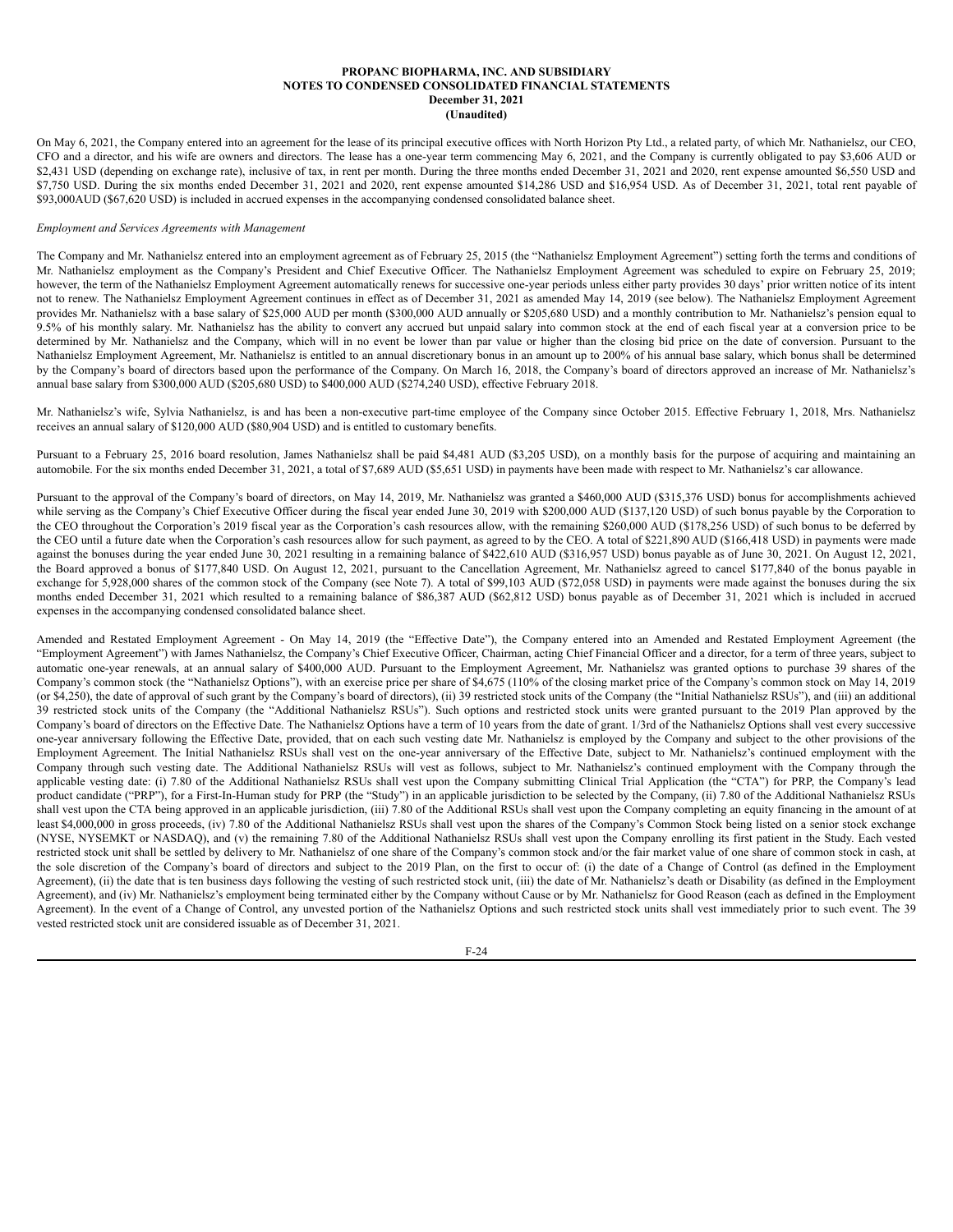On May 6, 2021, the Company entered into an agreement for the lease of its principal executive offices with North Horizon Pty Ltd., a related party, of which Mr. Nathanielsz, our CEO, CFO and a director, and his wife are owners and directors. The lease has a one-year term commencing May 6, 2021, and the Company is currently obligated to pay \$3,606 AUD or \$2,431 USD (depending on exchange rate), inclusive of tax, in rent per month. During the three months ended December 31, 2021 and 2020, rent expense amounted \$6,550 USD and \$7,750 USD. During the six months ended December 31, 2021 and 2020, rent expense amounted \$14,286 USD and \$16,954 USD. As of December 31, 2021, total rent payable of \$93,000AUD (\$67,620 USD) is included in accrued expenses in the accompanying condensed consolidated balance sheet.

# *Employment and Services Agreements with Management*

The Company and Mr. Nathanielsz entered into an employment agreement as of February 25, 2015 (the "Nathanielsz Employment Agreement") setting forth the terms and conditions of Mr. Nathanielsz employment as the Company's President and Chief Executive Officer. The Nathanielsz Employment Agreement was scheduled to expire on February 25, 2019; however, the term of the Nathanielsz Employment Agreement automatically renews for successive one-year periods unless either party provides 30 days' prior written notice of its intent not to renew. The Nathanielsz Employment Agreement continues in effect as of December 31, 2021 as amended May 14, 2019 (see below). The Nathanielsz Employment Agreement provides Mr. Nathanielsz with a base salary of \$25,000 AUD per month (\$300,000 AUD annually or \$205,680 USD) and a monthly contribution to Mr. Nathanielsz's pension equal to 9.5% of his monthly salary. Mr. Nathanielsz has the ability to convert any accrued but unpaid salary into common stock at the end of each fiscal year at a conversion price to be determined by Mr. Nathanielsz and the Company, which will in no event be lower than par value or higher than the closing bid price on the date of conversion. Pursuant to the Nathanielsz Employment Agreement, Mr. Nathanielsz is entitled to an annual discretionary bonus in an amount up to 200% of his annual base salary, which bonus shall be determined by the Company's board of directors based upon the performance of the Company. On March 16, 2018, the Company's board of directors approved an increase of Mr. Nathanielsz's annual base salary from \$300,000 AUD (\$205,680 USD) to \$400,000 AUD (\$274,240 USD), effective February 2018.

Mr. Nathanielsz's wife, Sylvia Nathanielsz, is and has been a non-executive part-time employee of the Company since October 2015. Effective February 1, 2018, Mrs. Nathanielsz receives an annual salary of \$120,000 AUD (\$80,904 USD) and is entitled to customary benefits.

Pursuant to a February 25, 2016 board resolution, James Nathanielsz shall be paid \$4,481 AUD (\$3,205 USD), on a monthly basis for the purpose of acquiring and maintaining an automobile. For the six months ended December 31, 2021, a total of \$7,689 AUD (\$5,651 USD) in payments have been made with respect to Mr. Nathanielsz's car allowance.

Pursuant to the approval of the Company's board of directors, on May 14, 2019, Mr. Nathanielsz was granted a \$460,000 AUD (\$315,376 USD) bonus for accomplishments achieved while serving as the Company's Chief Executive Officer during the fiscal year ended June 30, 2019 with \$200,000 AUD (\$137,120 USD) of such bonus payable by the Corporation to the CEO throughout the Corporation's 2019 fiscal year as the Corporation's cash resources allow, with the remaining \$260,000 AUD (\$178,256 USD) of such bonus to be deferred by the CEO until a future date when the Corporation's cash resources allow for such payment, as agreed to by the CEO. A total of \$221,890 AUD (\$166,418 USD) in payments were made against the bonuses during the year ended June 30, 2021 resulting in a remaining balance of \$422,610 AUD (\$316,957 USD) bonus payable as of June 30, 2021. On August 12, 2021, the Board approved a bonus of \$177,840 USD. On August 12, 2021, pursuant to the Cancellation Agreement, Mr. Nathanielsz agreed to cancel \$177,840 of the bonus payable in exchange for 5,928,000 shares of the common stock of the Company (see Note 7). A total of \$99,103 AUD (\$72,058 USD) in payments were made against the bonuses during the six months ended December 31, 2021 which resulted to a remaining balance of \$86,387 AUD (\$62,812 USD) bonus payable as of December 31, 2021 which is included in accrued expenses in the accompanying condensed consolidated balance sheet.

Amended and Restated Employment Agreement - On May 14, 2019 (the "Effective Date"), the Company entered into an Amended and Restated Employment Agreement (the "Employment Agreement") with James Nathanielsz, the Company's Chief Executive Officer, Chairman, acting Chief Financial Officer and a director, for a term of three years, subject to automatic one-year renewals, at an annual salary of \$400,000 AUD. Pursuant to the Employment Agreement, Mr. Nathanielsz was granted options to purchase 39 shares of the Company's common stock (the "Nathanielsz Options"), with an exercise price per share of \$4,675 (110% of the closing market price of the Company's common stock on May 14, 2019 (or \$4,250), the date of approval of such grant by the Company's board of directors), (ii) 39 restricted stock units of the Company (the "Initial Nathanielsz RSUs"), and (iii) an additional 39 restricted stock units of the Company (the "Additional Nathanielsz RSUs"). Such options and restricted stock units were granted pursuant to the 2019 Plan approved by the Company's board of directors on the Effective Date. The Nathanielsz Options have a term of 10 years from the date of grant. 1/3rd of the Nathanielsz Options shall vest every successive one-year anniversary following the Effective Date, provided, that on each such vesting date Mr. Nathanielsz is employed by the Company and subject to the other provisions of the Employment Agreement. The Initial Nathanielsz RSUs shall vest on the one-year anniversary of the Effective Date, subject to Mr. Nathanielsz's continued employment with the Company through such vesting date. The Additional Nathanielsz RSUs will vest as follows, subject to Mr. Nathanielsz's continued employment with the Company through the applicable vesting date: (i) 7.80 of the Additional Nathanielsz RSUs shall vest upon the Company submitting Clinical Trial Application (the "CTA") for PRP, the Company's lead product candidate ("PRP"), for a First-In-Human study for PRP (the "Study") in an applicable jurisdiction to be selected by the Company, (ii) 7.80 of the Additional Nathanielsz RSUs shall vest upon the CTA being approved in an applicable jurisdiction, (iii) 7.80 of the Additional RSUs shall vest upon the Company completing an equity financing in the amount of at least \$4,000,000 in gross proceeds, (iv) 7.80 of the Additional Nathanielsz RSUs shall vest upon the shares of the Company's Common Stock being listed on a senior stock exchange (NYSE, NYSEMKT or NASDAQ), and (v) the remaining 7.80 of the Additional Nathanielsz RSUs shall vest upon the Company enrolling its first patient in the Study. Each vested restricted stock unit shall be settled by delivery to Mr. Nathanielsz of one share of the Company's common stock and/or the fair market value of one share of common stock in cash, at the sole discretion of the Company's board of directors and subject to the 2019 Plan, on the first to occur of: (i) the date of a Change of Control (as defined in the Employment Agreement), (ii) the date that is ten business days following the vesting of such restricted stock unit, (iii) the date of Mr. Nathanielsz's death or Disability (as defined in the Employment Agreement), and (iv) Mr. Nathanielsz's employment being terminated either by the Company without Cause or by Mr. Nathanielsz for Good Reason (each as defined in the Employment Agreement). In the event of a Change of Control, any unvested portion of the Nathanielsz Options and such restricted stock units shall vest immediately prior to such event. The 39 vested restricted stock unit are considered issuable as of December 31, 2021.

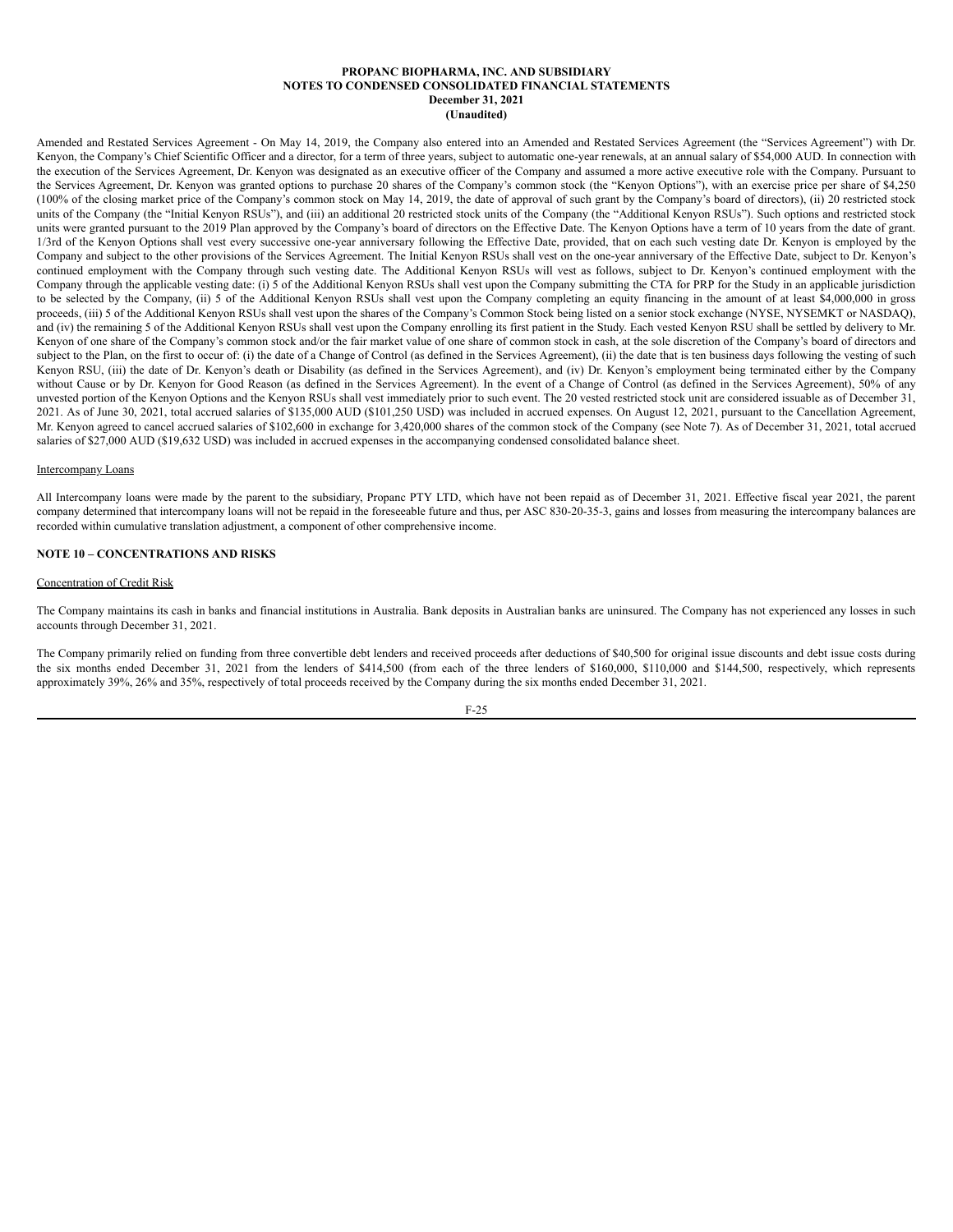Amended and Restated Services Agreement - On May 14, 2019, the Company also entered into an Amended and Restated Services Agreement (the "Services Agreement") with Dr. Kenyon, the Company's Chief Scientific Officer and a director, for a term of three years, subject to automatic one-year renewals, at an annual salary of \$54,000 AUD. In connection with the execution of the Services Agreement, Dr. Kenyon was designated as an executive officer of the Company and assumed a more active executive role with the Company. Pursuant to the Services Agreement, Dr. Kenyon was granted options to purchase 20 shares of the Company's common stock (the "Kenyon Options"), with an exercise price per share of \$4,250 (100% of the closing market price of the Company's common stock on May 14, 2019, the date of approval of such grant by the Company's board of directors), (ii) 20 restricted stock units of the Company (the "Initial Kenyon RSUs"), and (iii) an additional 20 restricted stock units of the Company (the "Additional Kenyon RSUs"). Such options and restricted stock units were granted pursuant to the 2019 Plan approved by the Company's board of directors on the Effective Date. The Kenyon Options have a term of 10 years from the date of grant. 1/3rd of the Kenyon Options shall vest every successive one-year anniversary following the Effective Date, provided, that on each such vesting date Dr. Kenyon is employed by the Company and subject to the other provisions of the Services Agreement. The Initial Kenyon RSUs shall vest on the one-year anniversary of the Effective Date, subject to Dr. Kenyon's continued employment with the Company through such vesting date. The Additional Kenyon RSUs will vest as follows, subject to Dr. Kenyon's continued employment with the Company through the applicable vesting date: (i) 5 of the Additional Kenyon RSUs shall vest upon the Company submitting the CTA for PRP for the Study in an applicable jurisdiction to be selected by the Company, (ii) 5 of the Additional Kenyon RSUs shall vest upon the Company completing an equity financing in the amount of at least \$4,000,000 in gross proceeds, (iii) 5 of the Additional Kenyon RSUs shall vest upon the shares of the Company's Common Stock being listed on a senior stock exchange (NYSE, NYSEMKT or NASDAQ), and (iv) the remaining 5 of the Additional Kenyon RSUs shall vest upon the Company enrolling its first patient in the Study. Each vested Kenyon RSU shall be settled by delivery to Mr. Kenyon of one share of the Company's common stock and/or the fair market value of one share of common stock in cash, at the sole discretion of the Company's board of directors and subject to the Plan, on the first to occur of: (i) the date of a Change of Control (as defined in the Services Agreement), (ii) the date that is ten business days following the vesting of such Kenyon RSU, (iii) the date of Dr. Kenyon's death or Disability (as defined in the Services Agreement), and (iv) Dr. Kenyon's employment being terminated either by the Company without Cause or by Dr. Kenyon for Good Reason (as defined in the Services Agreement). In the event of a Change of Control (as defined in the Services Agreement), 50% of any unvested portion of the Kenyon Options and the Kenyon RSUs shall vest immediately prior to such event. The 20 vested restricted stock unit are considered issuable as of December 31, 2021. As of June 30, 2021, total accrued salaries of \$135,000 AUD (\$101,250 USD) was included in accrued expenses. On August 12, 2021, pursuant to the Cancellation Agreement, Mr. Kenyon agreed to cancel accrued salaries of \$102,600 in exchange for 3,420,000 shares of the common stock of the Company (see Note 7). As of December 31, 2021, total accrued salaries of \$27,000 AUD (\$19,632 USD) was included in accrued expenses in the accompanying condensed consolidated balance sheet.

### Intercompany Loans

All Intercompany loans were made by the parent to the subsidiary, Propanc PTY LTD, which have not been repaid as of December 31, 2021. Effective fiscal year 2021, the parent company determined that intercompany loans will not be repaid in the foreseeable future and thus, per ASC 830-20-35-3, gains and losses from measuring the intercompany balances are recorded within cumulative translation adjustment, a component of other comprehensive income.

# **NOTE 10 – CONCENTRATIONS AND RISKS**

### Concentration of Credit Risk

The Company maintains its cash in banks and financial institutions in Australia. Bank deposits in Australian banks are uninsured. The Company has not experienced any losses in such accounts through December 31, 2021.

The Company primarily relied on funding from three convertible debt lenders and received proceeds after deductions of \$40,500 for original issue discounts and debt issue costs during the six months ended December 31, 2021 from the lenders of \$414,500 (from each of the three lenders of \$160,000, \$110,000 and \$144,500, respectively, which represents approximately 39%, 26% and 35%, respectively of total proceeds received by the Company during the six months ended December 31, 2021.

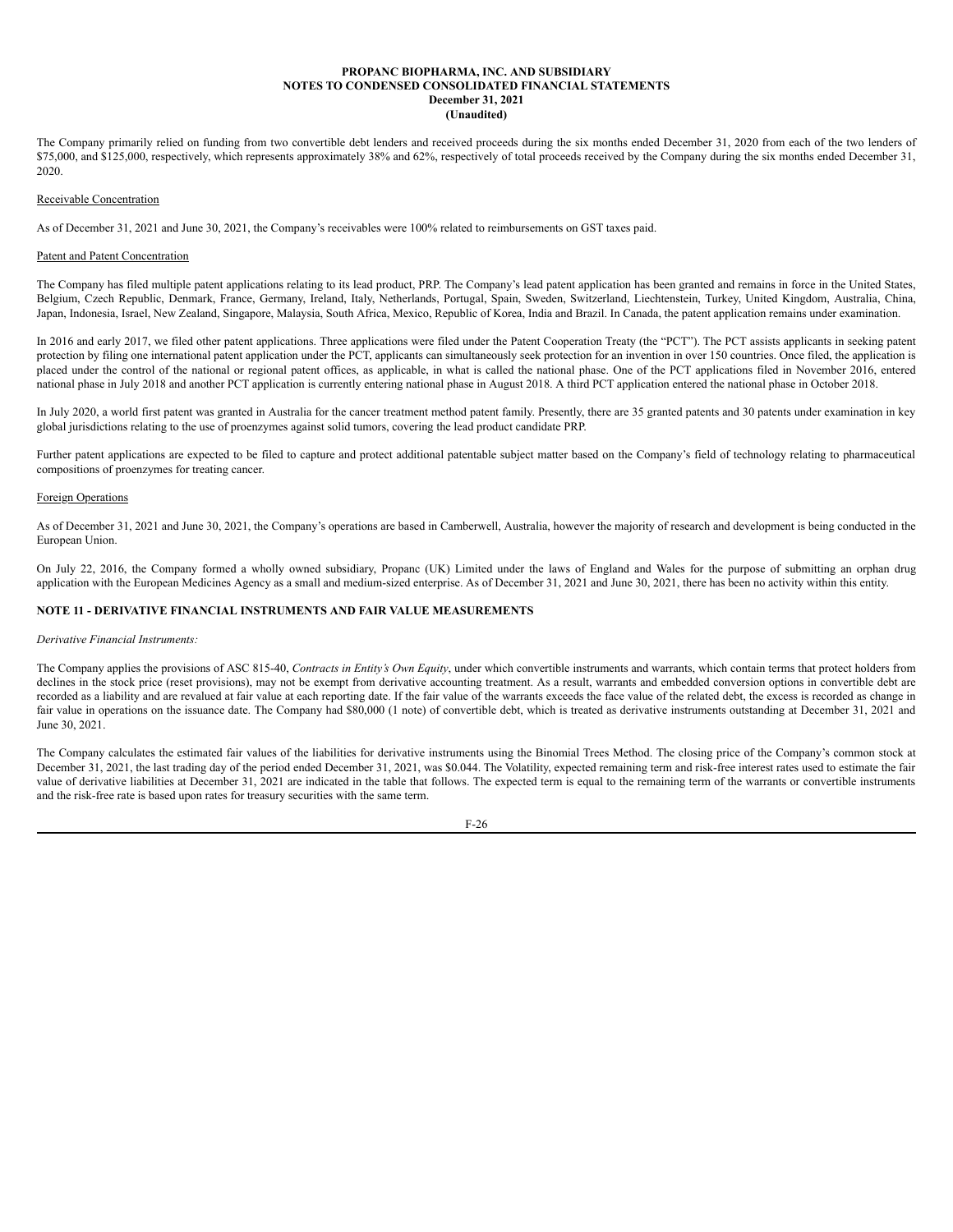The Company primarily relied on funding from two convertible debt lenders and received proceeds during the six months ended December 31, 2020 from each of the two lenders of \$75,000, and \$125,000, respectively, which represents approximately 38% and 62%, respectively of total proceeds received by the Company during the six months ended December 31, 2020.

### Receivable Concentration

As of December 31, 2021 and June 30, 2021, the Company's receivables were 100% related to reimbursements on GST taxes paid.

### Patent and Patent Concentration

The Company has filed multiple patent applications relating to its lead product, PRP. The Company's lead patent application has been granted and remains in force in the United States, Belgium, Czech Republic, Denmark, France, Germany, Ireland, Italy, Netherlands, Portugal, Spain, Sweden, Switzerland, Liechtenstein, Turkey, United Kingdom, Australia, China, Japan, Indonesia, Israel, New Zealand, Singapore, Malaysia, South Africa, Mexico, Republic of Korea, India and Brazil. In Canada, the patent application remains under examination.

In 2016 and early 2017, we filed other patent applications. Three applications were filed under the Patent Cooperation Treaty (the "PCT"). The PCT assists applicants in seeking patent protection by filing one international patent application under the PCT, applicants can simultaneously seek protection for an invention in over 150 countries. Once filed, the application is placed under the control of the national or regional patent offices, as applicable, in what is called the national phase. One of the PCT applications filed in November 2016, entered national phase in July 2018 and another PCT application is currently entering national phase in August 2018. A third PCT application entered the national phase in October 2018.

In July 2020, a world first patent was granted in Australia for the cancer treatment method patent family. Presently, there are 35 granted patents and 30 patents under examination in key global jurisdictions relating to the use of proenzymes against solid tumors, covering the lead product candidate PRP.

Further patent applications are expected to be filed to capture and protect additional patentable subject matter based on the Company's field of technology relating to pharmaceutical compositions of proenzymes for treating cancer.

### Foreign Operations

As of December 31, 2021 and June 30, 2021, the Company's operations are based in Camberwell, Australia, however the majority of research and development is being conducted in the European Union.

On July 22, 2016, the Company formed a wholly owned subsidiary, Propanc (UK) Limited under the laws of England and Wales for the purpose of submitting an orphan drug application with the European Medicines Agency as a small and medium-sized enterprise. As of December 31, 2021 and June 30, 2021, there has been no activity within this entity.

# **NOTE 11 - DERIVATIVE FINANCIAL INSTRUMENTS AND FAIR VALUE MEASUREMENTS**

### *Derivative Financial Instruments:*

The Company applies the provisions of ASC 815-40, *Contracts in Entity's Own Equity*, under which convertible instruments and warrants, which contain terms that protect holders from declines in the stock price (reset provisions), may not be exempt from derivative accounting treatment. As a result, warrants and embedded conversion options in convertible debt are recorded as a liability and are revalued at fair value at each reporting date. If the fair value of the warrants exceeds the face value of the related debt, the excess is recorded as change in fair value in operations on the issuance date. The Company had \$80,000 (1 note) of convertible debt, which is treated as derivative instruments outstanding at December 31, 2021 and June 30, 2021.

The Company calculates the estimated fair values of the liabilities for derivative instruments using the Binomial Trees Method. The closing price of the Company's common stock at December 31, 2021, the last trading day of the period ended December 31, 2021, was \$0.044. The Volatility, expected remaining term and risk-free interest rates used to estimate the fair value of derivative liabilities at December 31, 2021 are indicated in the table that follows. The expected term is equal to the remaining term of the warrants or convertible instruments and the risk-free rate is based upon rates for treasury securities with the same term.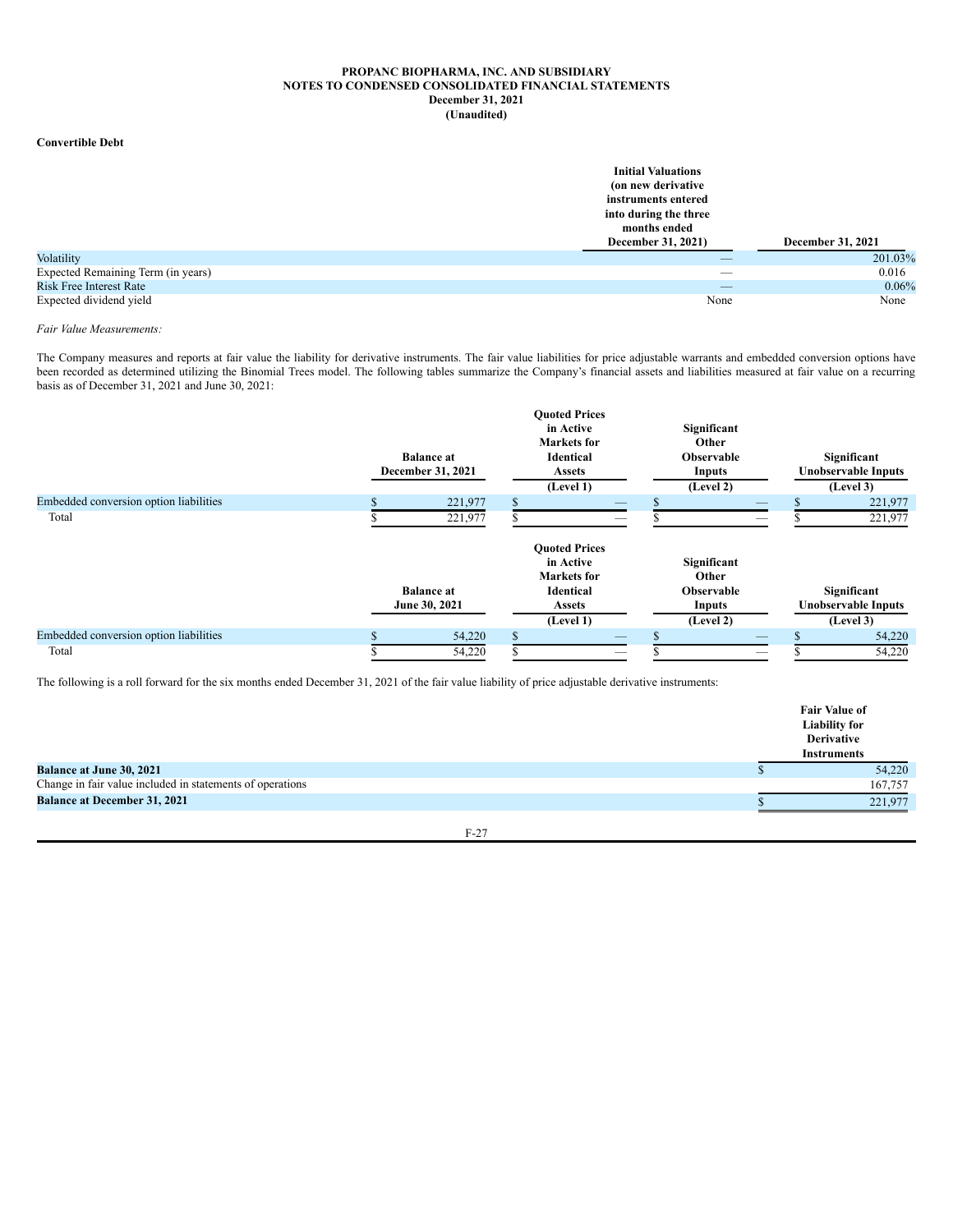### **Convertible Debt**

|                                    | <b>Initial Valuations</b> |                   |
|------------------------------------|---------------------------|-------------------|
|                                    | (on new derivative)       |                   |
|                                    | instruments entered       |                   |
|                                    | into during the three     |                   |
|                                    | months ended              |                   |
|                                    | December 31, 2021)        | December 31, 2021 |
| Volatility                         |                           | 201.03%           |
| Expected Remaining Term (in years) | _                         | 0.016             |
| <b>Risk Free Interest Rate</b>     | _                         | 0.06%             |
| Expected dividend yield            | None                      | None              |

### *Fair Value Measurements:*

The Company measures and reports at fair value the liability for derivative instruments. The fair value liabilities for price adjustable warrants and embedded conversion options have been recorded as determined utilizing the Binomial Trees model. The following tables summarize the Company's financial assets and liabilities measured at fair value on a recurring basis as of December 31, 2021 and June 30, 2021:

|                                        | <b>Balance</b> at<br>December 31, 2021 | <b>Ouoted Prices</b><br>in Active<br><b>Markets</b> for<br><b>Identical</b><br><b>Assets</b><br>(Level 1) | Significant<br>Other<br><b>Observable</b><br>Inputs<br>(Level 2) | Significant<br><b>Unobservable Inputs</b><br>(Level 3) |
|----------------------------------------|----------------------------------------|-----------------------------------------------------------------------------------------------------------|------------------------------------------------------------------|--------------------------------------------------------|
| Embedded conversion option liabilities | 221,977                                |                                                                                                           |                                                                  | 221,977                                                |
| Total                                  | 221,977                                |                                                                                                           |                                                                  | 221,977                                                |
|                                        | <b>Balance at</b><br>June 30, 2021     | <b>Ouoted Prices</b><br>in Active<br><b>Markets</b> for<br><b>Identical</b><br>Assets                     | Significant<br>Other<br><b>Observable</b><br>Inputs              | Significant<br><b>Unobservable Inputs</b>              |
|                                        |                                        | (Level 1)                                                                                                 | (Level 2)                                                        | (Level 3)                                              |
| Embedded conversion option liabilities | 54,220                                 |                                                                                                           |                                                                  | 54,220                                                 |
| Total                                  | 54,220                                 |                                                                                                           |                                                                  | 54,220                                                 |

The following is a roll forward for the six months ended December 31, 2021 of the fair value liability of price adjustable derivative instruments:

|                                                           | <b>Fair Value of</b><br><b>Liability for</b><br><b>Derivative</b><br><b>Instruments</b> |
|-----------------------------------------------------------|-----------------------------------------------------------------------------------------|
| <b>Balance at June 30, 2021</b>                           | 54,220                                                                                  |
| Change in fair value included in statements of operations | 167.757                                                                                 |
| <b>Balance at December 31, 2021</b>                       | 221.977                                                                                 |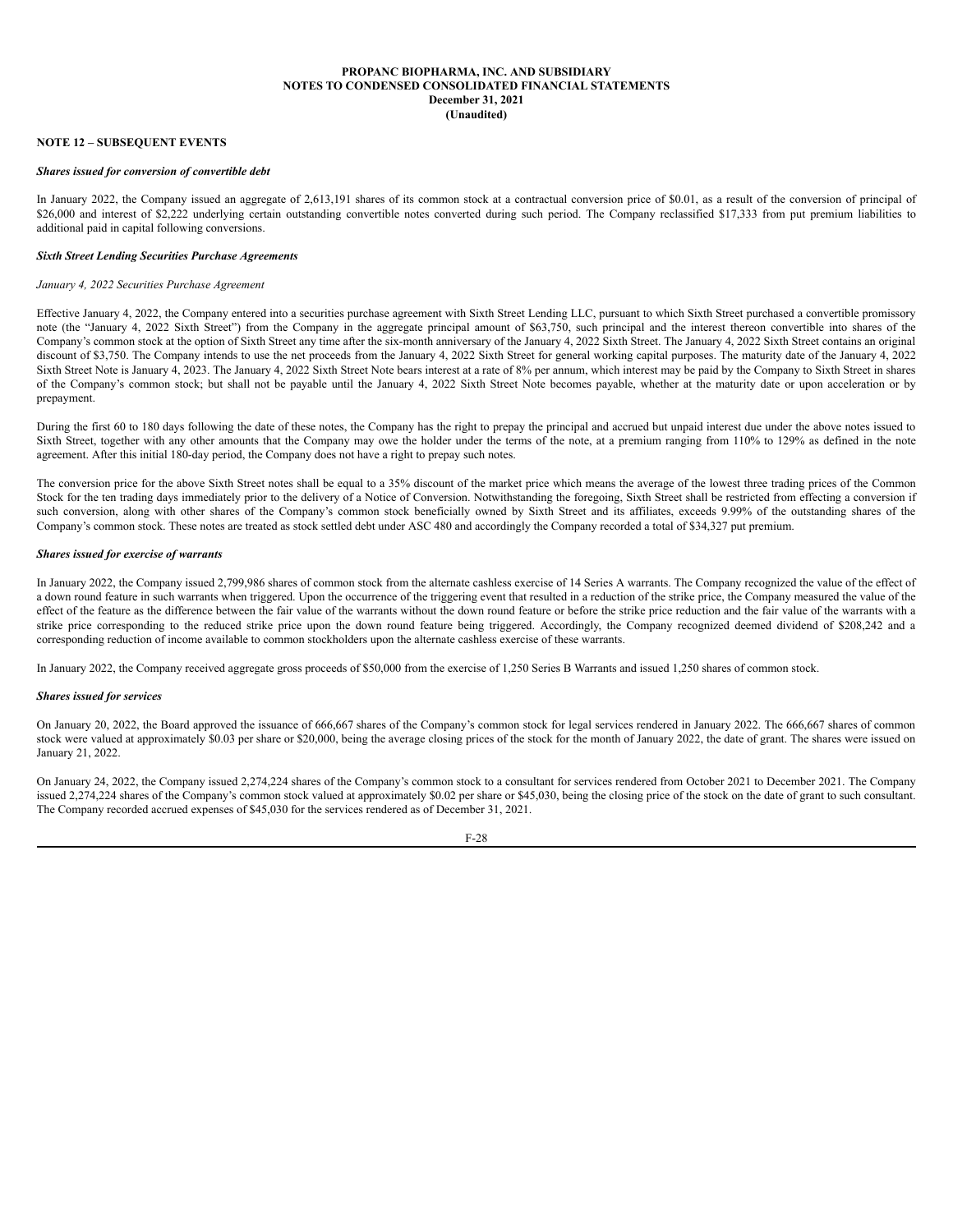### **NOTE 12 – SUBSEQUENT EVENTS**

### *Shares issued for conversion of convertible debt*

In January 2022, the Company issued an aggregate of 2,613,191 shares of its common stock at a contractual conversion price of \$0.01, as a result of the conversion of principal of \$26,000 and interest of \$2,222 underlying certain outstanding convertible notes converted during such period. The Company reclassified \$17,333 from put premium liabilities to additional paid in capital following conversions.

# *Sixth Street Lending Securities Purchase Agreements*

# *January 4, 2022 Securities Purchase Agreement*

Effective January 4, 2022, the Company entered into a securities purchase agreement with Sixth Street Lending LLC, pursuant to which Sixth Street purchased a convertible promissory note (the "January 4, 2022 Sixth Street") from the Company in the aggregate principal amount of \$63,750, such principal and the interest thereon convertible into shares of the Company's common stock at the option of Sixth Street any time after the six-month anniversary of the January 4, 2022 Sixth Street. The January 4, 2022 Sixth Street contains an original discount of \$3,750. The Company intends to use the net proceeds from the January 4, 2022 Sixth Street for general working capital purposes. The maturity date of the January 4, 2022 Sixth Street Note is January 4, 2023. The January 4, 2022 Sixth Street Note bears interest at a rate of 8% per annum, which interest may be paid by the Company to Sixth Street in shares of the Company's common stock; but shall not be payable until the January 4, 2022 Sixth Street Note becomes payable, whether at the maturity date or upon acceleration or by prepayment.

During the first 60 to 180 days following the date of these notes, the Company has the right to prepay the principal and accrued but unpaid interest due under the above notes issued to Sixth Street, together with any other amounts that the Company may owe the holder under the terms of the note, at a premium ranging from 110% to 129% as defined in the note agreement. After this initial 180-day period, the Company does not have a right to prepay such notes.

The conversion price for the above Sixth Street notes shall be equal to a 35% discount of the market price which means the average of the lowest three trading prices of the Common Stock for the ten trading days immediately prior to the delivery of a Notice of Conversion. Notwithstanding the foregoing, Sixth Street shall be restricted from effecting a conversion if such conversion, along with other shares of the Company's common stock beneficially owned by Sixth Street and its affiliates, exceeds 9.99% of the outstanding shares of the Company's common stock. These notes are treated as stock settled debt under ASC 480 and accordingly the Company recorded a total of \$34,327 put premium.

## *Shares issued for exercise of warrants*

In January 2022, the Company issued 2,799,986 shares of common stock from the alternate cashless exercise of 14 Series A warrants. The Company recognized the value of the effect of a down round feature in such warrants when triggered. Upon the occurrence of the triggering event that resulted in a reduction of the strike price, the Company measured the value of the effect of the feature as the difference between the fair value of the warrants without the down round feature or before the strike price reduction and the fair value of the warrants with a strike price corresponding to the reduced strike price upon the down round feature being triggered. Accordingly, the Company recognized deemed dividend of \$208,242 and a corresponding reduction of income available to common stockholders upon the alternate cashless exercise of these warrants.

In January 2022, the Company received aggregate gross proceeds of \$50,000 from the exercise of 1,250 Series B Warrants and issued 1,250 shares of common stock.

### *Shares issued for services*

On January 20, 2022, the Board approved the issuance of 666,667 shares of the Company's common stock for legal services rendered in January 2022. The 666,667 shares of common stock were valued at approximately \$0.03 per share or \$20,000, being the average closing prices of the stock for the month of January 2022, the date of grant. The shares were issued on January 21, 2022.

On January 24, 2022, the Company issued 2,274,224 shares of the Company's common stock to a consultant for services rendered from October 2021 to December 2021. The Company issued 2,274,224 shares of the Company's common stock valued at approximately \$0.02 per share or \$45,030, being the closing price of the stock on the date of grant to such consultant. The Company recorded accrued expenses of \$45,030 for the services rendered as of December 31, 2021.

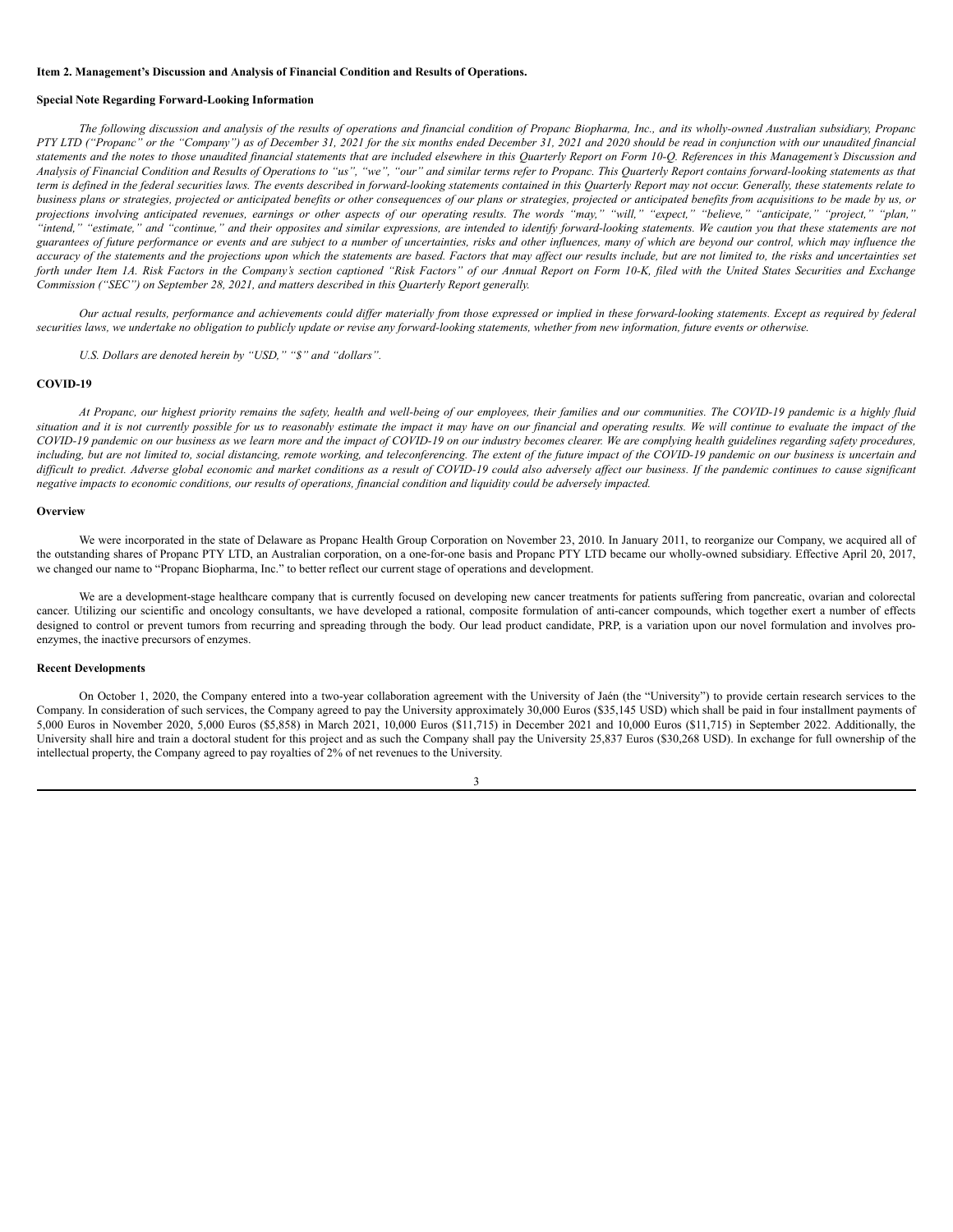#### <span id="page-32-0"></span>**Item 2. Management's Discussion and Analysis of Financial Condition and Results of Operations.**

# **Special Note Regarding Forward-Looking Information**

The following discussion and analysis of the results of operations and financial condition of Propanc Biopharma, Inc., and its wholly-owned Australian subsidiary, Propanc PTY LTD ("Propanc" or the "Company") as of December 31, 2021 for the six months ended December 31, 2021 and 2020 should be read in conjunction with our unaudited financial statements and the notes to those unaudited financial statements that are included elsewhere in this Ouarterly Report on Form 10-O. References in this Management's Discussion and Analysis of Financial Condition and Results of Operations to "us", "we", "our" and similar terms refer to Propanc. This Quarterly Report contains forward-looking statements as that term is defined in the federal securities laws. The events described in forward-looking statements contained in this Quarterly Report may not occur. Generally, these statements relate to business plans or strategies, projected or anticipated benefits or other consequences of our plans or strategies, projected or anticipated benefits from acquisitions to be made by us, or projections involving anticipated revenues, earnings or other aspects of our operating results. The words "may," "will," "expect," "believe," "anticipate," "project," "plan," "intend," "estimate," and "continue," and their opposites and similar expressions, are intended to identify forward-looking statements. We caution you that these statements are not guarantees of future performance or events and are subject to a number of uncertainties, risks and other influences, many of which are beyond our control, which may influence the accuracy of the statements and the projections upon which the statements are based. Factors that may affect our results include, but are not limited to, the risks and uncertainties set forth under Item 1A. Risk Factors in the Company's section captioned "Risk Factors" of our Annual Report on Form 10-K, filed with the United States Securities and Exchange *Commission ("SEC") on September 28, 2021, and matters described in this Quarterly Report generally.*

Our actual results, performance and achievements could differ materially from those expressed or implied in these forward-looking statements. Except as required by federal securities laws, we undertake no obligation to publicly update or revise any forward-looking statements, whether from new information, future events or otherwise.

*U.S. Dollars are denoted herein by "USD," "\$" and "dollars".*

### **COVID-19**

At Propanc, our highest priority remains the safety, health and well-being of our employees, their families and our communities. The COVID-19 pandemic is a highly fluid situation and it is not currently possible for us to reasonably estimate the impact it may have on our financial and operating results. We will continue to evaluate the impact of the COVID-19 pandemic on our business as we learn more and the impact of COVID-19 on our industry becomes clearer. We are complying health guidelines regarding safety procedures, including, but are not limited to, social distancing, remote working, and teleconferencing. The extent of the future impact of the COVID-19 pandemic on our business is uncertain and difficult to predict. Adverse global economic and market conditions as a result of COVID-19 could also adversely affect our business. If the pandemic continues to cause significant negative impacts to economic conditions, our results of operations, financial condition and liquidity could be adversely impacted.

#### **Overview**

We were incorporated in the state of Delaware as Propanc Health Group Corporation on November 23, 2010. In January 2011, to reorganize our Company, we acquired all of the outstanding shares of Propanc PTY LTD, an Australian corporation, on a one-for-one basis and Propanc PTY LTD became our wholly-owned subsidiary. Effective April 20, 2017, we changed our name to "Propanc Biopharma, Inc." to better reflect our current stage of operations and development.

We are a development-stage healthcare company that is currently focused on developing new cancer treatments for patients suffering from pancreatic, ovarian and colorectal cancer. Utilizing our scientific and oncology consultants, we have developed a rational, composite formulation of anti-cancer compounds, which together exert a number of effects designed to control or prevent tumors from recurring and spreading through the body. Our lead product candidate, PRP, is a variation upon our novel formulation and involves proenzymes, the inactive precursors of enzymes.

# **Recent Developments**

On October 1, 2020, the Company entered into a two-year collaboration agreement with the University of Jaén (the "University") to provide certain research services to the Company. In consideration of such services, the Company agreed to pay the University approximately 30,000 Euros (\$35,145 USD) which shall be paid in four installment payments of 5,000 Euros in November 2020, 5,000 Euros (\$5,858) in March 2021, 10,000 Euros (\$11,715) in December 2021 and 10,000 Euros (\$11,715) in September 2022. Additionally, the University shall hire and train a doctoral student for this project and as such the Company shall pay the University 25,837 Euros (\$30,268 USD). In exchange for full ownership of the intellectual property, the Company agreed to pay royalties of 2% of net revenues to the University.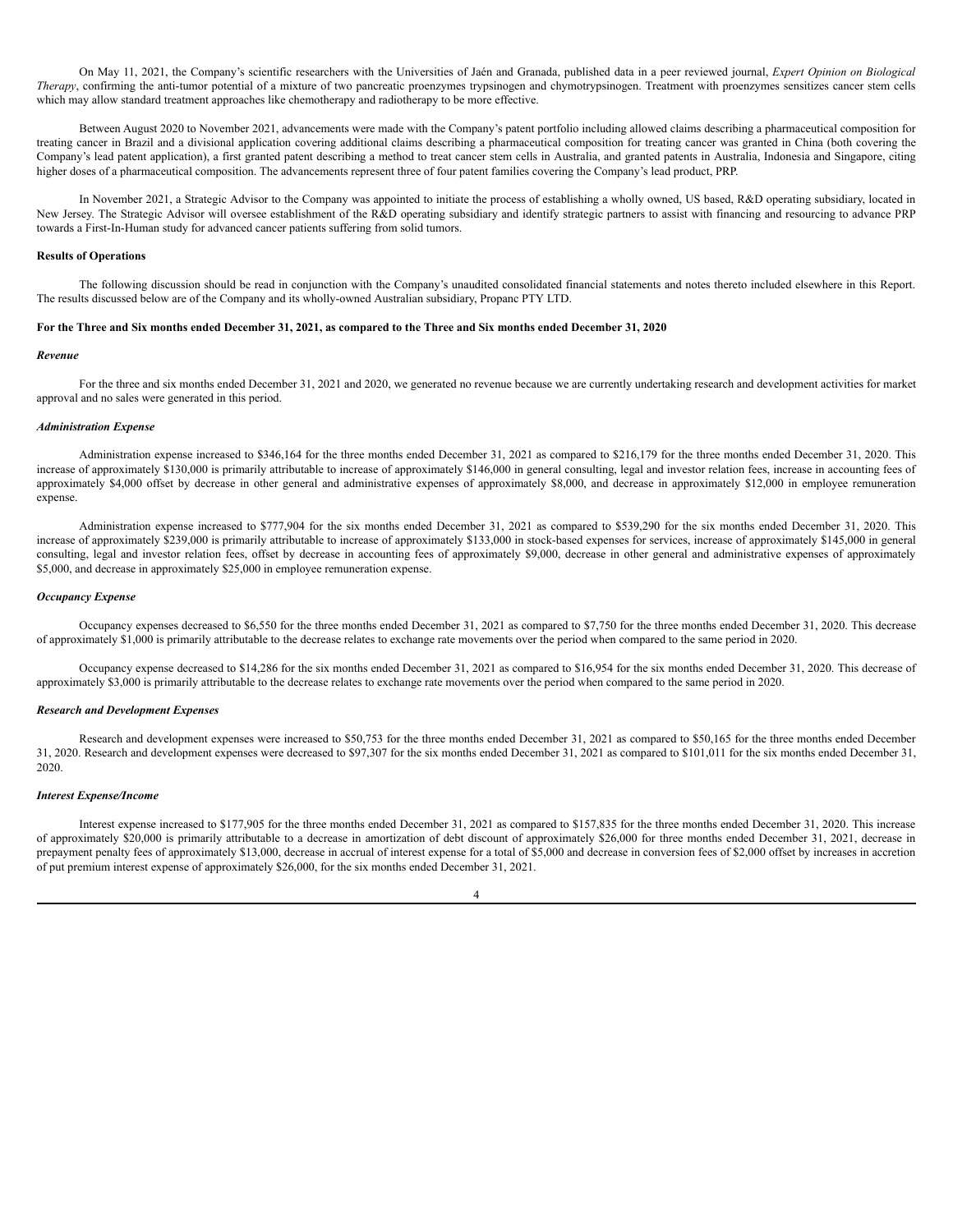On May 11, 2021, the Company's scientific researchers with the Universities of Jaén and Granada, published data in a peer reviewed journal, *Expert Opinion on Biological Therapy*, confirming the anti-tumor potential of a mixture of two pancreatic proenzymes trypsinogen and chymotrypsinogen. Treatment with proenzymes sensitizes cancer stem cells which may allow standard treatment approaches like chemotherapy and radiotherapy to be more effective.

Between August 2020 to November 2021, advancements were made with the Company's patent portfolio including allowed claims describing a pharmaceutical composition for treating cancer in Brazil and a divisional application covering additional claims describing a pharmaceutical composition for treating cancer was granted in China (both covering the Company's lead patent application), a first granted patent describing a method to treat cancer stem cells in Australia, and granted patents in Australia, Indonesia and Singapore, citing higher doses of a pharmaceutical composition. The advancements represent three of four patent families covering the Company's lead product, PRP.

In November 2021, a Strategic Advisor to the Company was appointed to initiate the process of establishing a wholly owned, US based, R&D operating subsidiary, located in New Jersey. The Strategic Advisor will oversee establishment of the R&D operating subsidiary and identify strategic partners to assist with financing and resourcing to advance PRP towards a First-In-Human study for advanced cancer patients suffering from solid tumors.

### **Results of Operations**

The following discussion should be read in conjunction with the Company's unaudited consolidated financial statements and notes thereto included elsewhere in this Report. The results discussed below are of the Company and its wholly-owned Australian subsidiary, Propanc PTY LTD.

#### For the Three and Six months ended December 31, 2021, as compared to the Three and Six months ended December 31, 2020

#### *Revenue*

For the three and six months ended December 31, 2021 and 2020, we generated no revenue because we are currently undertaking research and development activities for market approval and no sales were generated in this period.

### *Administration Expense*

Administration expense increased to \$346,164 for the three months ended December 31, 2021 as compared to \$216,179 for the three months ended December 31, 2020. This increase of approximately \$130,000 is primarily attributable to increase of approximately \$146,000 in general consulting, legal and investor relation fees, increase in accounting fees of approximately \$4,000 offset by decrease in other general and administrative expenses of approximately \$8,000, and decrease in approximately \$12,000 in employee remuneration expense.

Administration expense increased to \$777,904 for the six months ended December 31, 2021 as compared to \$539,290 for the six months ended December 31, 2020. This increase of approximately \$239,000 is primarily attributable to increase of approximately \$133,000 in stock-based expenses for services, increase of approximately \$145,000 in general consulting, legal and investor relation fees, offset by decrease in accounting fees of approximately \$9,000, decrease in other general and administrative expenses of approximately \$5,000, and decrease in approximately \$25,000 in employee remuneration expense.

# *Occupancy Expense*

Occupancy expenses decreased to \$6,550 for the three months ended December 31, 2021 as compared to \$7,750 for the three months ended December 31, 2020. This decrease of approximately \$1,000 is primarily attributable to the decrease relates to exchange rate movements over the period when compared to the same period in 2020.

Occupancy expense decreased to \$14,286 for the six months ended December 31, 2021 as compared to \$16,954 for the six months ended December 31, 2020. This decrease of approximately \$3,000 is primarily attributable to the decrease relates to exchange rate movements over the period when compared to the same period in 2020.

### *Research and Development Expenses*

Research and development expenses were increased to \$50,753 for the three months ended December 31, 2021 as compared to \$50,165 for the three months ended December 31, 2020. Research and development expenses were decreased to \$97,307 for the six months ended December 31, 2021 as compared to \$101,011 for the six months ended December 31, 2020.

### *Interest Expense/Income*

Interest expense increased to \$177,905 for the three months ended December 31, 2021 as compared to \$157,835 for the three months ended December 31, 2020. This increase of approximately \$20,000 is primarily attributable to a decrease in amortization of debt discount of approximately \$26,000 for three months ended December 31, 2021, decrease in prepayment penalty fees of approximately \$13,000, decrease in accrual of interest expense for a total of \$5,000 and decrease in conversion fees of \$2,000 offset by increases in accretion of put premium interest expense of approximately \$26,000, for the six months ended December 31, 2021.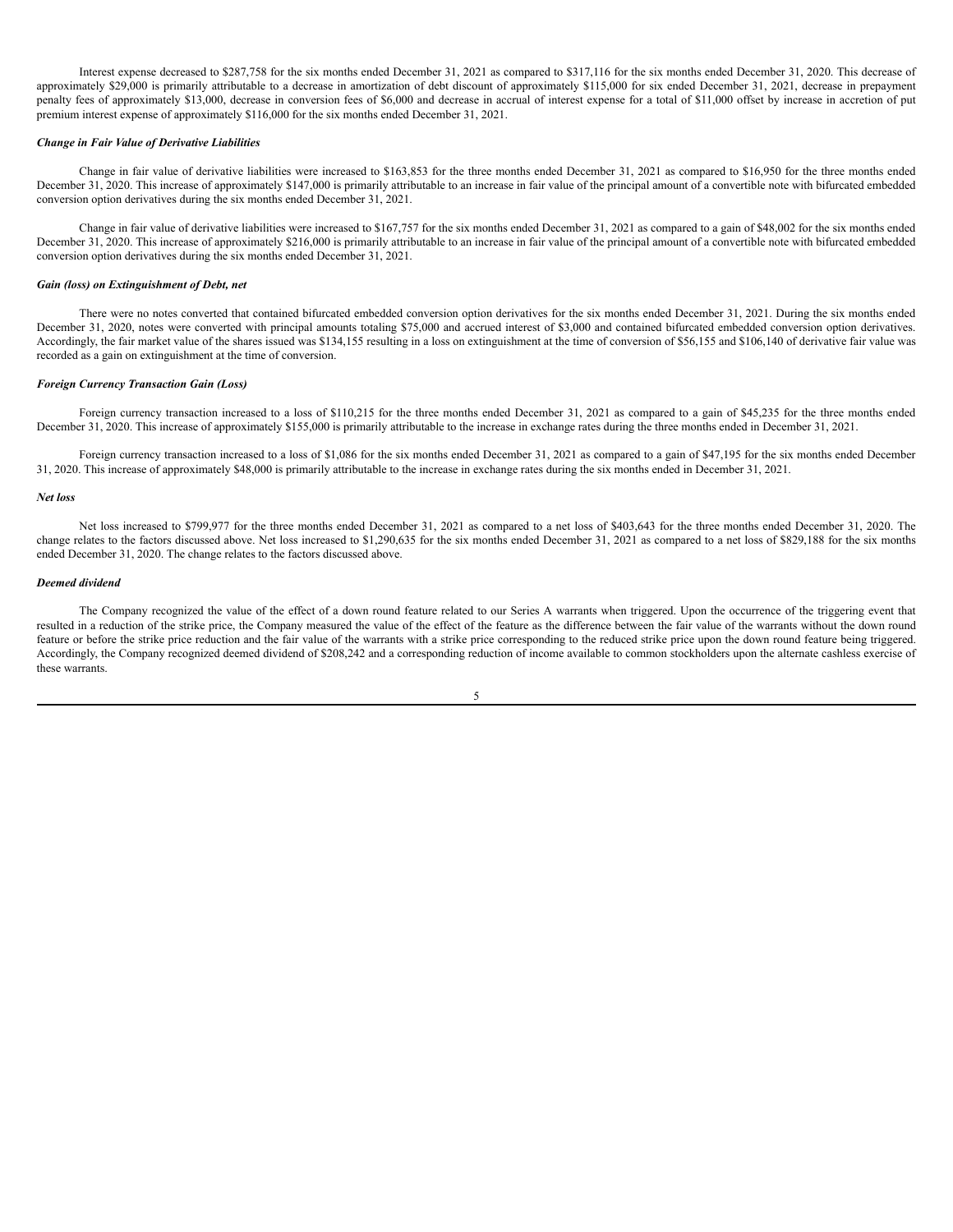Interest expense decreased to \$287,758 for the six months ended December 31, 2021 as compared to \$317,116 for the six months ended December 31, 2020. This decrease of approximately \$29,000 is primarily attributable to a decrease in amortization of debt discount of approximately \$115,000 for six ended December 31, 2021, decrease in prepayment penalty fees of approximately \$13,000, decrease in conversion fees of \$6,000 and decrease in accrual of interest expense for a total of \$11,000 offset by increase in accretion of put premium interest expense of approximately \$116,000 for the six months ended December 31, 2021.

### *Change in Fair Value of Derivative Liabilities*

Change in fair value of derivative liabilities were increased to \$163,853 for the three months ended December 31, 2021 as compared to \$16,950 for the three months ended December 31, 2020. This increase of approximately \$147,000 is primarily attributable to an increase in fair value of the principal amount of a convertible note with bifurcated embedded conversion option derivatives during the six months ended December 31, 2021.

Change in fair value of derivative liabilities were increased to \$167,757 for the six months ended December 31, 2021 as compared to a gain of \$48,002 for the six months ended December 31, 2020. This increase of approximately \$216,000 is primarily attributable to an increase in fair value of the principal amount of a convertible note with bifurcated embedded conversion option derivatives during the six months ended December 31, 2021.

### *Gain (loss) on Extinguishment of Debt, net*

There were no notes converted that contained bifurcated embedded conversion option derivatives for the six months ended December 31, 2021. During the six months ended December 31, 2020, notes were converted with principal amounts totaling \$75,000 and accrued interest of \$3,000 and contained bifurcated embedded conversion option derivatives. Accordingly, the fair market value of the shares issued was \$134,155 resulting in a loss on extinguishment at the time of conversion of \$56,155 and \$106,140 of derivative fair value was recorded as a gain on extinguishment at the time of conversion.

#### *Foreign Currency Transaction Gain (Loss)*

Foreign currency transaction increased to a loss of \$110,215 for the three months ended December 31, 2021 as compared to a gain of \$45,235 for the three months ended December 31, 2020. This increase of approximately \$155,000 is primarily attributable to the increase in exchange rates during the three months ended in December 31, 2021.

Foreign currency transaction increased to a loss of \$1,086 for the six months ended December 31, 2021 as compared to a gain of \$47,195 for the six months ended December 31, 2020. This increase of approximately \$48,000 is primarily attributable to the increase in exchange rates during the six months ended in December 31, 2021.

### *Net loss*

Net loss increased to \$799,977 for the three months ended December 31, 2021 as compared to a net loss of \$403,643 for the three months ended December 31, 2020. The change relates to the factors discussed above. Net loss increased to \$1,290,635 for the six months ended December 31, 2021 as compared to a net loss of \$829,188 for the six months ended December 31, 2020. The change relates to the factors discussed above.

### *Deemed dividend*

The Company recognized the value of the effect of a down round feature related to our Series A warrants when triggered. Upon the occurrence of the triggering event that resulted in a reduction of the strike price, the Company measured the value of the effect of the feature as the difference between the fair value of the warrants without the down round feature or before the strike price reduction and the fair value of the warrants with a strike price corresponding to the reduced strike price upon the down round feature being triggered. Accordingly, the Company recognized deemed dividend of \$208,242 and a corresponding reduction of income available to common stockholders upon the alternate cashless exercise of these warrants.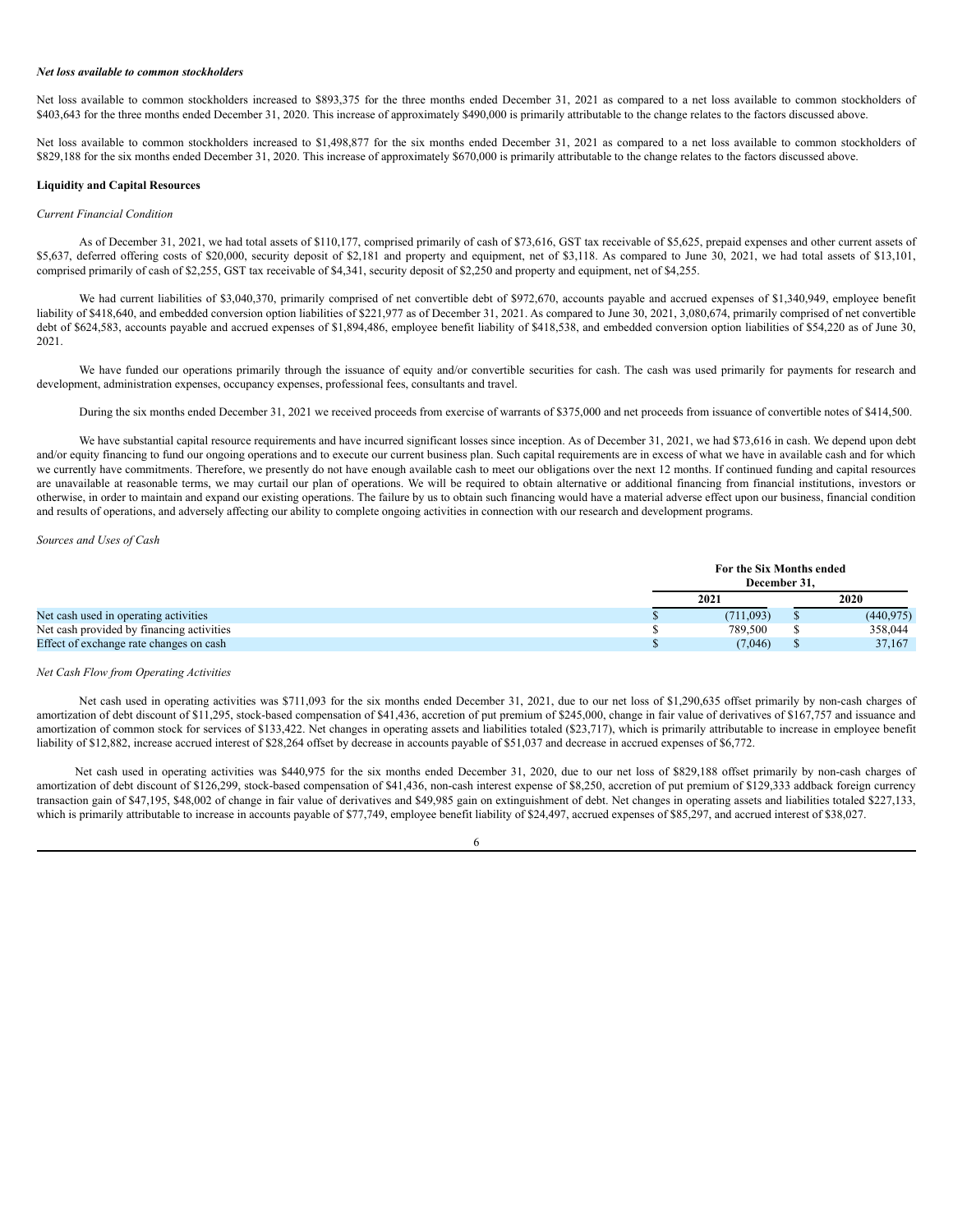### *Net loss available to common stockholders*

Net loss available to common stockholders increased to \$893.375 for the three months ended December 31, 2021 as compared to a net loss available to common stockholders of \$403,643 for the three months ended December 31, 2020. This increase of approximately \$490,000 is primarily attributable to the change relates to the factors discussed above.

Net loss available to common stockholders increased to \$1,498,877 for the six months ended December 31, 2021 as compared to a net loss available to common stockholders of \$829,188 for the six months ended December 31, 2020. This increase of approximately \$670,000 is primarily attributable to the change relates to the factors discussed above.

### **Liquidity and Capital Resources**

### *Current Financial Condition*

As of December 31, 2021, we had total assets of \$110,177, comprised primarily of cash of \$73,616, GST tax receivable of \$5,625, prepaid expenses and other current assets of \$5,637, deferred offering costs of \$20,000, security deposit of \$2,181 and property and equipment, net of \$3,118. As compared to June 30, 2021, we had total assets of \$13,101, comprised primarily of cash of \$2,255, GST tax receivable of \$4,341, security deposit of \$2,250 and property and equipment, net of \$4,255.

We had current liabilities of \$3,040,370, primarily comprised of net convertible debt of \$972,670, accounts payable and accrued expenses of \$1,340,949, employee benefit liability of \$418,640, and embedded conversion option liabilities of \$221,977 as of December 31, 2021. As compared to June 30, 2021, 3,080,674, primarily comprised of net convertible debt of \$624,583, accounts payable and accrued expenses of \$1,894,486, employee benefit liability of \$418,538, and embedded conversion option liabilities of \$54,220 as of June 30, 2021.

We have funded our operations primarily through the issuance of equity and/or convertible securities for cash. The cash was used primarily for payments for research and development, administration expenses, occupancy expenses, professional fees, consultants and travel.

During the six months ended December 31, 2021 we received proceeds from exercise of warrants of \$375,000 and net proceeds from issuance of convertible notes of \$414,500.

We have substantial capital resource requirements and have incurred significant losses since inception. As of December 31, 2021, we had \$73,616 in cash. We depend upon debt and/or equity financing to fund our ongoing operations and to execute our current business plan. Such capital requirements are in excess of what we have in available cash and for which we currently have commitments. Therefore, we presently do not have enough available cash to meet our obligations over the next 12 months. If continued funding and capital resources are unavailable at reasonable terms, we may curtail our plan of operations. We will be required to obtain alternative or additional financing from financial institutions, investors or otherwise, in order to maintain and expand our existing operations. The failure by us to obtain such financing would have a material adverse effect upon our business, financial condition and results of operations, and adversely affecting our ability to complete ongoing activities in connection with our research and development programs.

*Sources and Uses of Cash*

|                                           | For the Six Months ended<br>December 31. |            |
|-------------------------------------------|------------------------------------------|------------|
|                                           | 2021                                     | 2020       |
| Net cash used in operating activities     | (711.093)                                | (440, 975) |
| Net cash provided by financing activities | 789.500                                  | 358,044    |
| Effect of exchange rate changes on cash   | (7,046)                                  | 37.167     |

### *Net Cash Flow from Operating Activities*

Net cash used in operating activities was \$711,093 for the six months ended December 31, 2021, due to our net loss of \$1,290,635 offset primarily by non-cash charges of amortization of debt discount of \$11,295, stock-based compensation of \$41,436, accretion of put premium of \$245,000, change in fair value of derivatives of \$167,757 and issuance and amortization of common stock for services of \$133,422. Net changes in operating assets and liabilities totaled (\$23,717), which is primarily attributable to increase in employee benefit liability of \$12,882, increase accrued interest of \$28,264 offset by decrease in accounts payable of \$51,037 and decrease in accrued expenses of \$6,772.

Net cash used in operating activities was \$440,975 for the six months ended December 31, 2020, due to our net loss of \$829,188 offset primarily by non-cash charges of amortization of debt discount of \$126,299, stock-based compensation of \$41,436, non-cash interest expense of \$8,250, accretion of put premium of \$129,333 addback foreign currency transaction gain of \$47,195, \$48,002 of change in fair value of derivatives and \$49,985 gain on extinguishment of debt. Net changes in operating assets and liabilities totaled \$227,133, which is primarily attributable to increase in accounts payable of \$77,749, employee benefit liability of \$24,497, accrued expenses of \$85,297, and accrued interest of \$38,027.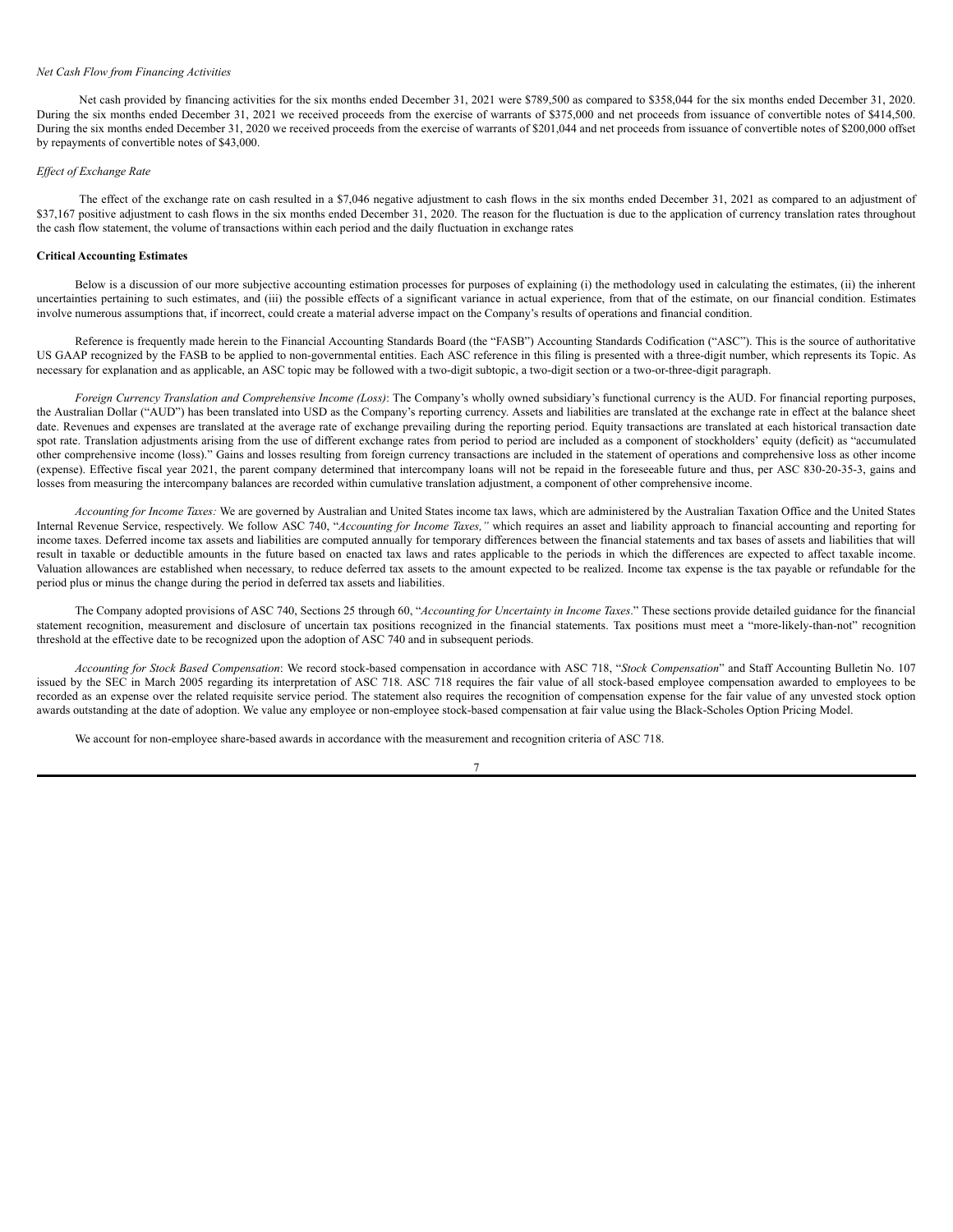#### *Net Cash Flow from Financing Activities*

Net cash provided by financing activities for the six months ended December 31, 2021 were \$789,500 as compared to \$358,044 for the six months ended December 31, 2020. During the six months ended December 31, 2021 we received proceeds from the exercise of warrants of \$375,000 and net proceeds from issuance of convertible notes of \$414,500. During the six months ended December 31, 2020 we received proceeds from the exercise of warrants of \$201,044 and net proceeds from issuance of convertible notes of \$200,000 offset by repayments of convertible notes of \$43,000.

#### *Ef ect of Exchange Rate*

The effect of the exchange rate on cash resulted in a \$7,046 negative adjustment to cash flows in the six months ended December 31, 2021 as compared to an adjustment of \$37,167 positive adjustment to cash flows in the six months ended December 31, 2020. The reason for the fluctuation is due to the application of currency translation rates throughout the cash flow statement, the volume of transactions within each period and the daily fluctuation in exchange rates

### **Critical Accounting Estimates**

Below is a discussion of our more subjective accounting estimation processes for purposes of explaining (i) the methodology used in calculating the estimates, (ii) the inherent uncertainties pertaining to such estimates, and (iii) the possible effects of a significant variance in actual experience, from that of the estimate, on our financial condition. Estimates involve numerous assumptions that, if incorrect, could create a material adverse impact on the Company's results of operations and financial condition.

Reference is frequently made herein to the Financial Accounting Standards Board (the "FASB") Accounting Standards Codification ("ASC"). This is the source of authoritative US GAAP recognized by the FASB to be applied to non-governmental entities. Each ASC reference in this filing is presented with a three-digit number, which represents its Topic. As necessary for explanation and as applicable, an ASC topic may be followed with a two-digit subtopic, a two-digit section or a two-or-three-digit paragraph.

*Foreign Currency Translation and Comprehensive Income (Loss)*: The Company's wholly owned subsidiary's functional currency is the AUD. For financial reporting purposes, the Australian Dollar ("AUD") has been translated into USD as the Company's reporting currency. Assets and liabilities are translated at the exchange rate in effect at the balance sheet date. Revenues and expenses are translated at the average rate of exchange prevailing during the reporting period. Equity transactions are translated at each historical transaction date spot rate. Translation adjustments arising from the use of different exchange rates from period to period are included as a component of stockholders' equity (deficit) as "accumulated other comprehensive income (loss)." Gains and losses resulting from foreign currency transactions are included in the statement of operations and comprehensive loss as other income (expense). Effective fiscal year 2021, the parent company determined that intercompany loans will not be repaid in the foreseeable future and thus, per ASC 830-20-35-3, gains and losses from measuring the intercompany balances are recorded within cumulative translation adjustment, a component of other comprehensive income.

*Accounting for Income Taxes:* We are governed by Australian and United States income tax laws, which are administered by the Australian Taxation Office and the United States Internal Revenue Service, respectively. We follow ASC 740, "*Accounting for Income Taxes,"* which requires an asset and liability approach to financial accounting and reporting for income taxes. Deferred income tax assets and liabilities are computed annually for temporary differences between the financial statements and tax bases of assets and liabilities that will result in taxable or deductible amounts in the future based on enacted tax laws and rates applicable to the periods in which the differences are expected to affect taxable income. Valuation allowances are established when necessary, to reduce deferred tax assets to the amount expected to be realized. Income tax expense is the tax payable or refundable for the period plus or minus the change during the period in deferred tax assets and liabilities.

The Company adopted provisions of ASC 740, Sections 25 through 60, "*Accounting for Uncertainty in Income Taxes*." These sections provide detailed guidance for the financial statement recognition, measurement and disclosure of uncertain tax positions recognized in the financial statements. Tax positions must meet a "more-likely-than-not" recognition threshold at the effective date to be recognized upon the adoption of ASC 740 and in subsequent periods.

*Accounting for Stock Based Compensation*: We record stock-based compensation in accordance with ASC 718, "*Stock Compensation*" and Staff Accounting Bulletin No. 107 issued by the SEC in March 2005 regarding its interpretation of ASC 718. ASC 718 requires the fair value of all stock-based employee compensation awarded to employees to be recorded as an expense over the related requisite service period. The statement also requires the recognition of compensation expense for the fair value of any unvested stock option awards outstanding at the date of adoption. We value any employee or non-employee stock-based compensation at fair value using the Black-Scholes Option Pricing Model.

We account for non-employee share-based awards in accordance with the measurement and recognition criteria of ASC 718.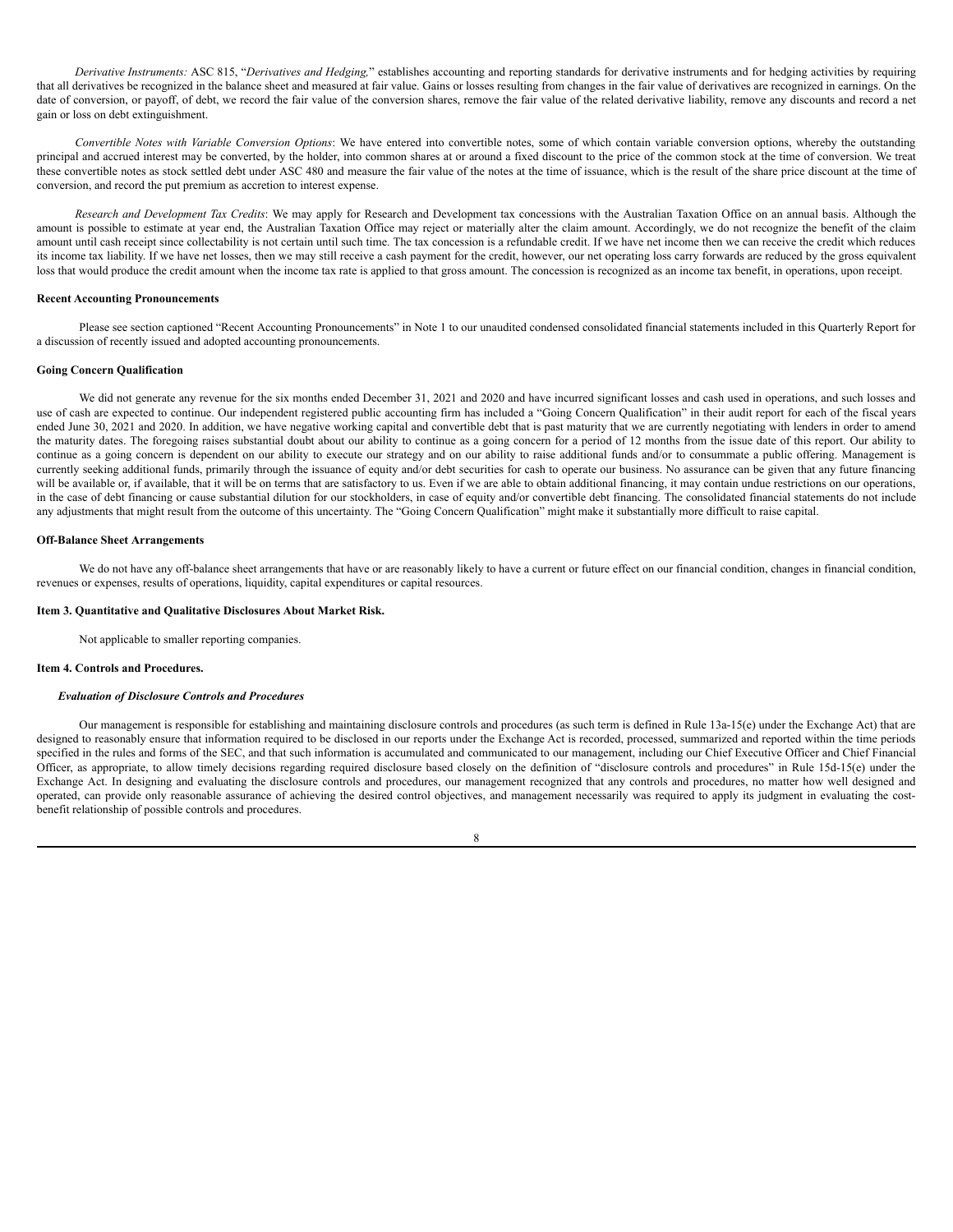*Derivative Instruments:* ASC 815, "*Derivatives and Hedging,*" establishes accounting and reporting standards for derivative instruments and for hedging activities by requiring that all derivatives be recognized in the balance sheet and measured at fair value. Gains or losses resulting from changes in the fair value of derivatives are recognized in earnings. On the date of conversion, or payoff, of debt, we record the fair value of the conversion shares, remove the fair value of the related derivative liability, remove any discounts and record a net gain or loss on debt extinguishment.

*Convertible Notes with Variable Conversion Options*: We have entered into convertible notes, some of which contain variable conversion options, whereby the outstanding principal and accrued interest may be converted, by the holder, into common shares at or around a fixed discount to the price of the common stock at the time of conversion. We treat these convertible notes as stock settled debt under ASC 480 and measure the fair value of the notes at the time of issuance, which is the result of the share price discount at the time of conversion, and record the put premium as accretion to interest expense.

*Research and Development Tax Credits*: We may apply for Research and Development tax concessions with the Australian Taxation Office on an annual basis. Although the amount is possible to estimate at year end, the Australian Taxation Office may reject or materially alter the claim amount. Accordingly, we do not recognize the benefit of the claim amount until cash receipt since collectability is not certain until such time. The tax concession is a refundable credit. If we have net income then we can receive the credit which reduces its income tax liability. If we have net losses, then we may still receive a cash payment for the credit, however, our net operating loss carry forwards are reduced by the gross equivalent loss that would produce the credit amount when the income tax rate is applied to that gross amount. The concession is recognized as an income tax benefit, in operations, upon receipt.

# **Recent Accounting Pronouncements**

Please see section captioned "Recent Accounting Pronouncements" in Note 1 to our unaudited condensed consolidated financial statements included in this Quarterly Report for a discussion of recently issued and adopted accounting pronouncements.

### **Going Concern Qualification**

We did not generate any revenue for the six months ended December 31, 2021 and 2020 and have incurred significant losses and cash used in operations, and such losses and use of cash are expected to continue. Our independent registered public accounting firm has included a "Going Concern Qualification" in their audit report for each of the fiscal years ended June 30, 2021 and 2020. In addition, we have negative working capital and convertible debt that is past maturity that we are currently negotiating with lenders in order to amend the maturity dates. The foregoing raises substantial doubt about our ability to continue as a going concern for a period of 12 months from the issue date of this report. Our ability to continue as a going concern is dependent on our ability to execute our strategy and on our ability to raise additional funds and/or to consummate a public offering. Management is currently seeking additional funds, primarily through the issuance of equity and/or debt securities for cash to operate our business. No assurance can be given that any future financing will be available or, if available, that it will be on terms that are satisfactory to us. Even if we are able to obtain additional financing, it may contain undue restrictions on our operations, in the case of debt financing or cause substantial dilution for our stockholders, in case of equity and/or convertible debt financing. The consolidated financial statements do not include any adjustments that might result from the outcome of this uncertainty. The "Going Concern Qualification" might make it substantially more difficult to raise capital.

#### **Off-Balance Sheet Arrangements**

We do not have any off-balance sheet arrangements that have or are reasonably likely to have a current or future effect on our financial condition, changes in financial condition, revenues or expenses, results of operations, liquidity, capital expenditures or capital resources.

#### <span id="page-37-0"></span>**Item 3. Quantitative and Qualitative Disclosures About Market Risk.**

Not applicable to smaller reporting companies.

#### <span id="page-37-1"></span>**Item 4. Controls and Procedures.**

### *Evaluation of Disclosure Controls and Procedures*

Our management is responsible for establishing and maintaining disclosure controls and procedures (as such term is defined in Rule 13a-15(e) under the Exchange Act) that are designed to reasonably ensure that information required to be disclosed in our reports under the Exchange Act is recorded, processed, summarized and reported within the time periods specified in the rules and forms of the SEC, and that such information is accumulated and communicated to our management, including our Chief Executive Officer and Chief Financial Officer, as appropriate, to allow timely decisions regarding required disclosure based closely on the definition of "disclosure controls and procedures" in Rule 15d-15(e) under the Exchange Act. In designing and evaluating the disclosure controls and procedures, our management recognized that any controls and procedures, no matter how well designed and operated, can provide only reasonable assurance of achieving the desired control objectives, and management necessarily was required to apply its judgment in evaluating the costbenefit relationship of possible controls and procedures.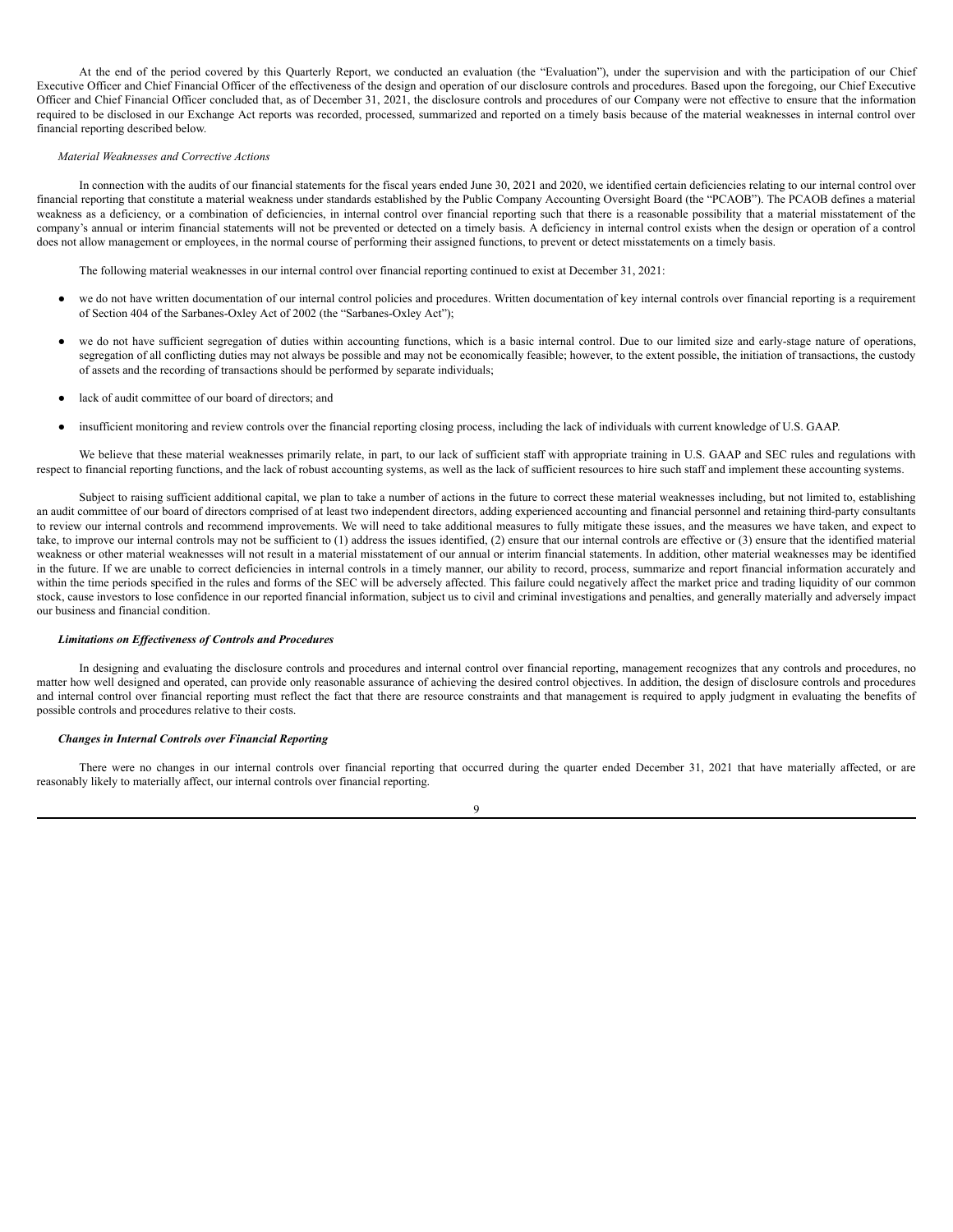At the end of the period covered by this Quarterly Report, we conducted an evaluation (the "Evaluation"), under the supervision and with the participation of our Chief Executive Officer and Chief Financial Officer of the effectiveness of the design and operation of our disclosure controls and procedures. Based upon the foregoing, our Chief Executive Officer and Chief Financial Officer concluded that, as of December 31, 2021, the disclosure controls and procedures of our Company were not effective to ensure that the information required to be disclosed in our Exchange Act reports was recorded, processed, summarized and reported on a timely basis because of the material weaknesses in internal control over financial reporting described below.

### *Material Weaknesses and Corrective Actions*

In connection with the audits of our financial statements for the fiscal years ended June 30, 2021 and 2020, we identified certain deficiencies relating to our internal control over financial reporting that constitute a material weakness under standards established by the Public Company Accounting Oversight Board (the "PCAOB"). The PCAOB defines a material weakness as a deficiency, or a combination of deficiencies, in internal control over financial reporting such that there is a reasonable possibility that a material misstatement of the company's annual or interim financial statements will not be prevented or detected on a timely basis. A deficiency in internal control exists when the design or operation of a control does not allow management or employees, in the normal course of performing their assigned functions, to prevent or detect misstatements on a timely basis.

The following material weaknesses in our internal control over financial reporting continued to exist at December 31, 2021:

- we do not have written documentation of our internal control policies and procedures. Written documentation of key internal controls over financial reporting is a requirement of Section 404 of the Sarbanes-Oxley Act of 2002 (the "Sarbanes-Oxley Act");
- we do not have sufficient segregation of duties within accounting functions, which is a basic internal control. Due to our limited size and early-stage nature of operations, segregation of all conflicting duties may not always be possible and may not be economically feasible; however, to the extent possible, the initiation of transactions, the custody of assets and the recording of transactions should be performed by separate individuals;
- lack of audit committee of our board of directors; and
- insufficient monitoring and review controls over the financial reporting closing process, including the lack of individuals with current knowledge of U.S. GAAP.

We believe that these material weaknesses primarily relate, in part, to our lack of sufficient staff with appropriate training in U.S. GAAP and SEC rules and regulations with respect to financial reporting functions, and the lack of robust accounting systems, as well as the lack of sufficient resources to hire such staff and implement these accounting systems.

Subject to raising sufficient additional capital, we plan to take a number of actions in the future to correct these material weaknesses including, but not limited to, establishing an audit committee of our board of directors comprised of at least two independent directors, adding experienced accounting and financial personnel and retaining third-party consultants to review our internal controls and recommend improvements. We will need to take additional measures to fully mitigate these issues, and the measures we have taken, and expect to take, to improve our internal controls may not be sufficient to (1) address the issues identified, (2) ensure that our internal controls are effective or (3) ensure that the identified material weakness or other material weaknesses will not result in a material misstatement of our annual or interim financial statements. In addition, other material weaknesses may be identified in the future. If we are unable to correct deficiencies in internal controls in a timely manner, our ability to record, process, summarize and report financial information accurately and within the time periods specified in the rules and forms of the SEC will be adversely affected. This failure could negatively affect the market price and trading liquidity of our common stock, cause investors to lose confidence in our reported financial information, subject us to civil and criminal investigations and penalties, and generally materially and adversely impact our business and financial condition.

### *Limitations on Ef ectiveness of Controls and Procedures*

In designing and evaluating the disclosure controls and procedures and internal control over financial reporting, management recognizes that any controls and procedures, no matter how well designed and operated, can provide only reasonable assurance of achieving the desired control objectives. In addition, the design of disclosure controls and procedures and internal control over financial reporting must reflect the fact that there are resource constraints and that management is required to apply judgment in evaluating the benefits of possible controls and procedures relative to their costs.

#### *Changes in Internal Controls over Financial Reporting*

There were no changes in our internal controls over financial reporting that occurred during the quarter ended December 31, 2021 that have materially affected, or are reasonably likely to materially affect, our internal controls over financial reporting.

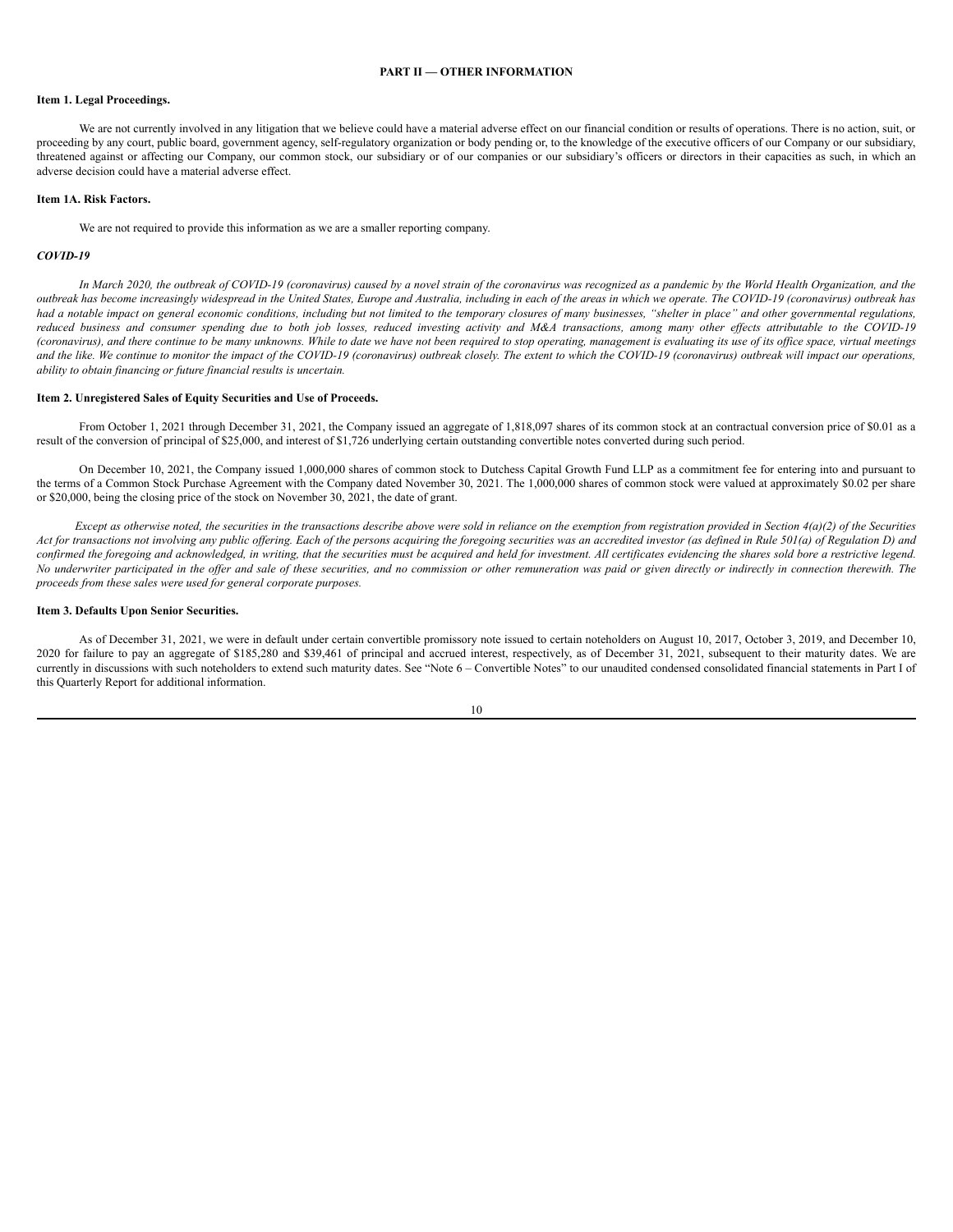# **PART II — OTHER INFORMATION**

# <span id="page-39-1"></span><span id="page-39-0"></span>**Item 1. Legal Proceedings.**

We are not currently involved in any litigation that we believe could have a material adverse effect on our financial condition or results of operations. There is no action, suit, or proceeding by any court, public board, government agency, self-regulatory organization or body pending or, to the knowledge of the executive officers of our Company or our subsidiary, threatened against or affecting our Company, our common stock, our subsidiary or of our companies or our subsidiary's officers or directors in their capacities as such, in which an adverse decision could have a material adverse effect.

#### <span id="page-39-2"></span>**Item 1A. Risk Factors.**

We are not required to provide this information as we are a smaller reporting company.

# *COVID-19*

In March 2020, the outbreak of COVID-19 (coronavirus) caused by a novel strain of the coronavirus was recognized as a pandemic by the World Health Organization, and the outbreak has become increasingly widespread in the United States, Europe and Australia, including in each of the areas in which we operate. The COVID-19 (coronavirus) outbreak has had a notable impact on general economic conditions, including but not limited to the temporary closures of many businesses, "shelter in place" and other governmental regulations, reduced business and consumer spending due to both job losses, reduced investing activity and M&A transactions, among many other effects attributable to the COVID-19 (coronavirus), and there continue to be many unknowns. While to date we have not been required to stop operating, management is evaluating its use of its office space, virtual meetings and the like. We continue to monitor the impact of the COVID-19 (coronavirus) outbreak closely. The extent to which the COVID-19 (coronavirus) outbreak will impact our operations, *ability to obtain financing or future financial results is uncertain.*

#### <span id="page-39-3"></span>**Item 2. Unregistered Sales of Equity Securities and Use of Proceeds.**

From October 1, 2021 through December 31, 2021, the Company issued an aggregate of 1,818,097 shares of its common stock at an contractual conversion price of \$0.01 as a result of the conversion of principal of \$25,000, and interest of \$1,726 underlying certain outstanding convertible notes converted during such period.

On December 10, 2021, the Company issued 1,000,000 shares of common stock to Dutchess Capital Growth Fund LLP as a commitment fee for entering into and pursuant to the terms of a Common Stock Purchase Agreement with the Company dated November 30, 2021. The 1,000,000 shares of common stock were valued at approximately \$0.02 per share or \$20,000, being the closing price of the stock on November 30, 2021, the date of grant.

Except as otherwise noted, the securities in the transactions describe above were sold in reliance on the exemption from registration provided in Section  $4(a)(2)$  of the Securities Act for transactions not involving any public offering. Each of the persons acquiring the foregoing securities was an accredited investor (as defined in Rule 501(a) of Regulation D) and confirmed the foregoing and acknowledged, in writing, that the securities must be acquired and held for investment. All certificates evidencing the shares sold bore a restrictive legend. No underwriter participated in the offer and sale of these securities, and no commission or other remuneration was paid or given directly or indirectly in connection therewith. The *proceeds from these sales were used for general corporate purposes.*

#### <span id="page-39-4"></span>**Item 3. Defaults Upon Senior Securities.**

As of December 31, 2021, we were in default under certain convertible promissory note issued to certain noteholders on August 10, 2017, October 3, 2019, and December 10, 2020 for failure to pay an aggregate of \$185,280 and \$39,461 of principal and accrued interest, respectively, as of December 31, 2021, subsequent to their maturity dates. We are currently in discussions with such noteholders to extend such maturity dates. See "Note 6 – Convertible Notes" to our unaudited condensed consolidated financial statements in Part I of this Quarterly Report for additional information.

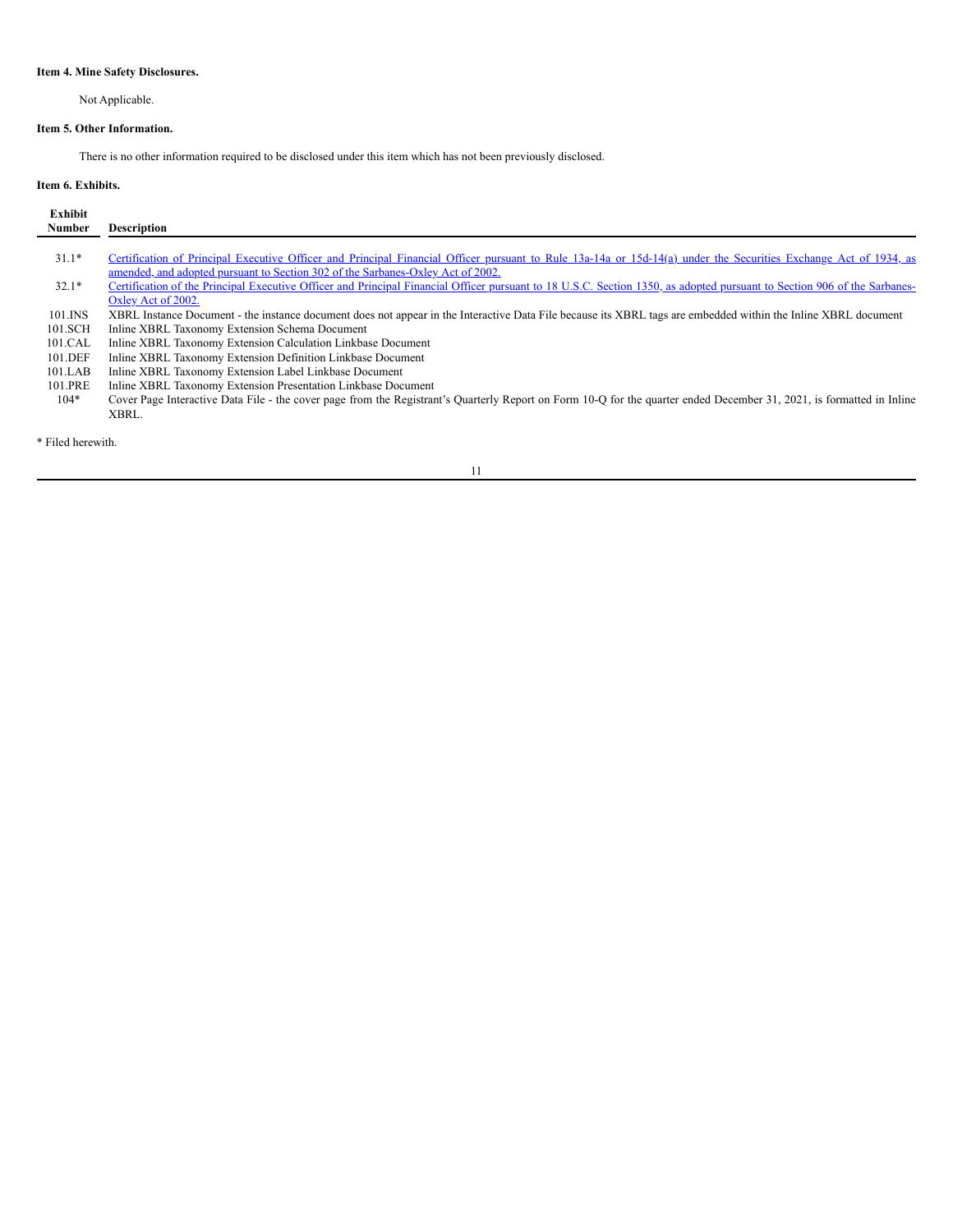# <span id="page-40-0"></span>**Item 4. Mine Safety Disclosures.**

Not Applicable.

# <span id="page-40-1"></span>**Item 5. Other Information.**

There is no other information required to be disclosed under this item which has not been previously disclosed.

# <span id="page-40-2"></span>**Item 6. Exhibits.**

| <b>Exhibit</b><br><b>Number</b> | <b>Description</b>                                                                                                                                                       |
|---------------------------------|--------------------------------------------------------------------------------------------------------------------------------------------------------------------------|
|                                 |                                                                                                                                                                          |
| $31.1*$                         | Certification of Principal Executive Officer and Principal Financial Officer pursuant to Rule 13a-14a or 15d-14(a) under the Securities Exchange Act of 1934, as         |
|                                 | amended, and adopted pursuant to Section 302 of the Sarbanes-Oxley Act of 2002.                                                                                          |
| $32.1*$                         | Certification of the Principal Executive Officer and Principal Financial Officer pursuant to 18 U.S.C. Section 1350, as adopted pursuant to Section 906 of the Sarbanes- |
|                                 | Oxley Act of 2002.                                                                                                                                                       |
| $101$ . INS                     | XBRL Instance Document - the instance document does not appear in the Interactive Data File because its XBRL tags are embedded within the Inline XBRL document           |
| 101.SCH                         | Inline XBRL Taxonomy Extension Schema Document                                                                                                                           |
| 101.CAL                         | Inline XBRL Taxonomy Extension Calculation Linkbase Document                                                                                                             |
| 101.DEF                         | Inline XBRL Taxonomy Extension Definition Linkbase Document                                                                                                              |
| 101.LAB                         | Inline XBRL Taxonomy Extension Label Linkbase Document                                                                                                                   |
| 101.PRE                         | Inline XBRL Taxonomy Extension Presentation Linkbase Document                                                                                                            |
| $104*$                          | Cover Page Interactive Data File - the cover page from the Registrant's Quarterly Report on Form 10-Q for the quarter ended December 31, 2021, is formatted in Inline    |
|                                 | XBRL.                                                                                                                                                                    |
|                                 |                                                                                                                                                                          |

\* Filed herewith.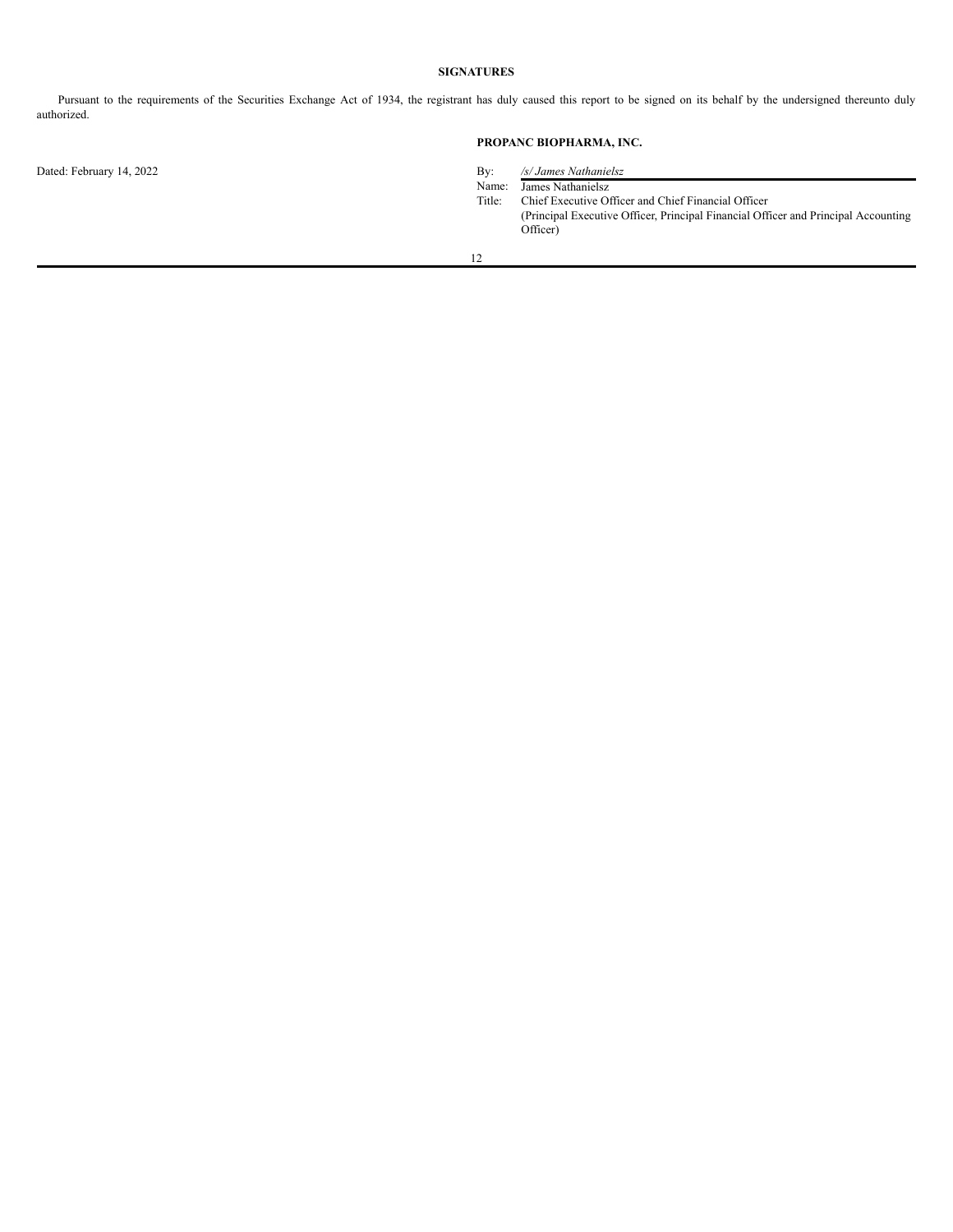# **SIGNATURES**

<span id="page-41-0"></span>Pursuant to the requirements of the Securities Exchange Act of 1934, the registrant has duly caused this report to be signed on its behalf by the undersigned thereunto duly authorized.

# **PROPANC BIOPHARMA, INC.**

Dated: February 14, 2022 By: */s/ James Nathanielsz*

Name: James Nathanielsz

Title: Chief Executive Officer and Chief Financial Officer (Principal Executive Officer, Principal Financial Officer and Principal Accounting Officer)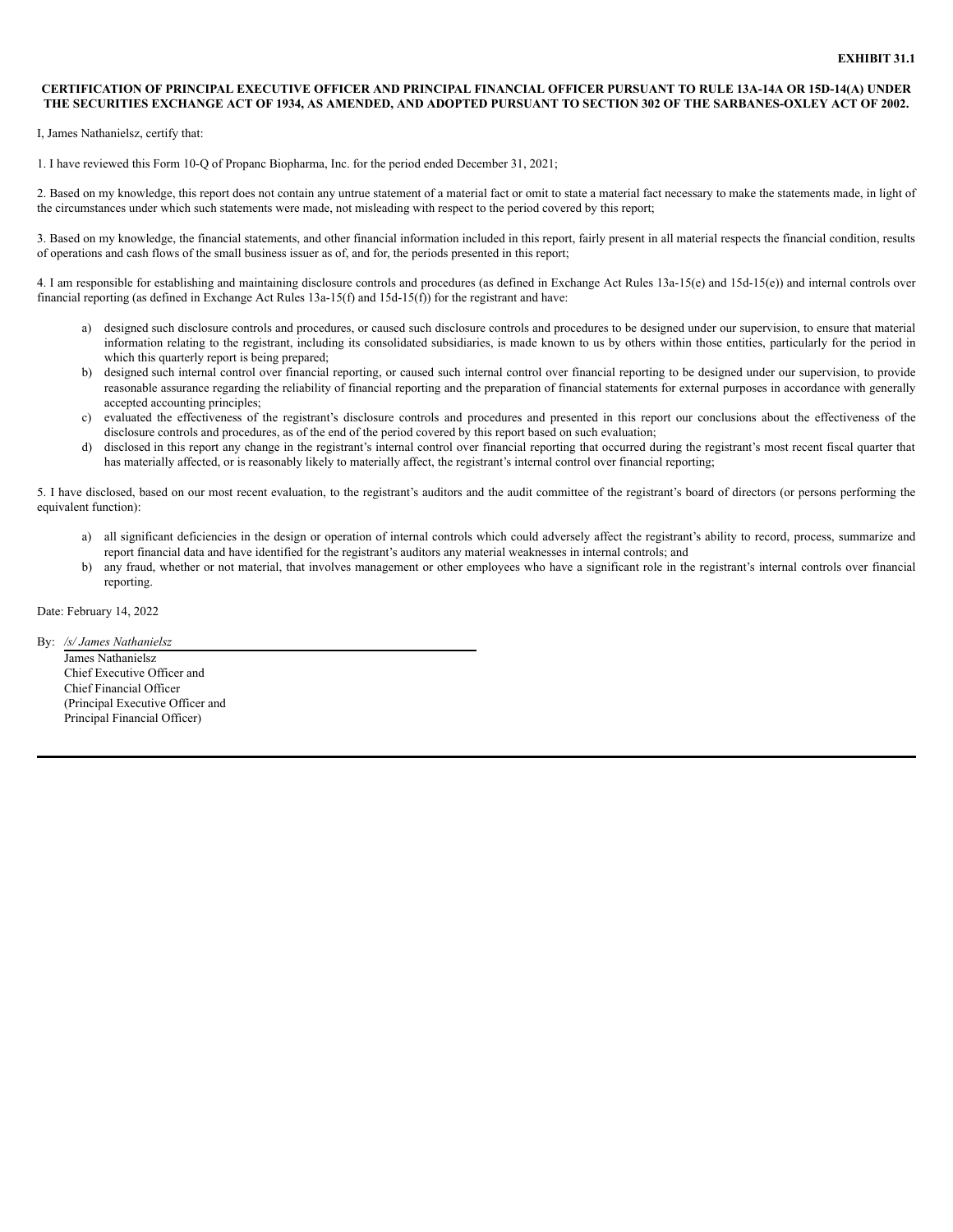# CERTIFICATION OF PRINCIPAL EXECUTIVE OFFICER AND PRINCIPAL FINANCIAL OFFICER PURSUANT TO RULE 13A-14A OR 15D-14(A) UNDER THE SECURITIES EXCHANGE ACT OF 1934, AS AMENDED, AND ADOPTED PURSUANT TO SECTION 302 OF THE SARBANES-OXLEY ACT OF 2002.

I, James Nathanielsz, certify that:

1. I have reviewed this Form 10-Q of Propanc Biopharma, Inc. for the period ended December 31, 2021;

2. Based on my knowledge, this report does not contain any untrue statement of a material fact or omit to state a material fact necessary to make the statements made, in light of the circumstances under which such statements were made, not misleading with respect to the period covered by this report;

3. Based on my knowledge, the financial statements, and other financial information included in this report, fairly present in all material respects the financial condition, results of operations and cash flows of the small business issuer as of, and for, the periods presented in this report;

4. I am responsible for establishing and maintaining disclosure controls and procedures (as defined in Exchange Act Rules 13a-15(e) and 15d-15(e)) and internal controls over financial reporting (as defined in Exchange Act Rules 13a-15(f) and 15d-15(f)) for the registrant and have:

- a) designed such disclosure controls and procedures, or caused such disclosure controls and procedures to be designed under our supervision, to ensure that material information relating to the registrant, including its consolidated subsidiaries, is made known to us by others within those entities, particularly for the period in which this quarterly report is being prepared;
- b) designed such internal control over financial reporting, or caused such internal control over financial reporting to be designed under our supervision, to provide reasonable assurance regarding the reliability of financial reporting and the preparation of financial statements for external purposes in accordance with generally accepted accounting principles;
- c) evaluated the effectiveness of the registrant's disclosure controls and procedures and presented in this report our conclusions about the effectiveness of the disclosure controls and procedures, as of the end of the period covered by this report based on such evaluation;
- d) disclosed in this report any change in the registrant's internal control over financial reporting that occurred during the registrant's most recent fiscal quarter that has materially affected, or is reasonably likely to materially affect, the registrant's internal control over financial reporting;

5. I have disclosed, based on our most recent evaluation, to the registrant's auditors and the audit committee of the registrant's board of directors (or persons performing the equivalent function):

- a) all significant deficiencies in the design or operation of internal controls which could adversely affect the registrant's ability to record, process, summarize and report financial data and have identified for the registrant's auditors any material weaknesses in internal controls; and
- any fraud, whether or not material, that involves management or other employees who have a significant role in the registrant's internal controls over financial reporting.

Date: February 14, 2022

By: */s/ James Nathanielsz* James Nathanielsz Chief Executive Officer and Chief Financial Officer

(Principal Executive Officer and Principal Financial Officer)